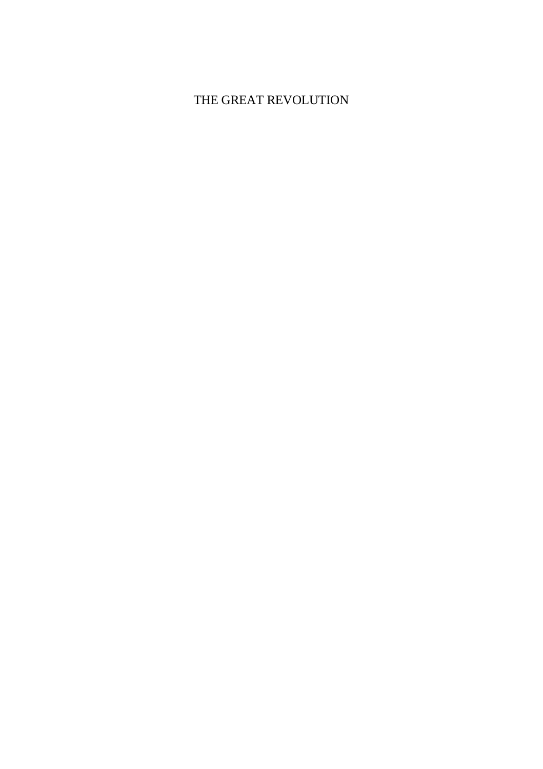# THE GREAT REVOLUTION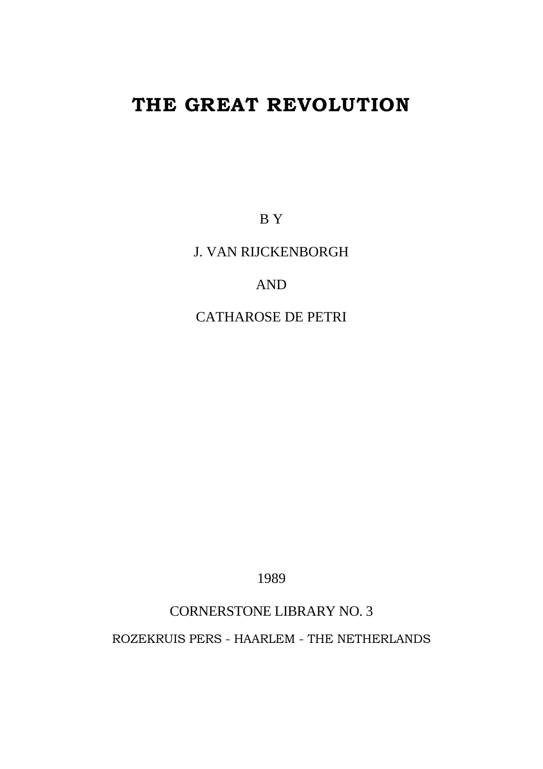# **THE GREAT REVOLUTION**

B Y

J. VAN RIJCKENBORGH

AND

CATHAROSE DE PETRI

1989

# CORNERSTONE LIBRARY NO. 3

ROZEKRUIS PERS - HAARLEM - THE NETHERLANDS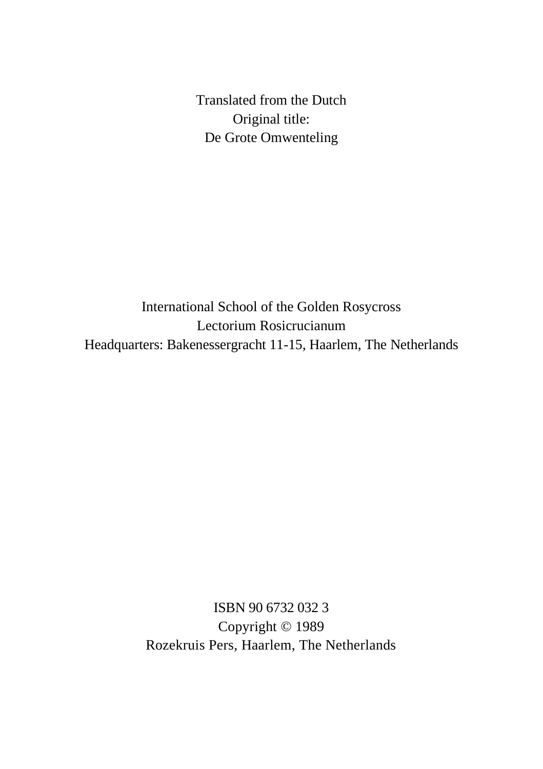Translated from the Dutch Original title: De Grote Omwenteling

International School of the Golden Rosycross Lectorium Rosicrucianum Headquarters: Bakenessergracht 11-15, Haarlem, The Netherlands

> ISBN 90 6732 032 3 Copyright © 1989 Rozekruis Pers, Haarlem, The Netherlands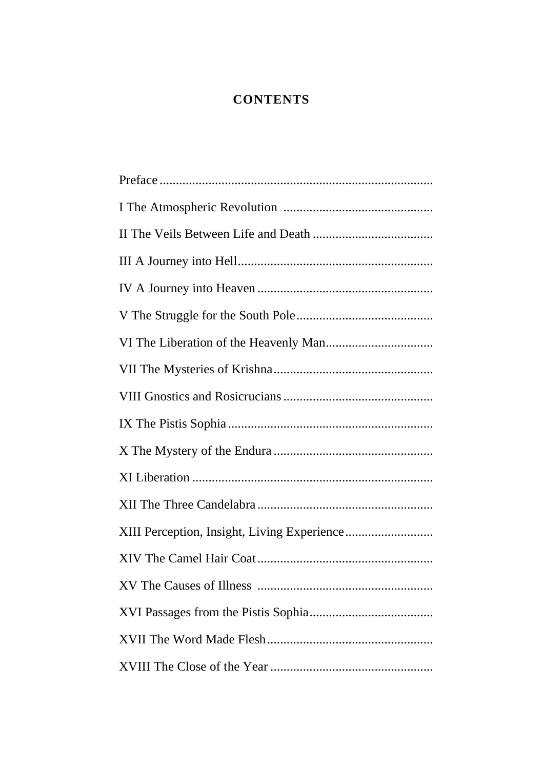# **CONTENTS**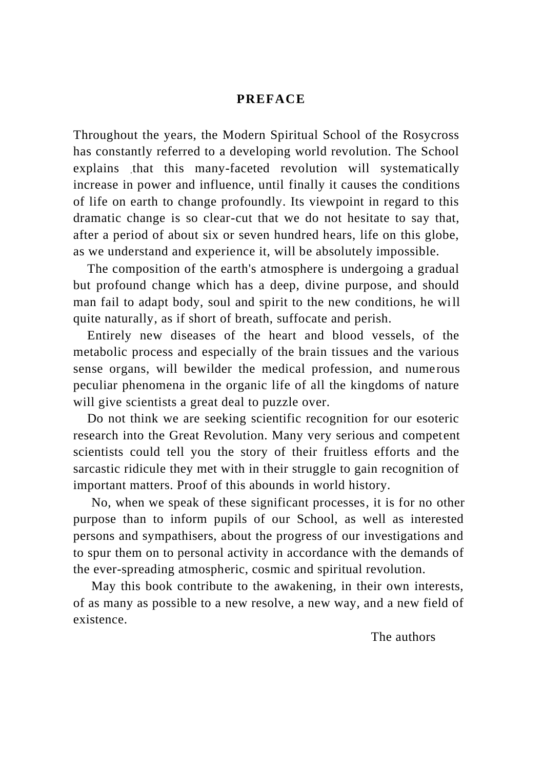### **PREFACE**

Throughout the years, the Modern Spiritual School of the Rosycross has constantly referred to a developing world revolution. The School explains that this many-faceted revolution will systematically increase in power and influence, until finally it causes the conditions of life on earth to change profoundly. Its viewpoint in regard to this dramatic change is so clear-cut that we do not hesitate to say that, after a period of about six or seven hundred hears, life on this globe, as we understand and experience it, will be absolutely impossible.

The composition of the earth's atmosphere is undergoing a gradual but profound change which has a deep, divine purpose, and should man fail to adapt body, soul and spirit to the new conditions, he will quite naturally, as if short of breath, suffocate and perish.

Entirely new diseases of the heart and blood vessels, of the metabolic process and especially of the brain tissues and the various sense organs, will bewilder the medical profession, and numerous peculiar phenomena in the organic life of all the kingdoms of nature will give scientists a great deal to puzzle over.

Do not think we are seeking scientific recognition for our esoteric research into the Great Revolution. Many very serious and competent scientists could tell you the story of their fruitless efforts and the sarcastic ridicule they met with in their struggle to gain recognition of important matters. Proof of this abounds in world history.

No, when we speak of these significant processes, it is for no other purpose than to inform pupils of our School, as well as interested persons and sympathisers, about the progress of our investigations and to spur them on to personal activity in accordance with the demands of the ever-spreading atmospheric, cosmic and spiritual revolution.

May this book contribute to the awakening, in their own interests, of as many as possible to a new resolve, a new way, and a new field of existence.

The authors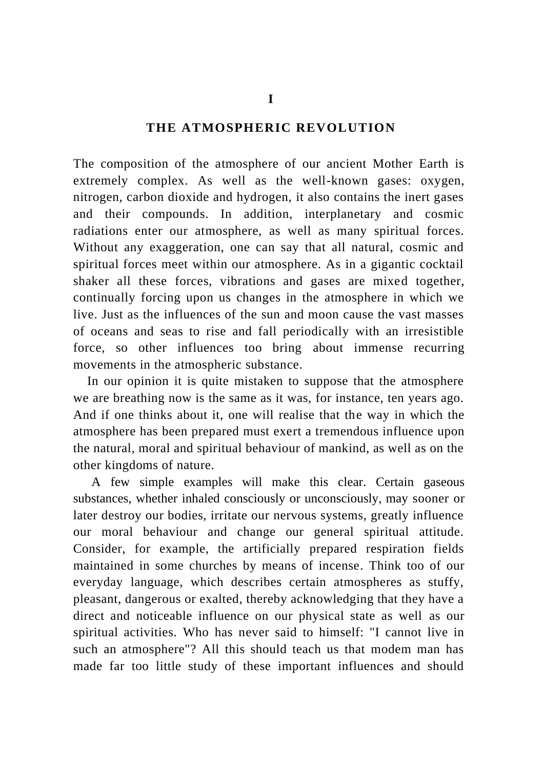## **THE ATMOSPHERIC REVOLUTION**

The composition of the atmosphere of our ancient Mother Earth is extremely complex. As well as the well-known gases: oxygen, nitrogen, carbon dioxide and hydrogen, it also contains the inert gases and their compounds. In addition, interplanetary and cosmic radiations enter our atmosphere, as well as many spiritual forces. Without any exaggeration, one can say that all natural, cosmic and spiritual forces meet within our atmosphere. As in a gigantic cocktail shaker all these forces, vibrations and gases are mixed together, continually forcing upon us changes in the atmosphere in which we live. Just as the influences of the sun and moon cause the vast masses of oceans and seas to rise and fall periodically with an irresistible force, so other influences too bring about immense recurring movements in the atmospheric substance.

In our opinion it is quite mistaken to suppose that the atmosphere we are breathing now is the same as it was, for instance, ten years ago. And if one thinks about it, one will realise that the way in which the atmosphere has been prepared must exert a tremendous influence upon the natural, moral and spiritual behaviour of mankind, as well as on the other kingdoms of nature.

A few simple examples will make this clear. Certain gaseous substances, whether inhaled consciously or unconsciously, may sooner or later destroy our bodies, irritate our nervous systems, greatly influence our moral behaviour and change our general spiritual attitude. Consider, for example, the artificially prepared respiration fields maintained in some churches by means of incense. Think too of our everyday language, which describes certain atmospheres as stuffy, pleasant, dangerous or exalted, thereby acknowledging that they have a direct and noticeable influence on our physical state as well as our spiritual activities. Who has never said to himself: "I cannot live in such an atmosphere"? All this should teach us that modem man has made far too little study of these important influences and should

**I**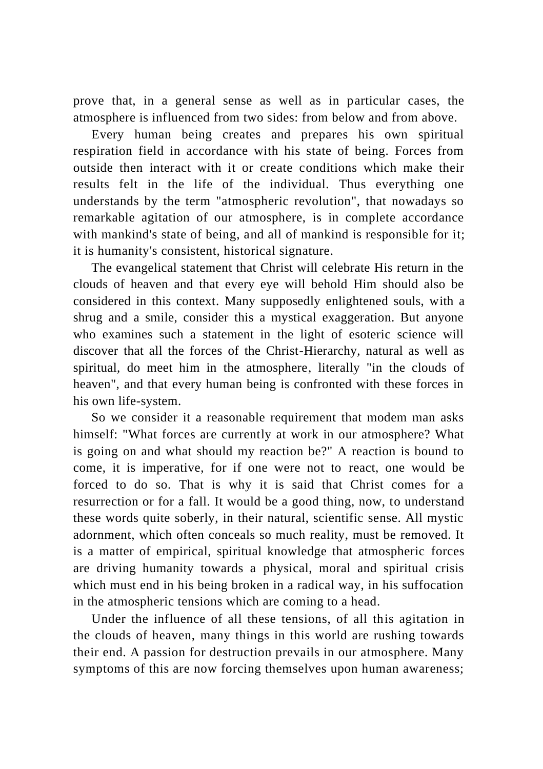prove that, in a general sense as well as in particular cases, the atmosphere is influenced from two sides: from below and from above.

Every human being creates and prepares his own spiritual respiration field in accordance with his state of being. Forces from outside then interact with it or create conditions which make their results felt in the life of the individual. Thus everything one understands by the term "atmospheric revolution", that nowadays so remarkable agitation of our atmosphere, is in complete accordance with mankind's state of being, and all of mankind is responsible for it; it is humanity's consistent, historical signature.

The evangelical statement that Christ will celebrate His return in the clouds of heaven and that every eye will behold Him should also be considered in this context. Many supposedly enlightened souls, with a shrug and a smile, consider this a mystical exaggeration. But anyone who examines such a statement in the light of esoteric science will discover that all the forces of the Christ-Hierarchy, natural as well as spiritual, do meet him in the atmosphere, literally "in the clouds of heaven", and that every human being is confronted with these forces in his own life-system.

So we consider it a reasonable requirement that modem man asks himself: "What forces are currently at work in our atmosphere? What is going on and what should my reaction be?" A reaction is bound to come, it is imperative, for if one were not to react, one would be forced to do so. That is why it is said that Christ comes for a resurrection or for a fall. It would be a good thing, now, to understand these words quite soberly, in their natural, scientific sense. All mystic adornment, which often conceals so much reality, must be removed. It is a matter of empirical, spiritual knowledge that atmospheric forces are driving humanity towards a physical, moral and spiritual crisis which must end in his being broken in a radical way, in his suffocation in the atmospheric tensions which are coming to a head.

Under the influence of all these tensions, of all this agitation in the clouds of heaven, many things in this world are rushing towards their end. A passion for destruction prevails in our atmosphere. Many symptoms of this are now forcing themselves upon human awareness;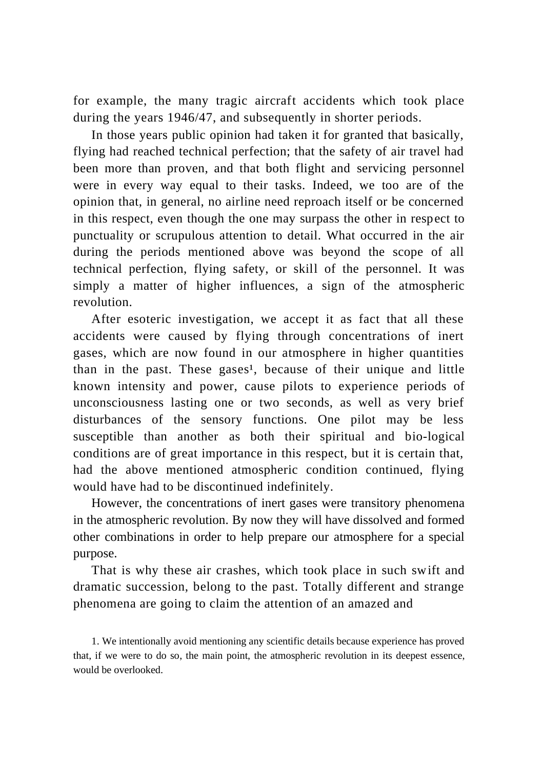for example, the many tragic aircraft accidents which took place during the years 1946/47, and subsequently in shorter periods.

In those years public opinion had taken it for granted that basically, flying had reached technical perfection; that the safety of air travel had been more than proven, and that both flight and servicing personnel were in every way equal to their tasks. Indeed, we too are of the opinion that, in general, no airline need reproach itself or be concerned in this respect, even though the one may surpass the other in respect to punctuality or scrupulous attention to detail. What occurred in the air during the periods mentioned above was beyond the scope of all technical perfection, flying safety, or skill of the personnel. It was simply a matter of higher influences, a sign of the atmospheric revolution.

After esoteric investigation, we accept it as fact that all these accidents were caused by flying through concentrations of inert gases, which are now found in our atmosphere in higher quantities than in the past. These gases<sup>1</sup>, because of their unique and little known intensity and power, cause pilots to experience periods of unconsciousness lasting one or two seconds, as well as very brief disturbances of the sensory functions. One pilot may be less susceptible than another as both their spiritual and bio-logical conditions are of great importance in this respect, but it is certain that, had the above mentioned atmospheric condition continued, flying would have had to be discontinued indefinitely.

However, the concentrations of inert gases were transitory phenomena in the atmospheric revolution. By now they will have dissolved and formed other combinations in order to help prepare our atmosphere for a special purpose.

That is why these air crashes, which took place in such swift and dramatic succession, belong to the past. Totally different and strange phenomena are going to claim the attention of an amazed and

<sup>1.</sup> We intentionally avoid mentioning any scientific details because experience has proved that, if we were to do so, the main point, the atmospheric revolution in its deepest essence, would be overlooked.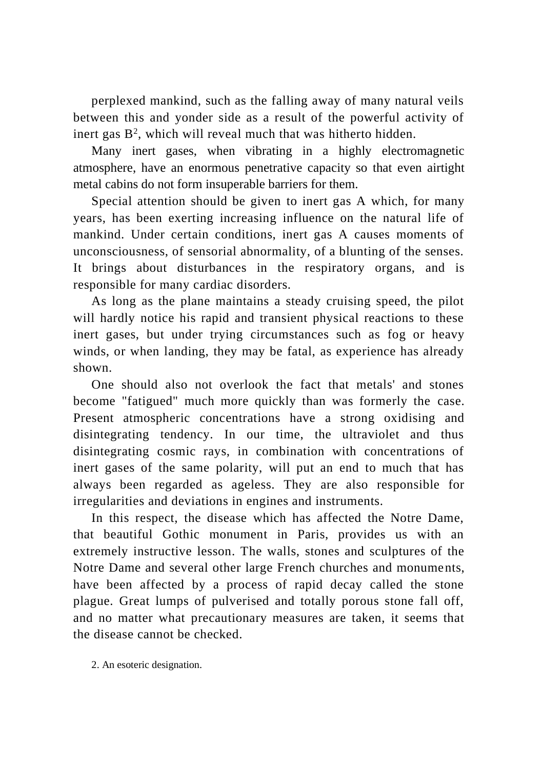perplexed mankind, such as the falling away of many natural veils between this and yonder side as a result of the powerful activity of inert gas  $B^2$ , which will reveal much that was hitherto hidden.

Many inert gases, when vibrating in a highly electromagnetic atmosphere, have an enormous penetrative capacity so that even airtight metal cabins do not form insuperable barriers for them.

Special attention should be given to inert gas A which, for many years, has been exerting increasing influence on the natural life of mankind. Under certain conditions, inert gas A causes moments of unconsciousness, of sensorial abnormality, of a blunting of the senses. It brings about disturbances in the respiratory organs, and is responsible for many cardiac disorders.

As long as the plane maintains a steady cruising speed, the pilot will hardly notice his rapid and transient physical reactions to these inert gases, but under trying circumstances such as fog or heavy winds, or when landing, they may be fatal, as experience has already shown.

One should also not overlook the fact that metals' and stones become "fatigued" much more quickly than was formerly the case. Present atmospheric concentrations have a strong oxidising and disintegrating tendency. In our time, the ultraviolet and thus disintegrating cosmic rays, in combination with concentrations of inert gases of the same polarity, will put an end to much that has always been regarded as ageless. They are also responsible for irregularities and deviations in engines and instruments.

In this respect, the disease which has affected the Notre Dame, that beautiful Gothic monument in Paris, provides us with an extremely instructive lesson. The walls, stones and sculptures of the Notre Dame and several other large French churches and monuments, have been affected by a process of rapid decay called the stone plague. Great lumps of pulverised and totally porous stone fall off, and no matter what precautionary measures are taken, it seems that the disease cannot be checked.

2. An esoteric designation.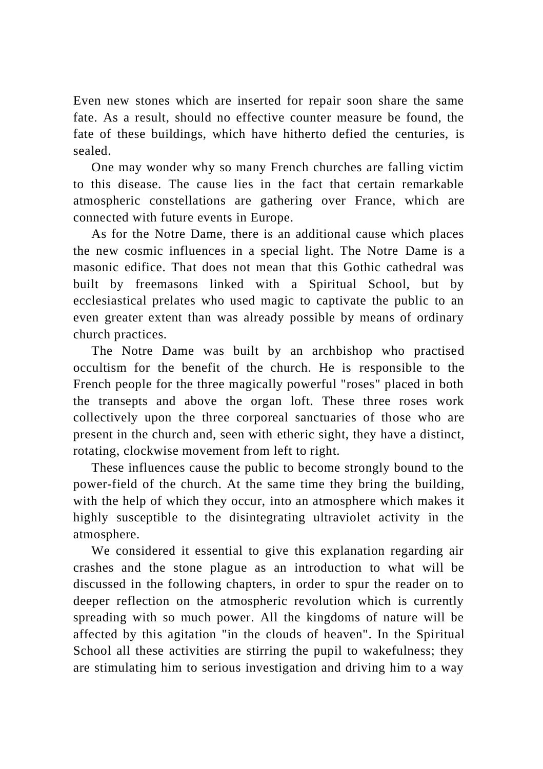Even new stones which are inserted for repair soon share the same fate. As a result, should no effective counter measure be found, the fate of these buildings, which have hitherto defied the centuries, is sealed.

One may wonder why so many French churches are falling victim to this disease. The cause lies in the fact that certain remarkable atmospheric constellations are gathering over France, which are connected with future events in Europe.

As for the Notre Dame, there is an additional cause which places the new cosmic influences in a special light. The Notre Dame is a masonic edifice. That does not mean that this Gothic cathedral was built by freemasons linked with a Spiritual School, but by ecclesiastical prelates who used magic to captivate the public to an even greater extent than was already possible by means of ordinary church practices.

The Notre Dame was built by an archbishop who practised occultism for the benefit of the church. He is responsible to the French people for the three magically powerful "roses" placed in both the transepts and above the organ loft. These three roses work collectively upon the three corporeal sanctuaries of those who are present in the church and, seen with etheric sight, they have a distinct, rotating, clockwise movement from left to right.

These influences cause the public to become strongly bound to the power-field of the church. At the same time they bring the building, with the help of which they occur, into an atmosphere which makes it highly susceptible to the disintegrating ultraviolet activity in the atmosphere.

We considered it essential to give this explanation regarding air crashes and the stone plague as an introduction to what will be discussed in the following chapters, in order to spur the reader on to deeper reflection on the atmospheric revolution which is currently spreading with so much power. All the kingdoms of nature will be affected by this agitation "in the clouds of heaven". In the Spiritual School all these activities are stirring the pupil to wakefulness; they are stimulating him to serious investigation and driving him to a way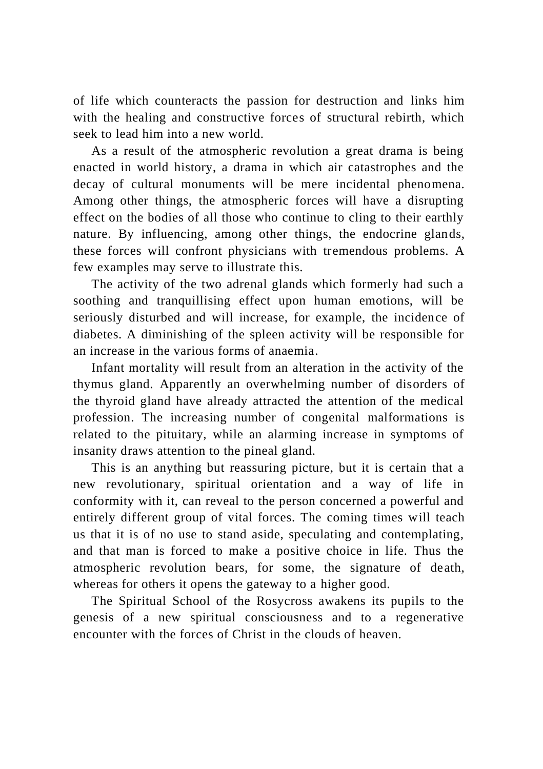of life which counteracts the passion for destruction and links him with the healing and constructive forces of structural rebirth, which seek to lead him into a new world.

As a result of the atmospheric revolution a great drama is being enacted in world history, a drama in which air catastrophes and the decay of cultural monuments will be mere incidental phenomena. Among other things, the atmospheric forces will have a disrupting effect on the bodies of all those who continue to cling to their earthly nature. By influencing, among other things, the endocrine glands, these forces will confront physicians with tremendous problems. A few examples may serve to illustrate this.

The activity of the two adrenal glands which formerly had such a soothing and tranquillising effect upon human emotions, will be seriously disturbed and will increase, for example, the incidence of diabetes. A diminishing of the spleen activity will be responsible for an increase in the various forms of anaemia.

Infant mortality will result from an alteration in the activity of the thymus gland. Apparently an overwhelming number of disorders of the thyroid gland have already attracted the attention of the medical profession. The increasing number of congenital malformations is related to the pituitary, while an alarming increase in symptoms of insanity draws attention to the pineal gland.

This is an anything but reassuring picture, but it is certain that a new revolutionary, spiritual orientation and a way of life in conformity with it, can reveal to the person concerned a powerful and entirely different group of vital forces. The coming times will teach us that it is of no use to stand aside, speculating and contemplating, and that man is forced to make a positive choice in life. Thus the atmospheric revolution bears, for some, the signature of death, whereas for others it opens the gateway to a higher good.

The Spiritual School of the Rosycross awakens its pupils to the genesis of a new spiritual consciousness and to a regenerative encounter with the forces of Christ in the clouds of heaven.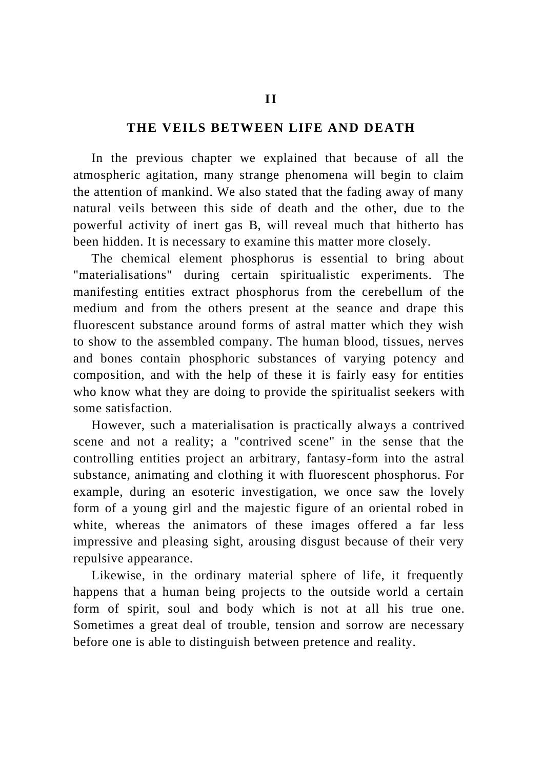#### **THE VEILS BETWEEN LIFE AND DEATH**

In the previous chapter we explained that because of all the atmospheric agitation, many strange phenomena will begin to claim the attention of mankind. We also stated that the fading away of many natural veils between this side of death and the other, due to the powerful activity of inert gas B, will reveal much that hitherto has been hidden. It is necessary to examine this matter more closely.

The chemical element phosphorus is essential to bring about "materialisations" during certain spiritualistic experiments. The manifesting entities extract phosphorus from the cerebellum of the medium and from the others present at the seance and drape this fluorescent substance around forms of astral matter which they wish to show to the assembled company. The human blood, tissues, nerves and bones contain phosphoric substances of varying potency and composition, and with the help of these it is fairly easy for entities who know what they are doing to provide the spiritualist seekers with some satisfaction.

However, such a materialisation is practically always a contrived scene and not a reality; a "contrived scene" in the sense that the controlling entities project an arbitrary, fantasy-form into the astral substance, animating and clothing it with fluorescent phosphorus. For example, during an esoteric investigation, we once saw the lovely form of a young girl and the majestic figure of an oriental robed in white, whereas the animators of these images offered a far less impressive and pleasing sight, arousing disgust because of their very repulsive appearance.

Likewise, in the ordinary material sphere of life, it frequently happens that a human being projects to the outside world a certain form of spirit, soul and body which is not at all his true one. Sometimes a great deal of trouble, tension and sorrow are necessary before one is able to distinguish between pretence and reality.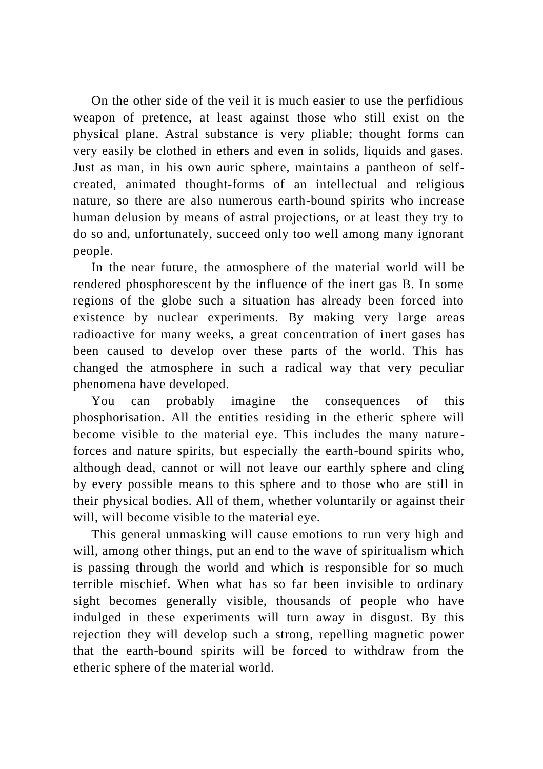On the other side of the veil it is much easier to use the perfidious weapon of pretence, at least against those who still exist on the physical plane. Astral substance is very pliable; thought forms can very easily be clothed in ethers and even in solids, liquids and gases. Just as man, in his own auric sphere, maintains a pantheon of selfcreated, animated thought-forms of an intellectual and religious nature, so there are also numerous earth-bound spirits who increase human delusion by means of astral projections, or at least they try to do so and, unfortunately, succeed only too well among many ignorant people.

In the near future, the atmosphere of the material world will be rendered phosphorescent by the influence of the inert gas B. In some regions of the globe such a situation has already been forced into existence by nuclear experiments. By making very large areas radioactive for many weeks, a great concentration of inert gases has been caused to develop over these parts of the world. This has changed the atmosphere in such a radical way that very peculiar phenomena have developed.

You can probably imagine the consequences of this phosphorisation. All the entities residing in the etheric sphere will become visible to the material eye. This includes the many nature forces and nature spirits, but especially the earth-bound spirits who, although dead, cannot or will not leave our earthly sphere and cling by every possible means to this sphere and to those who are still in their physical bodies. All of them, whether voluntarily or against their will, will become visible to the material eye.

This general unmasking will cause emotions to run very high and will, among other things, put an end to the wave of spiritualism which is passing through the world and which is responsible for so much terrible mischief. When what has so far been invisible to ordinary sight becomes generally visible, thousands of people who have indulged in these experiments will turn away in disgust. By this rejection they will develop such a strong, repelling magnetic power that the earth-bound spirits will be forced to withdraw from the etheric sphere of the material world.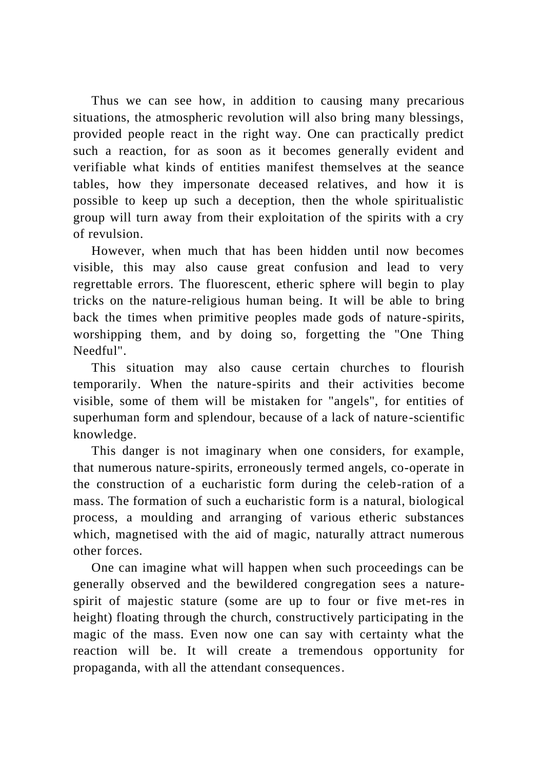Thus we can see how, in addition to causing many precarious situations, the atmospheric revolution will also bring many blessings, provided people react in the right way. One can practically predict such a reaction, for as soon as it becomes generally evident and verifiable what kinds of entities manifest themselves at the seance tables, how they impersonate deceased relatives, and how it is possible to keep up such a deception, then the whole spiritualistic group will turn away from their exploitation of the spirits with a cry of revulsion.

However, when much that has been hidden until now becomes visible, this may also cause great confusion and lead to very regrettable errors. The fluorescent, etheric sphere will begin to play tricks on the nature-religious human being. It will be able to bring back the times when primitive peoples made gods of nature-spirits, worshipping them, and by doing so, forgetting the "One Thing Needful".

This situation may also cause certain churches to flourish temporarily. When the nature-spirits and their activities become visible, some of them will be mistaken for "angels", for entities of superhuman form and splendour, because of a lack of nature-scientific knowledge.

This danger is not imaginary when one considers, for example, that numerous nature-spirits, erroneously termed angels, co-operate in the construction of a eucharistic form during the celeb-ration of a mass. The formation of such a eucharistic form is a natural, biological process, a moulding and arranging of various etheric substances which, magnetised with the aid of magic, naturally attract numerous other forces.

One can imagine what will happen when such proceedings can be generally observed and the bewildered congregation sees a naturespirit of majestic stature (some are up to four or five met-res in height) floating through the church, constructively participating in the magic of the mass. Even now one can say with certainty what the reaction will be. It will create a tremendous opportunity for propaganda, with all the attendant consequences.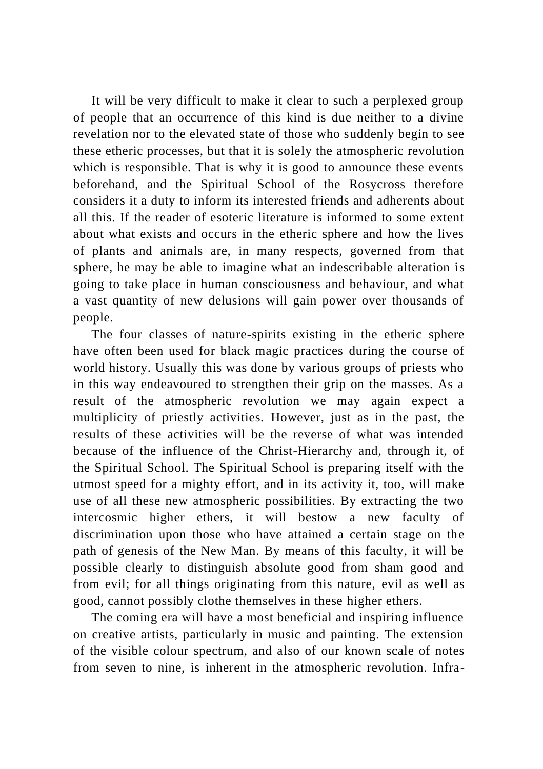It will be very difficult to make it clear to such a perplexed group of people that an occurrence of this kind is due neither to a divine revelation nor to the elevated state of those who suddenly begin to see these etheric processes, but that it is solely the atmospheric revolution which is responsible. That is why it is good to announce these events beforehand, and the Spiritual School of the Rosycross therefore considers it a duty to inform its interested friends and adherents about all this. If the reader of esoteric literature is informed to some extent about what exists and occurs in the etheric sphere and how the lives of plants and animals are, in many respects, governed from that sphere, he may be able to imagine what an indescribable alteration is going to take place in human consciousness and behaviour, and what a vast quantity of new delusions will gain power over thousands of people.

The four classes of nature-spirits existing in the etheric sphere have often been used for black magic practices during the course of world history. Usually this was done by various groups of priests who in this way endeavoured to strengthen their grip on the masses. As a result of the atmospheric revolution we may again expect a multiplicity of priestly activities. However, just as in the past, the results of these activities will be the reverse of what was intended because of the influence of the Christ-Hierarchy and, through it, of the Spiritual School. The Spiritual School is preparing itself with the utmost speed for a mighty effort, and in its activity it, too, will make use of all these new atmospheric possibilities. By extracting the two intercosmic higher ethers, it will bestow a new faculty of discrimination upon those who have attained a certain stage on the path of genesis of the New Man. By means of this faculty, it will be possible clearly to distinguish absolute good from sham good and from evil; for all things originating from this nature, evil as well as good, cannot possibly clothe themselves in these higher ethers.

The coming era will have a most beneficial and inspiring influence on creative artists, particularly in music and painting. The extension of the visible colour spectrum, and also of our known scale of notes from seven to nine, is inherent in the atmospheric revolution. Infra-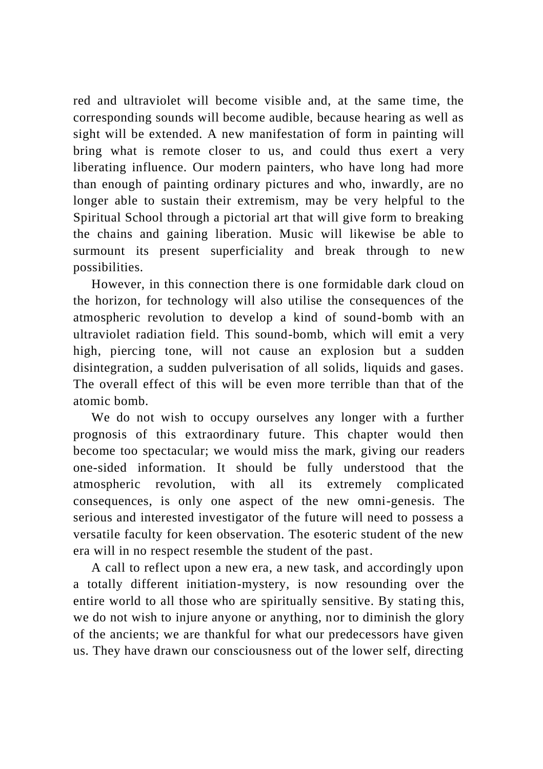red and ultraviolet will become visible and, at the same time, the corresponding sounds will become audible, because hearing as well as sight will be extended. A new manifestation of form in painting will bring what is remote closer to us, and could thus exert a very liberating influence. Our modern painters, who have long had more than enough of painting ordinary pictures and who, inwardly, are no longer able to sustain their extremism, may be very helpful to the Spiritual School through a pictorial art that will give form to breaking the chains and gaining liberation. Music will likewise be able to surmount its present superficiality and break through to new possibilities.

However, in this connection there is one formidable dark cloud on the horizon, for technology will also utilise the consequences of the atmospheric revolution to develop a kind of sound-bomb with an ultraviolet radiation field. This sound-bomb, which will emit a very high, piercing tone, will not cause an explosion but a sudden disintegration, a sudden pulverisation of all solids, liquids and gases. The overall effect of this will be even more terrible than that of the atomic bomb.

We do not wish to occupy ourselves any longer with a further prognosis of this extraordinary future. This chapter would then become too spectacular; we would miss the mark, giving our readers one-sided information. It should be fully understood that the atmospheric revolution, with all its extremely complicated consequences, is only one aspect of the new omni-genesis. The serious and interested investigator of the future will need to possess a versatile faculty for keen observation. The esoteric student of the new era will in no respect resemble the student of the past.

A call to reflect upon a new era, a new task, and accordingly upon a totally different initiation-mystery, is now resounding over the entire world to all those who are spiritually sensitive. By stating this, we do not wish to injure anyone or anything, nor to diminish the glory of the ancients; we are thankful for what our predecessors have given us. They have drawn our consciousness out of the lower self, directing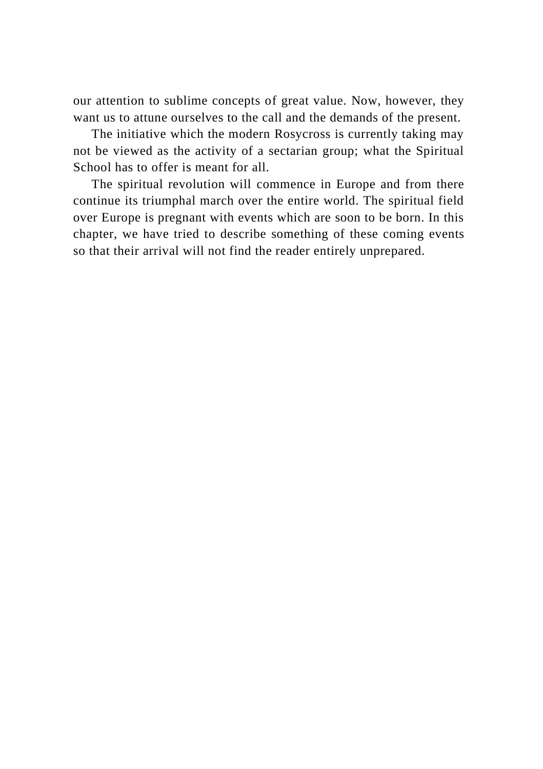our attention to sublime concepts of great value. Now, however, they want us to attune ourselves to the call and the demands of the present.

The initiative which the modern Rosycross is currently taking may not be viewed as the activity of a sectarian group; what the Spiritual School has to offer is meant for all.

The spiritual revolution will commence in Europe and from there continue its triumphal march over the entire world. The spiritual field over Europe is pregnant with events which are soon to be born. In this chapter, we have tried to describe something of these coming events so that their arrival will not find the reader entirely unprepared.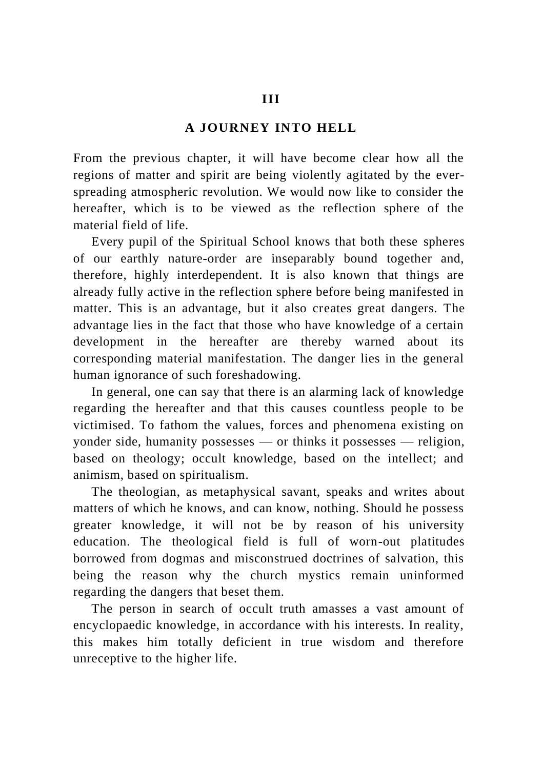## **A JOURNEY INTO HELL**

From the previous chapter, it will have become clear how all the regions of matter and spirit are being violently agitated by the everspreading atmospheric revolution. We would now like to consider the hereafter, which is to be viewed as the reflection sphere of the material field of life.

Every pupil of the Spiritual School knows that both these spheres of our earthly nature-order are inseparably bound together and, therefore, highly interdependent. It is also known that things are already fully active in the reflection sphere before being manifested in matter. This is an advantage, but it also creates great dangers. The advantage lies in the fact that those who have knowledge of a certain development in the hereafter are thereby warned about its corresponding material manifestation. The danger lies in the general human ignorance of such foreshadowing.

In general, one can say that there is an alarming lack of knowledge regarding the hereafter and that this causes countless people to be victimised. To fathom the values, forces and phenomena existing on yonder side, humanity possesses — or thinks it possesses — religion, based on theology; occult knowledge, based on the intellect; and animism, based on spiritualism.

The theologian, as metaphysical savant, speaks and writes about matters of which he knows, and can know, nothing. Should he possess greater knowledge, it will not be by reason of his university education. The theological field is full of worn-out platitudes borrowed from dogmas and misconstrued doctrines of salvation, this being the reason why the church mystics remain uninformed regarding the dangers that beset them.

The person in search of occult truth amasses a vast amount of encyclopaedic knowledge, in accordance with his interests. In reality, this makes him totally deficient in true wisdom and therefore unreceptive to the higher life.

#### **III**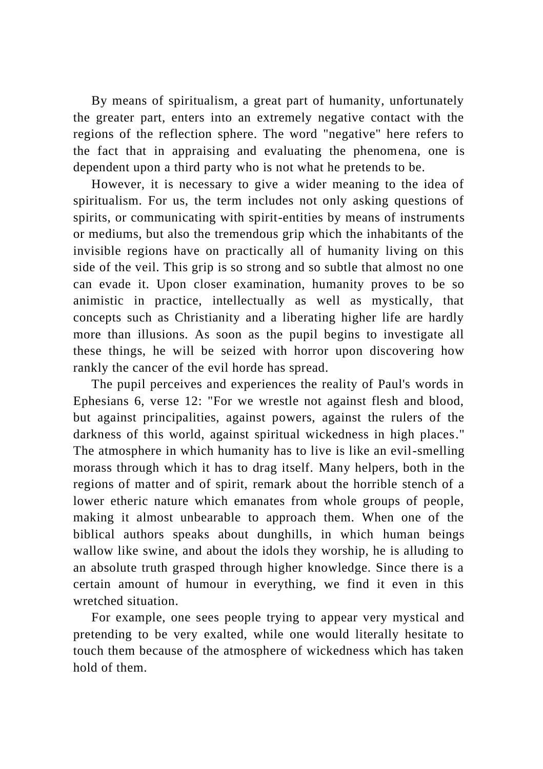By means of spiritualism, a great part of humanity, unfortunately the greater part, enters into an extremely negative contact with the regions of the reflection sphere. The word "negative" here refers to the fact that in appraising and evaluating the phenomena, one is dependent upon a third party who is not what he pretends to be.

However, it is necessary to give a wider meaning to the idea of spiritualism. For us, the term includes not only asking questions of spirits, or communicating with spirit-entities by means of instruments or mediums, but also the tremendous grip which the inhabitants of the invisible regions have on practically all of humanity living on this side of the veil. This grip is so strong and so subtle that almost no one can evade it. Upon closer examination, humanity proves to be so animistic in practice, intellectually as well as mystically, that concepts such as Christianity and a liberating higher life are hardly more than illusions. As soon as the pupil begins to investigate all these things, he will be seized with horror upon discovering how rankly the cancer of the evil horde has spread.

The pupil perceives and experiences the reality of Paul's words in Ephesians 6, verse 12: "For we wrestle not against flesh and blood, but against principalities, against powers, against the rulers of the darkness of this world, against spiritual wickedness in high places." The atmosphere in which humanity has to live is like an evil-smelling morass through which it has to drag itself. Many helpers, both in the regions of matter and of spirit, remark about the horrible stench of a lower etheric nature which emanates from whole groups of people, making it almost unbearable to approach them. When one of the biblical authors speaks about dunghills, in which human beings wallow like swine, and about the idols they worship, he is alluding to an absolute truth grasped through higher knowledge. Since there is a certain amount of humour in everything, we find it even in this wretched situation.

For example, one sees people trying to appear very mystical and pretending to be very exalted, while one would literally hesitate to touch them because of the atmosphere of wickedness which has taken hold of them.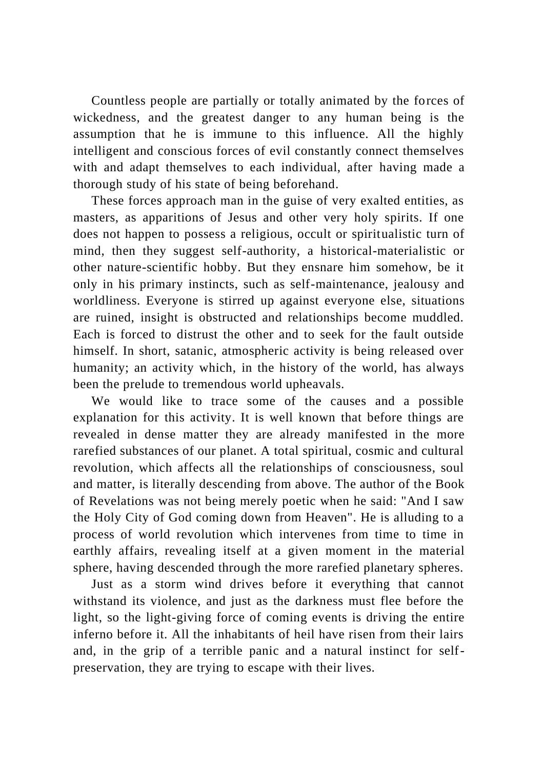Countless people are partially or totally animated by the forces of wickedness, and the greatest danger to any human being is the assumption that he is immune to this influence. All the highly intelligent and conscious forces of evil constantly connect themselves with and adapt themselves to each individual, after having made a thorough study of his state of being beforehand.

These forces approach man in the guise of very exalted entities, as masters, as apparitions of Jesus and other very holy spirits. If one does not happen to possess a religious, occult or spiritualistic turn of mind, then they suggest self-authority, a historical-materialistic or other nature-scientific hobby. But they ensnare him somehow, be it only in his primary instincts, such as self-maintenance, jealousy and worldliness. Everyone is stirred up against everyone else, situations are ruined, insight is obstructed and relationships become muddled. Each is forced to distrust the other and to seek for the fault outside himself. In short, satanic, atmospheric activity is being released over humanity; an activity which, in the history of the world, has always been the prelude to tremendous world upheavals.

We would like to trace some of the causes and a possible explanation for this activity. It is well known that before things are revealed in dense matter they are already manifested in the more rarefied substances of our planet. A total spiritual, cosmic and cultural revolution, which affects all the relationships of consciousness, soul and matter, is literally descending from above. The author of the Book of Revelations was not being merely poetic when he said: "And I saw the Holy City of God coming down from Heaven". He is alluding to a process of world revolution which intervenes from time to time in earthly affairs, revealing itself at a given moment in the material sphere, having descended through the more rarefied planetary spheres.

Just as a storm wind drives before it everything that cannot withstand its violence, and just as the darkness must flee before the light, so the light-giving force of coming events is driving the entire inferno before it. All the inhabitants of heil have risen from their lairs and, in the grip of a terrible panic and a natural instinct for selfpreservation, they are trying to escape with their lives.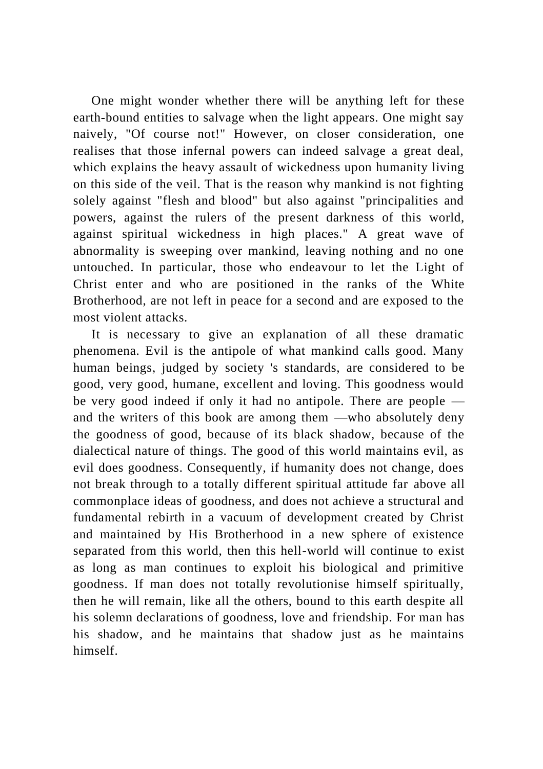One might wonder whether there will be anything left for these earth-bound entities to salvage when the light appears. One might say naively, "Of course not!" However, on closer consideration, one realises that those infernal powers can indeed salvage a great deal, which explains the heavy assault of wickedness upon humanity living on this side of the veil. That is the reason why mankind is not fighting solely against "flesh and blood" but also against "principalities and powers, against the rulers of the present darkness of this world, against spiritual wickedness in high places." A great wave of abnormality is sweeping over mankind, leaving nothing and no one untouched. In particular, those who endeavour to let the Light of Christ enter and who are positioned in the ranks of the White Brotherhood, are not left in peace for a second and are exposed to the most violent attacks.

It is necessary to give an explanation of all these dramatic phenomena. Evil is the antipole of what mankind calls good. Many human beings, judged by society 's standards, are considered to be good, very good, humane, excellent and loving. This goodness would be very good indeed if only it had no antipole. There are people and the writers of this book are among them —who absolutely deny the goodness of good, because of its black shadow, because of the dialectical nature of things. The good of this world maintains evil, as evil does goodness. Consequently, if humanity does not change, does not break through to a totally different spiritual attitude far above all commonplace ideas of goodness, and does not achieve a structural and fundamental rebirth in a vacuum of development created by Christ and maintained by His Brotherhood in a new sphere of existence separated from this world, then this hell-world will continue to exist as long as man continues to exploit his biological and primitive goodness. If man does not totally revolutionise himself spiritually, then he will remain, like all the others, bound to this earth despite all his solemn declarations of goodness, love and friendship. For man has his shadow, and he maintains that shadow just as he maintains himself.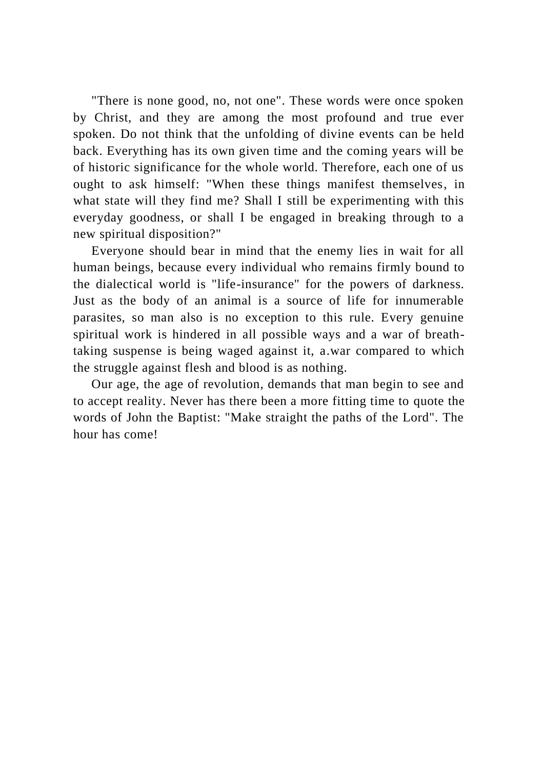"There is none good, no, not one". These words were once spoken by Christ, and they are among the most profound and true ever spoken. Do not think that the unfolding of divine events can be held back. Everything has its own given time and the coming years will be of historic significance for the whole world. Therefore, each one of us ought to ask himself: "When these things manifest themselves, in what state will they find me? Shall I still be experimenting with this everyday goodness, or shall I be engaged in breaking through to a new spiritual disposition?"

Everyone should bear in mind that the enemy lies in wait for all human beings, because every individual who remains firmly bound to the dialectical world is "life-insurance" for the powers of darkness. Just as the body of an animal is a source of life for innumerable parasites, so man also is no exception to this rule. Every genuine spiritual work is hindered in all possible ways and a war of breathtaking suspense is being waged against it, a.war compared to which the struggle against flesh and blood is as nothing.

Our age, the age of revolution, demands that man begin to see and to accept reality. Never has there been a more fitting time to quote the words of John the Baptist: "Make straight the paths of the Lord". The hour has come!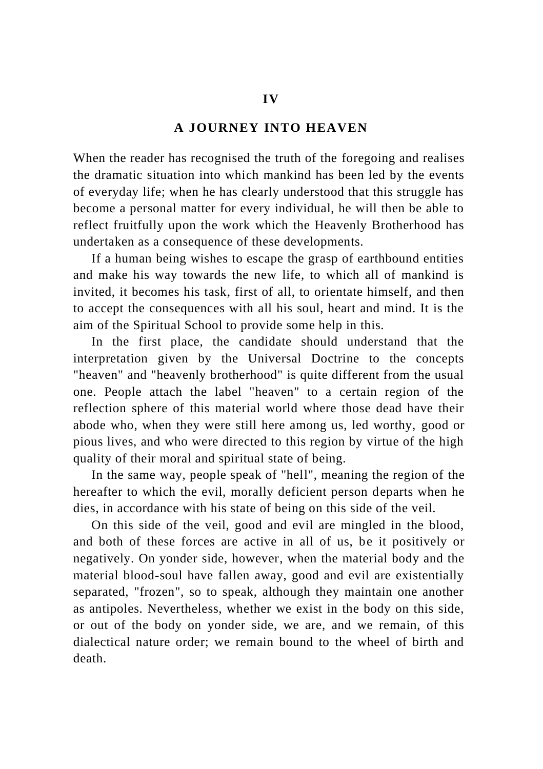## **A JOURNEY INTO HEAVEN**

When the reader has recognised the truth of the foregoing and realises the dramatic situation into which mankind has been led by the events of everyday life; when he has clearly understood that this struggle has become a personal matter for every individual, he will then be able to reflect fruitfully upon the work which the Heavenly Brotherhood has undertaken as a consequence of these developments.

If a human being wishes to escape the grasp of earthbound entities and make his way towards the new life, to which all of mankind is invited, it becomes his task, first of all, to orientate himself, and then to accept the consequences with all his soul, heart and mind. It is the aim of the Spiritual School to provide some help in this.

In the first place, the candidate should understand that the interpretation given by the Universal Doctrine to the concepts "heaven" and "heavenly brotherhood" is quite different from the usual one. People attach the label "heaven" to a certain region of the reflection sphere of this material world where those dead have their abode who, when they were still here among us, led worthy, good or pious lives, and who were directed to this region by virtue of the high quality of their moral and spiritual state of being.

In the same way, people speak of "hell", meaning the region of the hereafter to which the evil, morally deficient person departs when he dies, in accordance with his state of being on this side of the veil.

On this side of the veil, good and evil are mingled in the blood, and both of these forces are active in all of us, be it positively or negatively. On yonder side, however, when the material body and the material blood-soul have fallen away, good and evil are existentially separated, "frozen", so to speak, although they maintain one another as antipoles. Nevertheless, whether we exist in the body on this side, or out of the body on yonder side, we are, and we remain, of this dialectical nature order; we remain bound to the wheel of birth and death.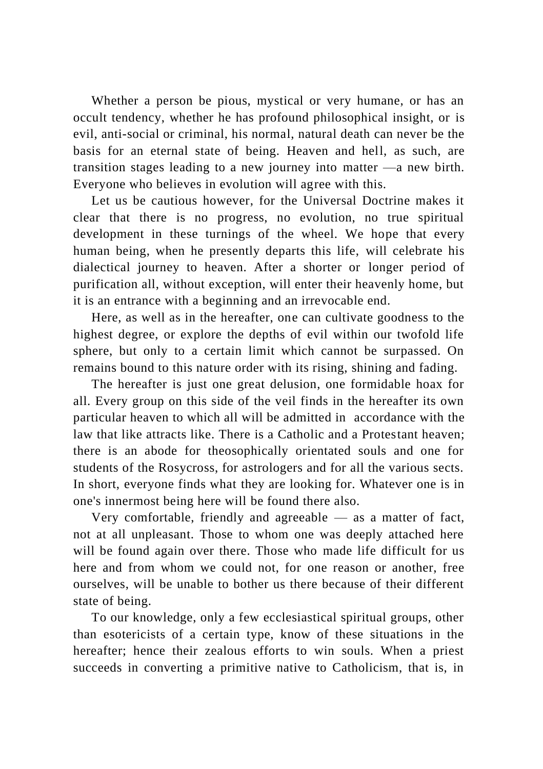Whether a person be pious, mystical or very humane, or has an occult tendency, whether he has profound philosophical insight, or is evil, anti-social or criminal, his normal, natural death can never be the basis for an eternal state of being. Heaven and hell, as such, are transition stages leading to a new journey into matter —a new birth. Everyone who believes in evolution will agree with this.

Let us be cautious however, for the Universal Doctrine makes it clear that there is no progress, no evolution, no true spiritual development in these turnings of the wheel. We hope that every human being, when he presently departs this life, will celebrate his dialectical journey to heaven. After a shorter or longer period of purification all, without exception, will enter their heavenly home, but it is an entrance with a beginning and an irrevocable end.

Here, as well as in the hereafter, one can cultivate goodness to the highest degree, or explore the depths of evil within our twofold life sphere, but only to a certain limit which cannot be surpassed. On remains bound to this nature order with its rising, shining and fading.

The hereafter is just one great delusion, one formidable hoax for all. Every group on this side of the veil finds in the hereafter its own particular heaven to which all will be admitted in accordance with the law that like attracts like. There is a Catholic and a Protestant heaven; there is an abode for theosophically orientated souls and one for students of the Rosycross, for astrologers and for all the various sects. In short, everyone finds what they are looking for. Whatever one is in one's innermost being here will be found there also.

Very comfortable, friendly and agreeable  $-$  as a matter of fact, not at all unpleasant. Those to whom one was deeply attached here will be found again over there. Those who made life difficult for us here and from whom we could not, for one reason or another, free ourselves, will be unable to bother us there because of their different state of being.

To our knowledge, only a few ecclesiastical spiritual groups, other than esotericists of a certain type, know of these situations in the hereafter; hence their zealous efforts to win souls. When a priest succeeds in converting a primitive native to Catholicism, that is, in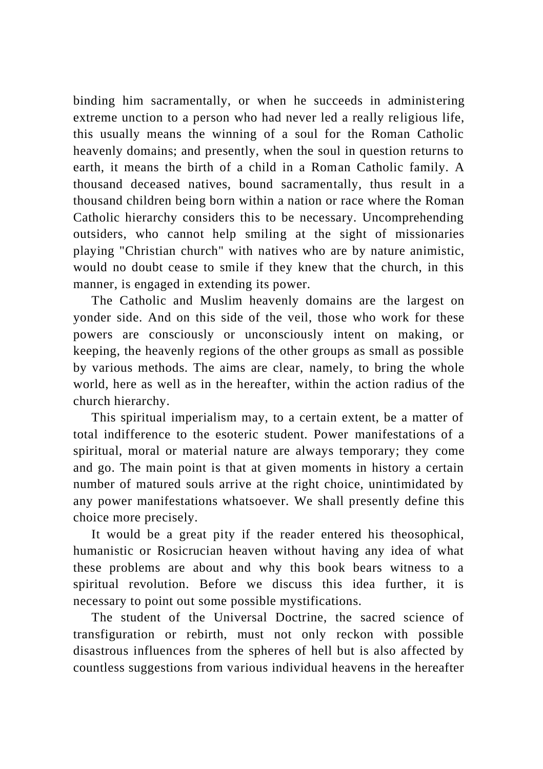binding him sacramentally, or when he succeeds in administering extreme unction to a person who had never led a really religious life, this usually means the winning of a soul for the Roman Catholic heavenly domains; and presently, when the soul in question returns to earth, it means the birth of a child in a Roman Catholic family. A thousand deceased natives, bound sacramentally, thus result in a thousand children being born within a nation or race where the Roman Catholic hierarchy considers this to be necessary. Uncomprehending outsiders, who cannot help smiling at the sight of missionaries playing "Christian church" with natives who are by nature animistic, would no doubt cease to smile if they knew that the church, in this manner, is engaged in extending its power.

The Catholic and Muslim heavenly domains are the largest on yonder side. And on this side of the veil, those who work for these powers are consciously or unconsciously intent on making, or keeping, the heavenly regions of the other groups as small as possible by various methods. The aims are clear, namely, to bring the whole world, here as well as in the hereafter, within the action radius of the church hierarchy.

This spiritual imperialism may, to a certain extent, be a matter of total indifference to the esoteric student. Power manifestations of a spiritual, moral or material nature are always temporary; they come and go. The main point is that at given moments in history a certain number of matured souls arrive at the right choice, unintimidated by any power manifestations whatsoever. We shall presently define this choice more precisely.

It would be a great pity if the reader entered his theosophical, humanistic or Rosicrucian heaven without having any idea of what these problems are about and why this book bears witness to a spiritual revolution. Before we discuss this idea further, it is necessary to point out some possible mystifications.

The student of the Universal Doctrine, the sacred science of transfiguration or rebirth, must not only reckon with possible disastrous influences from the spheres of hell but is also affected by countless suggestions from various individual heavens in the hereafter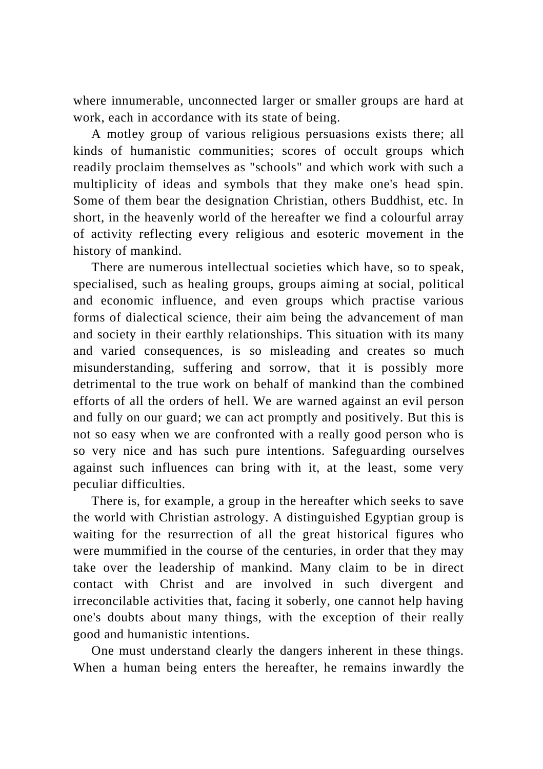where innumerable, unconnected larger or smaller groups are hard at work, each in accordance with its state of being.

A motley group of various religious persuasions exists there; all kinds of humanistic communities; scores of occult groups which readily proclaim themselves as "schools" and which work with such a multiplicity of ideas and symbols that they make one's head spin. Some of them bear the designation Christian, others Buddhist, etc. In short, in the heavenly world of the hereafter we find a colourful array of activity reflecting every religious and esoteric movement in the history of mankind.

There are numerous intellectual societies which have, so to speak, specialised, such as healing groups, groups aiming at social, political and economic influence, and even groups which practise various forms of dialectical science, their aim being the advancement of man and society in their earthly relationships. This situation with its many and varied consequences, is so misleading and creates so much misunderstanding, suffering and sorrow, that it is possibly more detrimental to the true work on behalf of mankind than the combined efforts of all the orders of hell. We are warned against an evil person and fully on our guard; we can act promptly and positively. But this is not so easy when we are confronted with a really good person who is so very nice and has such pure intentions. Safeguarding ourselves against such influences can bring with it, at the least, some very peculiar difficulties.

There is, for example, a group in the hereafter which seeks to save the world with Christian astrology. A distinguished Egyptian group is waiting for the resurrection of all the great historical figures who were mummified in the course of the centuries, in order that they may take over the leadership of mankind. Many claim to be in direct contact with Christ and are involved in such divergent and irreconcilable activities that, facing it soberly, one cannot help having one's doubts about many things, with the exception of their really good and humanistic intentions.

One must understand clearly the dangers inherent in these things. When a human being enters the hereafter, he remains inwardly the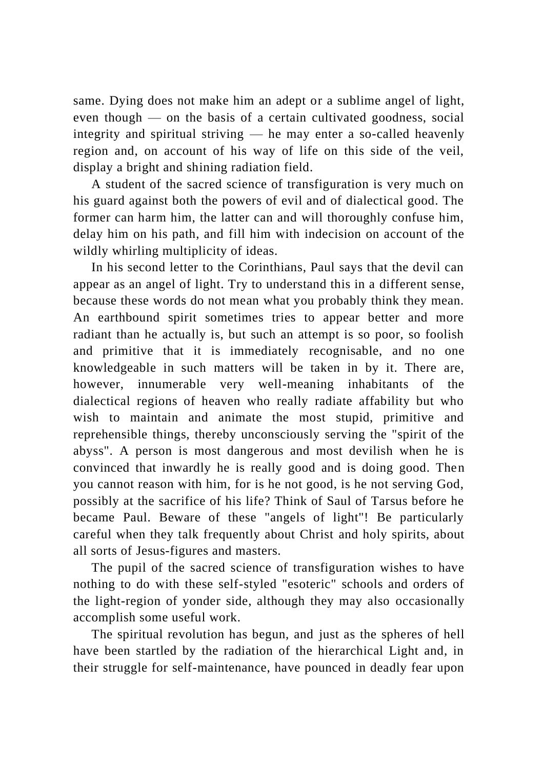same. Dying does not make him an adept or a sublime angel of light, even though — on the basis of a certain cultivated goodness, social integrity and spiritual striving — he may enter a so-called heavenly region and, on account of his way of life on this side of the veil, display a bright and shining radiation field.

A student of the sacred science of transfiguration is very much on his guard against both the powers of evil and of dialectical good. The former can harm him, the latter can and will thoroughly confuse him, delay him on his path, and fill him with indecision on account of the wildly whirling multiplicity of ideas.

In his second letter to the Corinthians, Paul says that the devil can appear as an angel of light. Try to understand this in a different sense, because these words do not mean what you probably think they mean. An earthbound spirit sometimes tries to appear better and more radiant than he actually is, but such an attempt is so poor, so foolish and primitive that it is immediately recognisable, and no one knowledgeable in such matters will be taken in by it. There are, however, innumerable very well-meaning inhabitants of the dialectical regions of heaven who really radiate affability but who wish to maintain and animate the most stupid, primitive and reprehensible things, thereby unconsciously serving the "spirit of the abyss". A person is most dangerous and most devilish when he is convinced that inwardly he is really good and is doing good. Then you cannot reason with him, for is he not good, is he not serving God, possibly at the sacrifice of his life? Think of Saul of Tarsus before he became Paul. Beware of these "angels of light"! Be particularly careful when they talk frequently about Christ and holy spirits, about all sorts of Jesus-figures and masters.

The pupil of the sacred science of transfiguration wishes to have nothing to do with these self-styled "esoteric" schools and orders of the light-region of yonder side, although they may also occasionally accomplish some useful work.

The spiritual revolution has begun, and just as the spheres of hell have been startled by the radiation of the hierarchical Light and, in their struggle for self-maintenance, have pounced in deadly fear upon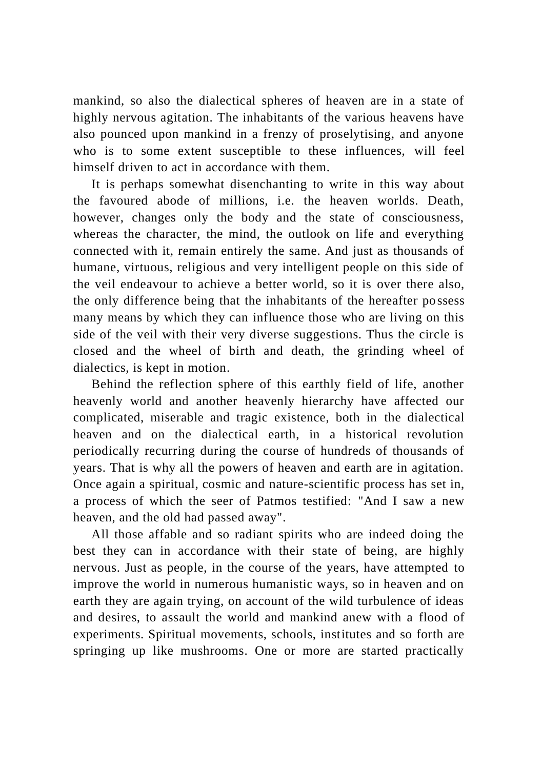mankind, so also the dialectical spheres of heaven are in a state of highly nervous agitation. The inhabitants of the various heavens have also pounced upon mankind in a frenzy of proselytising, and anyone who is to some extent susceptible to these influences, will feel himself driven to act in accordance with them.

It is perhaps somewhat disenchanting to write in this way about the favoured abode of millions, i.e. the heaven worlds. Death, however, changes only the body and the state of consciousness, whereas the character, the mind, the outlook on life and everything connected with it, remain entirely the same. And just as thousands of humane, virtuous, religious and very intelligent people on this side of the veil endeavour to achieve a better world, so it is over there also, the only difference being that the inhabitants of the hereafter po ssess many means by which they can influence those who are living on this side of the veil with their very diverse suggestions. Thus the circle is closed and the wheel of birth and death, the grinding wheel of dialectics, is kept in motion.

Behind the reflection sphere of this earthly field of life, another heavenly world and another heavenly hierarchy have affected our complicated, miserable and tragic existence, both in the dialectical heaven and on the dialectical earth, in a historical revolution periodically recurring during the course of hundreds of thousands of years. That is why all the powers of heaven and earth are in agitation. Once again a spiritual, cosmic and nature-scientific process has set in, a process of which the seer of Patmos testified: "And I saw a new heaven, and the old had passed away".

All those affable and so radiant spirits who are indeed doing the best they can in accordance with their state of being, are highly nervous. Just as people, in the course of the years, have attempted to improve the world in numerous humanistic ways, so in heaven and on earth they are again trying, on account of the wild turbulence of ideas and desires, to assault the world and mankind anew with a flood of experiments. Spiritual movements, schools, institutes and so forth are springing up like mushrooms. One or more are started practically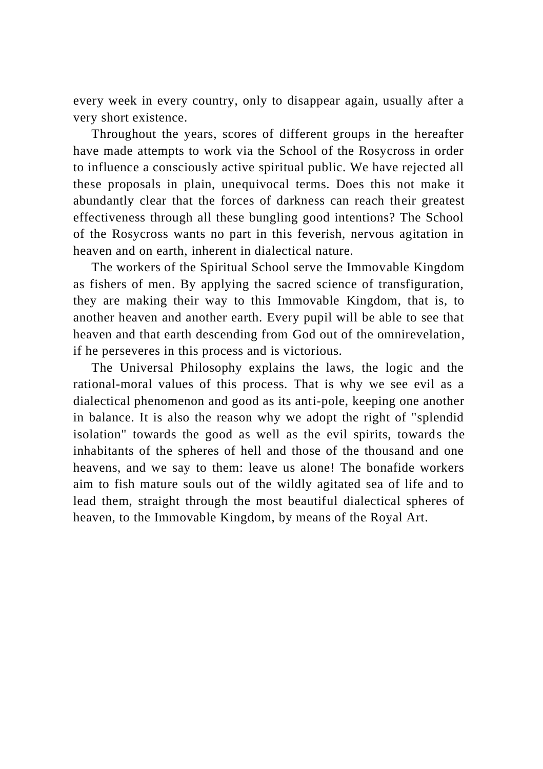every week in every country, only to disappear again, usually after a very short existence.

Throughout the years, scores of different groups in the hereafter have made attempts to work via the School of the Rosycross in order to influence a consciously active spiritual public. We have rejected all these proposals in plain, unequivocal terms. Does this not make it abundantly clear that the forces of darkness can reach their greatest effectiveness through all these bungling good intentions? The School of the Rosycross wants no part in this feverish, nervous agitation in heaven and on earth, inherent in dialectical nature.

The workers of the Spiritual School serve the Immovable Kingdom as fishers of men. By applying the sacred science of transfiguration, they are making their way to this Immovable Kingdom, that is, to another heaven and another earth. Every pupil will be able to see that heaven and that earth descending from God out of the omnirevelation, if he perseveres in this process and is victorious.

The Universal Philosophy explains the laws, the logic and the rational-moral values of this process. That is why we see evil as a dialectical phenomenon and good as its anti-pole, keeping one another in balance. It is also the reason why we adopt the right of "splendid isolation" towards the good as well as the evil spirits, towards the inhabitants of the spheres of hell and those of the thousand and one heavens, and we say to them: leave us alone! The bonafide workers aim to fish mature souls out of the wildly agitated sea of life and to lead them, straight through the most beautiful dialectical spheres of heaven, to the Immovable Kingdom, by means of the Royal Art.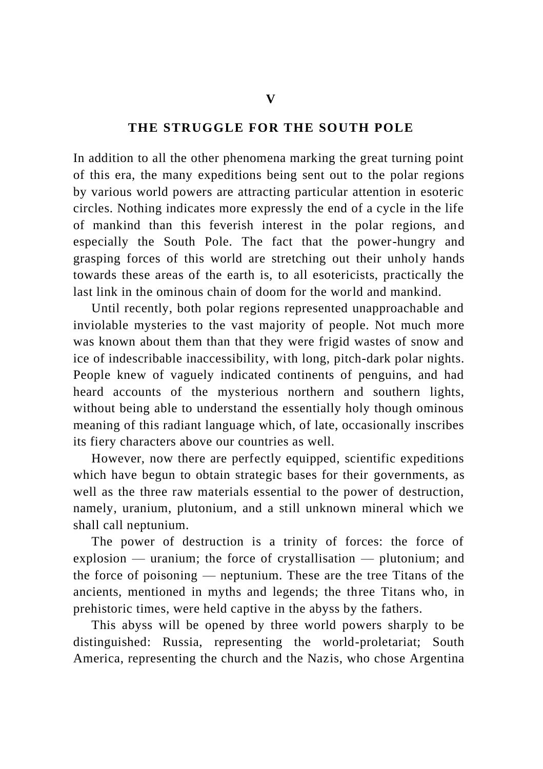#### **THE STRUGGLE FOR THE SOUTH POLE**

In addition to all the other phenomena marking the great turning point of this era, the many expeditions being sent out to the polar regions by various world powers are attracting particular attention in esoteric circles. Nothing indicates more expressly the end of a cycle in the life of mankind than this feverish interest in the polar regions, and especially the South Pole. The fact that the power-hungry and grasping forces of this world are stretching out their unholy hands towards these areas of the earth is, to all esotericists, practically the last link in the ominous chain of doom for the world and mankind.

Until recently, both polar regions represented unapproachable and inviolable mysteries to the vast majority of people. Not much more was known about them than that they were frigid wastes of snow and ice of indescribable inaccessibility, with long, pitch-dark polar nights. People knew of vaguely indicated continents of penguins, and had heard accounts of the mysterious northern and southern lights, without being able to understand the essentially holy though ominous meaning of this radiant language which, of late, occasionally inscribes its fiery characters above our countries as well.

However, now there are perfectly equipped, scientific expeditions which have begun to obtain strategic bases for their governments, as well as the three raw materials essential to the power of destruction, namely, uranium, plutonium, and a still unknown mineral which we shall call neptunium.

The power of destruction is a trinity of forces: the force of explosion — uranium; the force of crystallisation — plutonium; and the force of poisoning — neptunium. These are the tree Titans of the ancients, mentioned in myths and legends; the three Titans who, in prehistoric times, were held captive in the abyss by the fathers.

This abyss will be opened by three world powers sharply to be distinguished: Russia, representing the world-proletariat; South America, representing the church and the Nazis, who chose Argentina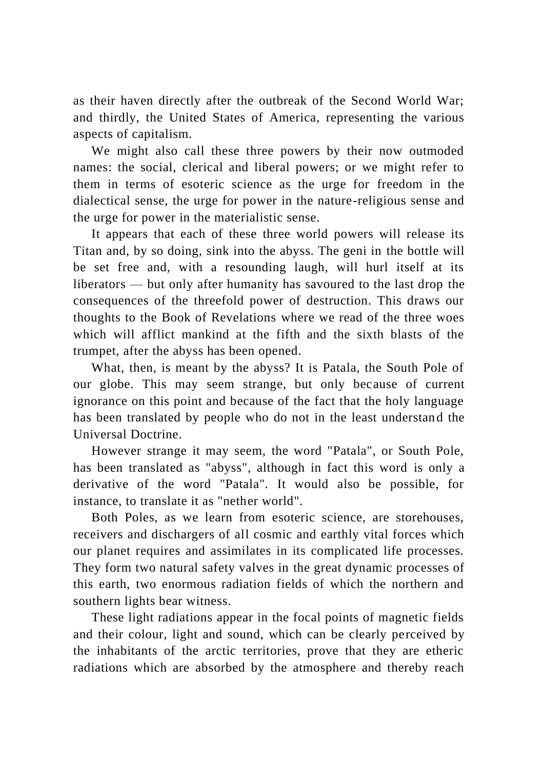as their haven directly after the outbreak of the Second World War; and thirdly, the United States of America, representing the various aspects of capitalism.

We might also call these three powers by their now outmoded names: the social, clerical and liberal powers; or we might refer to them in terms of esoteric science as the urge for freedom in the dialectical sense, the urge for power in the nature-religious sense and the urge for power in the materialistic sense.

It appears that each of these three world powers will release its Titan and, by so doing, sink into the abyss. The geni in the bottle will be set free and, with a resounding laugh, will hurl itself at its liberators — but only after humanity has savoured to the last drop the consequences of the threefold power of destruction. This draws our thoughts to the Book of Revelations where we read of the three woes which will afflict mankind at the fifth and the sixth blasts of the trumpet, after the abyss has been opened.

What, then, is meant by the abyss? It is Patala, the South Pole of our globe. This may seem strange, but only because of current ignorance on this point and because of the fact that the holy language has been translated by people who do not in the least understand the Universal Doctrine.

However strange it may seem, the word "Patala", or South Pole, has been translated as "abyss", although in fact this word is only a derivative of the word "Patala". It would also be possible, for instance, to translate it as "nether world".

Both Poles, as we learn from esoteric science, are storehouses, receivers and dischargers of all cosmic and earthly vital forces which our planet requires and assimilates in its complicated life processes. They form two natural safety valves in the great dynamic processes of this earth, two enormous radiation fields of which the northern and southern lights bear witness.

These light radiations appear in the focal points of magnetic fields and their colour, light and sound, which can be clearly perceived by the inhabitants of the arctic territories, prove that they are etheric radiations which are absorbed by the atmosphere and thereby reach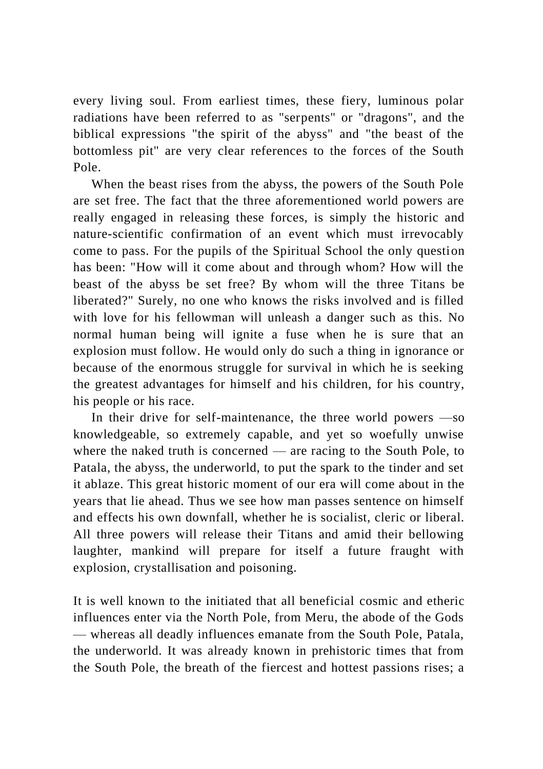every living soul. From earliest times, these fiery, luminous polar radiations have been referred to as "serpents" or "dragons", and the biblical expressions "the spirit of the abyss" and "the beast of the bottomless pit" are very clear references to the forces of the South Pole.

When the beast rises from the abyss, the powers of the South Pole are set free. The fact that the three aforementioned world powers are really engaged in releasing these forces, is simply the historic and nature-scientific confirmation of an event which must irrevocably come to pass. For the pupils of the Spiritual School the only question has been: "How will it come about and through whom? How will the beast of the abyss be set free? By whom will the three Titans be liberated?" Surely, no one who knows the risks involved and is filled with love for his fellowman will unleash a danger such as this. No normal human being will ignite a fuse when he is sure that an explosion must follow. He would only do such a thing in ignorance or because of the enormous struggle for survival in which he is seeking the greatest advantages for himself and his children, for his country, his people or his race.

In their drive for self-maintenance, the three world powers —so knowledgeable, so extremely capable, and yet so woefully unwise where the naked truth is concerned — are racing to the South Pole, to Patala, the abyss, the underworld, to put the spark to the tinder and set it ablaze. This great historic moment of our era will come about in the years that lie ahead. Thus we see how man passes sentence on himself and effects his own downfall, whether he is socialist, cleric or liberal. All three powers will release their Titans and amid their bellowing laughter, mankind will prepare for itself a future fraught with explosion, crystallisation and poisoning.

It is well known to the initiated that all beneficial cosmic and etheric influences enter via the North Pole, from Meru, the abode of the Gods — whereas all deadly influences emanate from the South Pole, Patala, the underworld. It was already known in prehistoric times that from the South Pole, the breath of the fiercest and hottest passions rises; a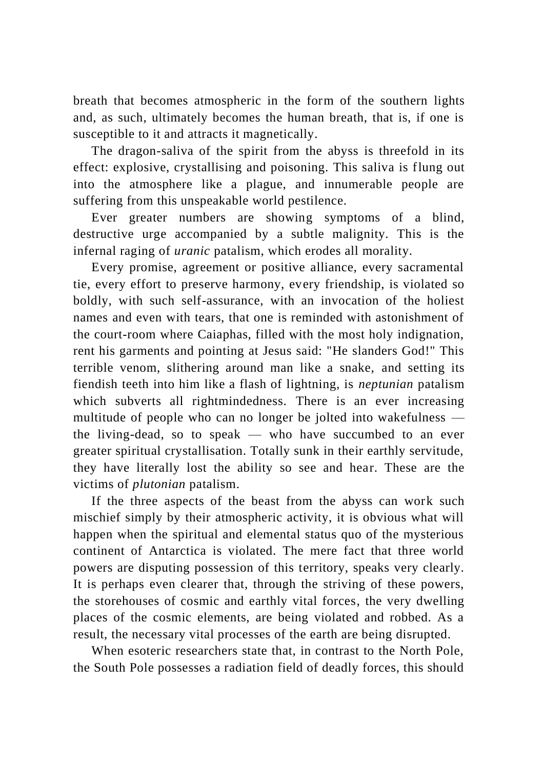breath that becomes atmospheric in the form of the southern lights and, as such, ultimately becomes the human breath, that is, if one is susceptible to it and attracts it magnetically.

The dragon-saliva of the spirit from the abyss is threefold in its effect: explosive, crystallising and poisoning. This saliva is flung out into the atmosphere like a plague, and innumerable people are suffering from this unspeakable world pestilence.

Ever greater numbers are showing symptoms of a blind, destructive urge accompanied by a subtle malignity. This is the infernal raging of *uranic* patalism, which erodes all morality.

Every promise, agreement or positive alliance, every sacramental tie, every effort to preserve harmony, every friendship, is violated so boldly, with such self-assurance, with an invocation of the holiest names and even with tears, that one is reminded with astonishment of the court-room where Caiaphas, filled with the most holy indignation, rent his garments and pointing at Jesus said: "He slanders God!" This terrible venom, slithering around man like a snake, and setting its fiendish teeth into him like a flash of lightning, is *neptunian* patalism which subverts all rightmindedness. There is an ever increasing multitude of people who can no longer be jolted into wakefulness the living-dead, so to speak — who have succumbed to an ever greater spiritual crystallisation. Totally sunk in their earthly servitude, they have literally lost the ability so see and hear. These are the victims of *plutonian* patalism.

If the three aspects of the beast from the abyss can work such mischief simply by their atmospheric activity, it is obvious what will happen when the spiritual and elemental status quo of the mysterious continent of Antarctica is violated. The mere fact that three world powers are disputing possession of this territory, speaks very clearly. It is perhaps even clearer that, through the striving of these powers, the storehouses of cosmic and earthly vital forces, the very dwelling places of the cosmic elements, are being violated and robbed. As a result, the necessary vital processes of the earth are being disrupted.

When esoteric researchers state that, in contrast to the North Pole, the South Pole possesses a radiation field of deadly forces, this should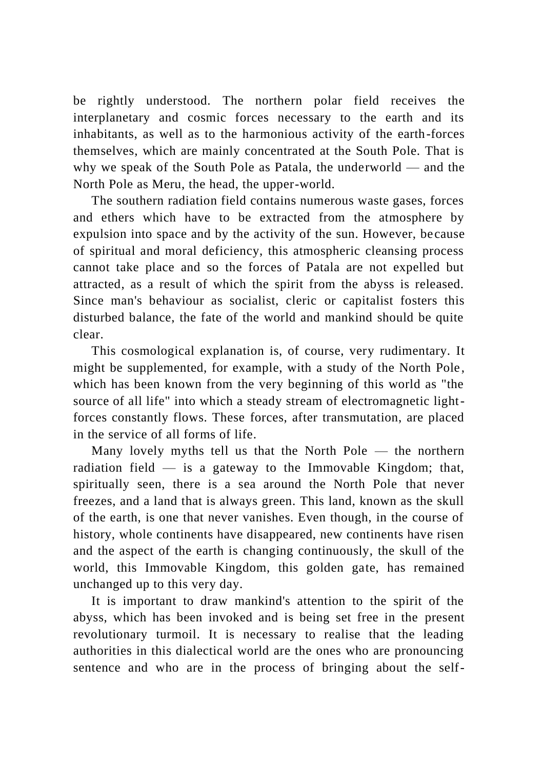be rightly understood. The northern polar field receives the interplanetary and cosmic forces necessary to the earth and its inhabitants, as well as to the harmonious activity of the earth-forces themselves, which are mainly concentrated at the South Pole. That is why we speak of the South Pole as Patala, the underworld — and the North Pole as Meru, the head, the upper-world.

The southern radiation field contains numerous waste gases, forces and ethers which have to be extracted from the atmosphere by expulsion into space and by the activity of the sun. However, be cause of spiritual and moral deficiency, this atmospheric cleansing process cannot take place and so the forces of Patala are not expelled but attracted, as a result of which the spirit from the abyss is released. Since man's behaviour as socialist, cleric or capitalist fosters this disturbed balance, the fate of the world and mankind should be quite clear.

This cosmological explanation is, of course, very rudimentary. It might be supplemented, for example, with a study of the North Pole , which has been known from the very beginning of this world as "the source of all life" into which a steady stream of electromagnetic lightforces constantly flows. These forces, after transmutation, are placed in the service of all forms of life.

Many lovely myths tell us that the North Pole — the northern radiation field  $\overline{\phantom{a}}$  is a gateway to the Immovable Kingdom; that, spiritually seen, there is a sea around the North Pole that never freezes, and a land that is always green. This land, known as the skull of the earth, is one that never vanishes. Even though, in the course of history, whole continents have disappeared, new continents have risen and the aspect of the earth is changing continuously, the skull of the world, this Immovable Kingdom, this golden gate, has remained unchanged up to this very day.

It is important to draw mankind's attention to the spirit of the abyss, which has been invoked and is being set free in the present revolutionary turmoil. It is necessary to realise that the leading authorities in this dialectical world are the ones who are pronouncing sentence and who are in the process of bringing about the self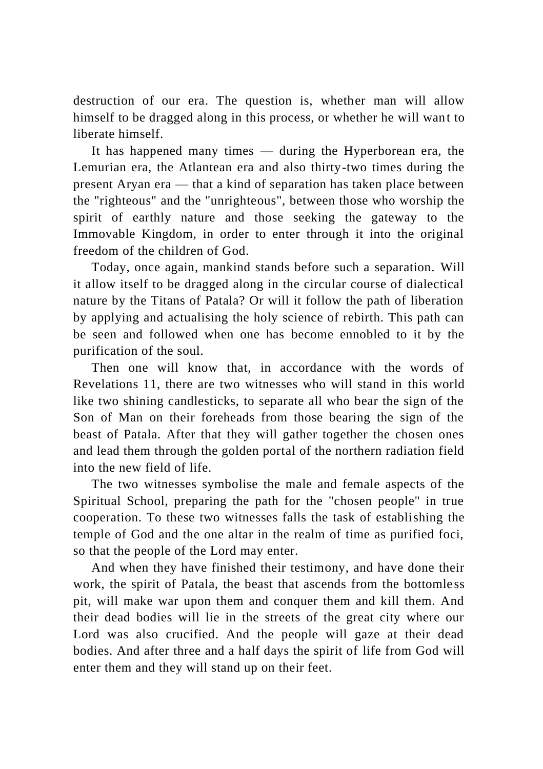destruction of our era. The question is, whether man will allow himself to be dragged along in this process, or whether he will want to liberate himself.

It has happened many times — during the Hyperborean era, the Lemurian era, the Atlantean era and also thirty-two times during the present Aryan era — that a kind of separation has taken place between the "righteous" and the "unrighteous", between those who worship the spirit of earthly nature and those seeking the gateway to the Immovable Kingdom, in order to enter through it into the original freedom of the children of God.

Today, once again, mankind stands before such a separation. Will it allow itself to be dragged along in the circular course of dialectical nature by the Titans of Patala? Or will it follow the path of liberation by applying and actualising the holy science of rebirth. This path can be seen and followed when one has become ennobled to it by the purification of the soul.

Then one will know that, in accordance with the words of Revelations 11, there are two witnesses who will stand in this world like two shining candlesticks, to separate all who bear the sign of the Son of Man on their foreheads from those bearing the sign of the beast of Patala. After that they will gather together the chosen ones and lead them through the golden portal of the northern radiation field into the new field of life.

The two witnesses symbolise the male and female aspects of the Spiritual School, preparing the path for the "chosen people" in true cooperation. To these two witnesses falls the task of establishing the temple of God and the one altar in the realm of time as purified foci, so that the people of the Lord may enter.

And when they have finished their testimony, and have done their work, the spirit of Patala, the beast that ascends from the bottomle ss pit, will make war upon them and conquer them and kill them. And their dead bodies will lie in the streets of the great city where our Lord was also crucified. And the people will gaze at their dead bodies. And after three and a half days the spirit of life from God will enter them and they will stand up on their feet.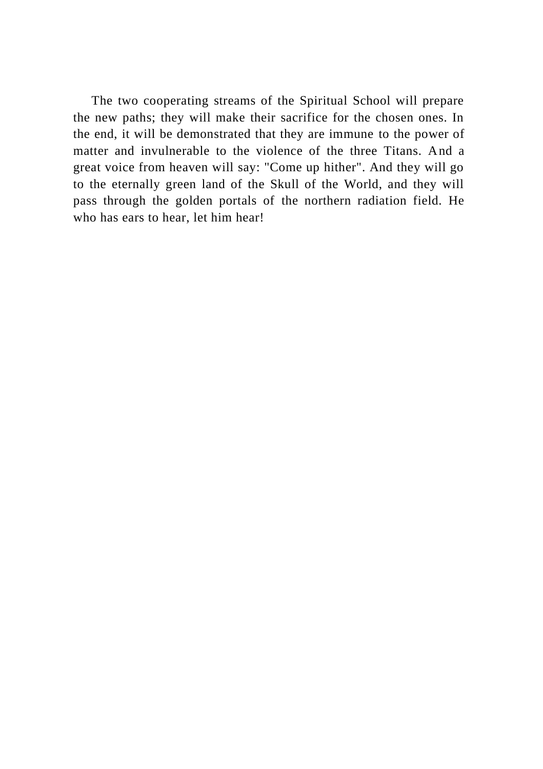The two cooperating streams of the Spiritual School will prepare the new paths; they will make their sacrifice for the chosen ones. In the end, it will be demonstrated that they are immune to the power of matter and invulnerable to the violence of the three Titans. And a great voice from heaven will say: "Come up hither". And they will go to the eternally green land of the Skull of the World, and they will pass through the golden portals of the northern radiation field. He who has ears to hear, let him hear!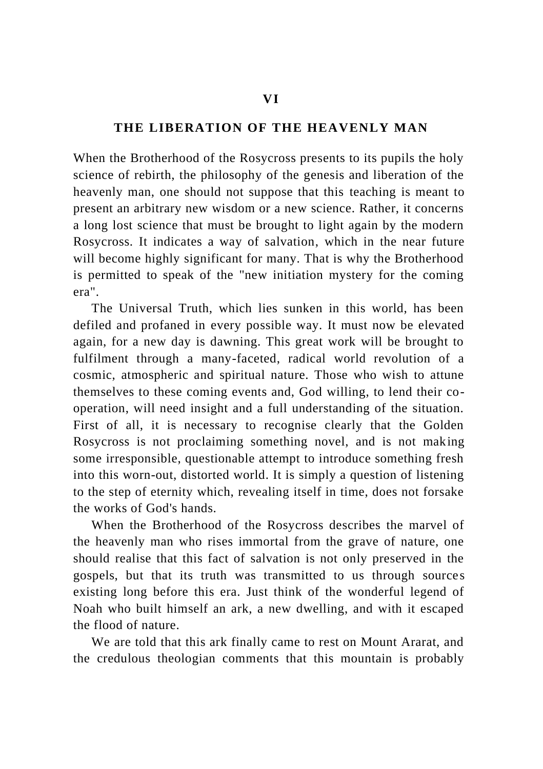## **THE LIBERATION OF THE HEAVENLY MAN**

When the Brotherhood of the Rosycross presents to its pupils the holy science of rebirth, the philosophy of the genesis and liberation of the heavenly man, one should not suppose that this teaching is meant to present an arbitrary new wisdom or a new science. Rather, it concerns a long lost science that must be brought to light again by the modern Rosycross. It indicates a way of salvation, which in the near future will become highly significant for many. That is why the Brotherhood is permitted to speak of the "new initiation mystery for the coming era".

The Universal Truth, which lies sunken in this world, has been defiled and profaned in every possible way. It must now be elevated again, for a new day is dawning. This great work will be brought to fulfilment through a many-faceted, radical world revolution of a cosmic, atmospheric and spiritual nature. Those who wish to attune themselves to these coming events and, God willing, to lend their cooperation, will need insight and a full understanding of the situation. First of all, it is necessary to recognise clearly that the Golden Rosycross is not proclaiming something novel, and is not making some irresponsible, questionable attempt to introduce something fresh into this worn-out, distorted world. It is simply a question of listening to the step of eternity which, revealing itself in time, does not forsake the works of God's hands.

When the Brotherhood of the Rosycross describes the marvel of the heavenly man who rises immortal from the grave of nature, one should realise that this fact of salvation is not only preserved in the gospels, but that its truth was transmitted to us through source s existing long before this era. Just think of the wonderful legend of Noah who built himself an ark, a new dwelling, and with it escaped the flood of nature.

We are told that this ark finally came to rest on Mount Ararat, and the credulous theologian comments that this mountain is probably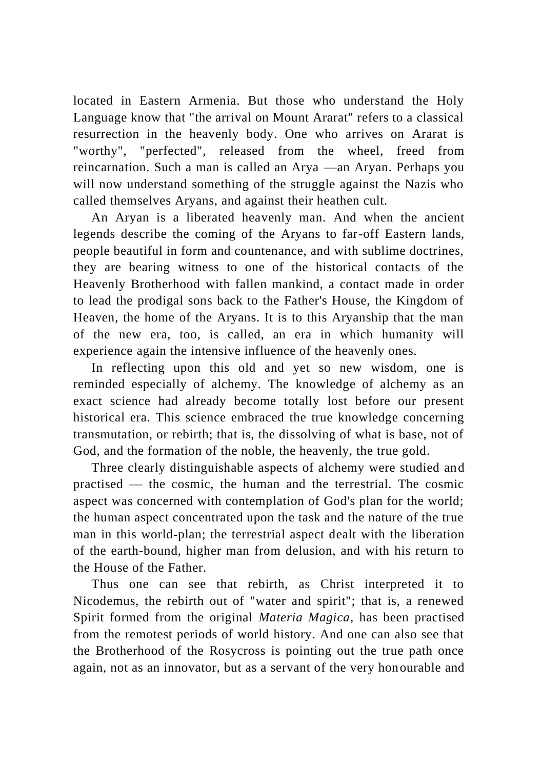located in Eastern Armenia. But those who understand the Holy Language know that "the arrival on Mount Ararat" refers to a classical resurrection in the heavenly body. One who arrives on Ararat is "worthy", "perfected", released from the wheel, freed from reincarnation. Such a man is called an Arya —an Aryan. Perhaps you will now understand something of the struggle against the Nazis who called themselves Aryans, and against their heathen cult.

An Aryan is a liberated heavenly man. And when the ancient legends describe the coming of the Aryans to far-off Eastern lands, people beautiful in form and countenance, and with sublime doctrines, they are bearing witness to one of the historical contacts of the Heavenly Brotherhood with fallen mankind, a contact made in order to lead the prodigal sons back to the Father's House, the Kingdom of Heaven, the home of the Aryans. It is to this Aryanship that the man of the new era, too, is called, an era in which humanity will experience again the intensive influence of the heavenly ones.

In reflecting upon this old and yet so new wisdom, one is reminded especially of alchemy. The knowledge of alchemy as an exact science had already become totally lost before our present historical era. This science embraced the true knowledge concerning transmutation, or rebirth; that is, the dissolving of what is base, not of God, and the formation of the noble, the heavenly, the true gold.

Three clearly distinguishable aspects of alchemy were studied and practised — the cosmic, the human and the terrestrial. The cosmic aspect was concerned with contemplation of God's plan for the world; the human aspect concentrated upon the task and the nature of the true man in this world-plan; the terrestrial aspect dealt with the liberation of the earth-bound, higher man from delusion, and with his return to the House of the Father.

Thus one can see that rebirth, as Christ interpreted it to Nicodemus, the rebirth out of "water and spirit"; that is, a renewed Spirit formed from the original *Materia Magica*, has been practised from the remotest periods of world history. And one can also see that the Brotherhood of the Rosycross is pointing out the true path once again, not as an innovator, but as a servant of the very honourable and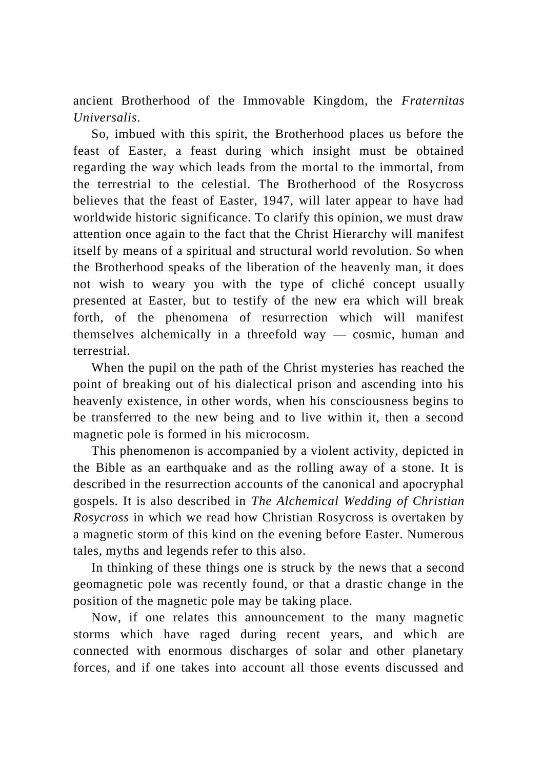ancient Brotherhood of the Immovable Kingdom, the *Fraternitas Universalis*.

So, imbued with this spirit, the Brotherhood places us before the feast of Easter, a feast during which insight must be obtained regarding the way which leads from the mortal to the immortal, from the terrestrial to the celestial. The Brotherhood of the Rosycross believes that the feast of Easter, 1947, will later appear to have had worldwide historic significance. To clarify this opinion, we must draw attention once again to the fact that the Christ Hierarchy will manifest itself by means of a spiritual and structural world revolution. So when the Brotherhood speaks of the liberation of the heavenly man, it does not wish to weary you with the type of cliché concept usually presented at Easter, but to testify of the new era which will break forth, of the phenomena of resurrection which will manifest themselves alchemically in a threefold way — cosmic, human and terrestrial.

When the pupil on the path of the Christ mysteries has reached the point of breaking out of his dialectical prison and ascending into his heavenly existence, in other words, when his consciousness begins to be transferred to the new being and to live within it, then a second magnetic pole is formed in his microcosm.

This phenomenon is accompanied by a violent activity, depicted in the Bible as an earthquake and as the rolling away of a stone. It is described in the resurrection accounts of the canonical and apocryphal gospels. It is also described in *The Alchemical Wedding of Christian Rosycross* in which we read how Christian Rosycross is overtaken by a magnetic storm of this kind on the evening before Easter. Numerous tales, myths and legends refer to this also.

In thinking of these things one is struck by the news that a second geomagnetic pole was recently found, or that a drastic change in the position of the magnetic pole may be taking place.

Now, if one relates this announcement to the many magnetic storms which have raged during recent years, and which are connected with enormous discharges of solar and other planetary forces, and if one takes into account all those events discussed and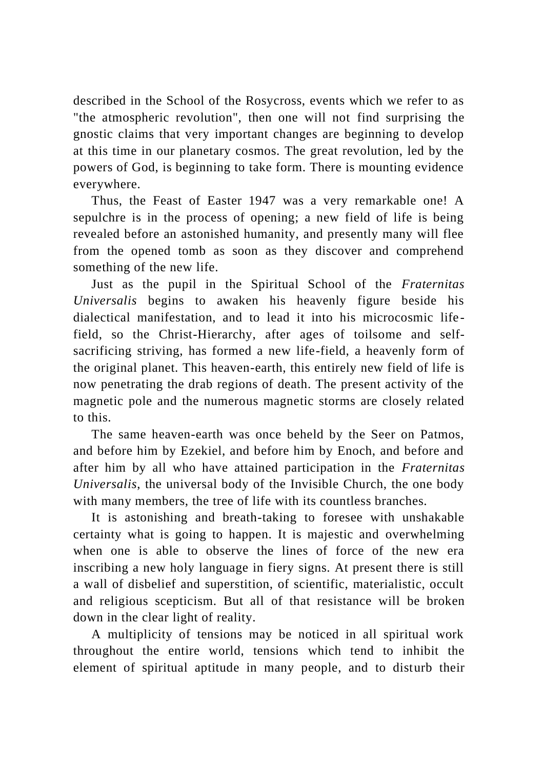described in the School of the Rosycross, events which we refer to as "the atmospheric revolution", then one will not find surprising the gnostic claims that very important changes are beginning to develop at this time in our planetary cosmos. The great revolution, led by the powers of God, is beginning to take form. There is mounting evidence everywhere.

Thus, the Feast of Easter 1947 was a very remarkable one! A sepulchre is in the process of opening; a new field of life is being revealed before an astonished humanity, and presently many will flee from the opened tomb as soon as they discover and comprehend something of the new life.

Just as the pupil in the Spiritual School of the *Fraternitas Universalis* begins to awaken his heavenly figure beside his dialectical manifestation, and to lead it into his microcosmic life field, so the Christ-Hierarchy, after ages of toilsome and selfsacrificing striving, has formed a new life-field, a heavenly form of the original planet. This heaven-earth, this entirely new field of life is now penetrating the drab regions of death. The present activity of the magnetic pole and the numerous magnetic storms are closely related to this.

The same heaven-earth was once beheld by the Seer on Patmos, and before him by Ezekiel, and before him by Enoch, and before and after him by all who have attained participation in the *Fraternitas Universalis*, the universal body of the Invisible Church, the one body with many members, the tree of life with its countless branches.

It is astonishing and breath-taking to foresee with unshakable certainty what is going to happen. It is majestic and overwhelming when one is able to observe the lines of force of the new era inscribing a new holy language in fiery signs. At present there is still a wall of disbelief and superstition, of scientific, materialistic, occult and religious scepticism. But all of that resistance will be broken down in the clear light of reality.

A multiplicity of tensions may be noticed in all spiritual work throughout the entire world, tensions which tend to inhibit the element of spiritual aptitude in many people, and to disturb their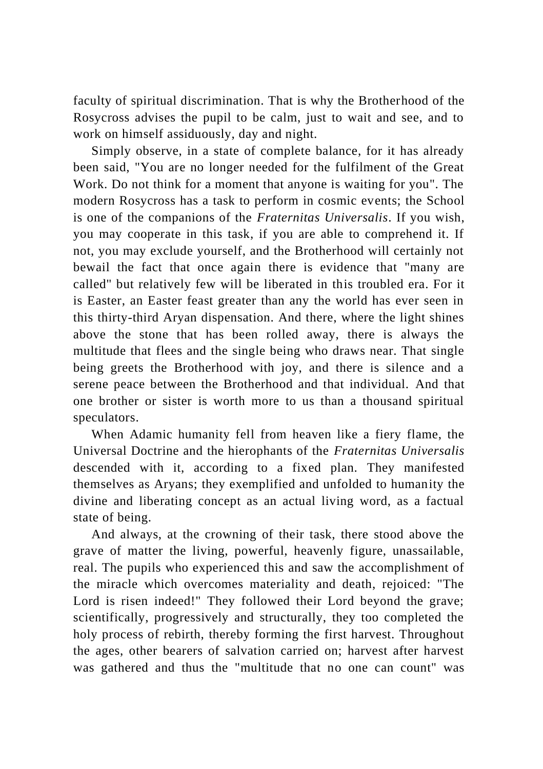faculty of spiritual discrimination. That is why the Brotherhood of the Rosycross advises the pupil to be calm, just to wait and see, and to work on himself assiduously, day and night.

Simply observe, in a state of complete balance, for it has already been said, "You are no longer needed for the fulfilment of the Great Work. Do not think for a moment that anyone is waiting for you". The modern Rosycross has a task to perform in cosmic events; the School is one of the companions of the *Fraternitas Universalis*. If you wish, you may cooperate in this task, if you are able to comprehend it. If not, you may exclude yourself, and the Brotherhood will certainly not bewail the fact that once again there is evidence that "many are called" but relatively few will be liberated in this troubled era. For it is Easter, an Easter feast greater than any the world has ever seen in this thirty-third Aryan dispensation. And there, where the light shines above the stone that has been rolled away, there is always the multitude that flees and the single being who draws near. That single being greets the Brotherhood with joy, and there is silence and a serene peace between the Brotherhood and that individual. And that one brother or sister is worth more to us than a thousand spiritual speculators.

When Adamic humanity fell from heaven like a fiery flame, the Universal Doctrine and the hierophants of the *Fraternitas Universalis* descended with it, according to a fixed plan. They manifested themselves as Aryans; they exemplified and unfolded to humanity the divine and liberating concept as an actual living word, as a factual state of being.

And always, at the crowning of their task, there stood above the grave of matter the living, powerful, heavenly figure, unassailable, real. The pupils who experienced this and saw the accomplishment of the miracle which overcomes materiality and death, rejoiced: "The Lord is risen indeed!" They followed their Lord beyond the grave; scientifically, progressively and structurally, they too completed the holy process of rebirth, thereby forming the first harvest. Throughout the ages, other bearers of salvation carried on; harvest after harvest was gathered and thus the "multitude that no one can count" was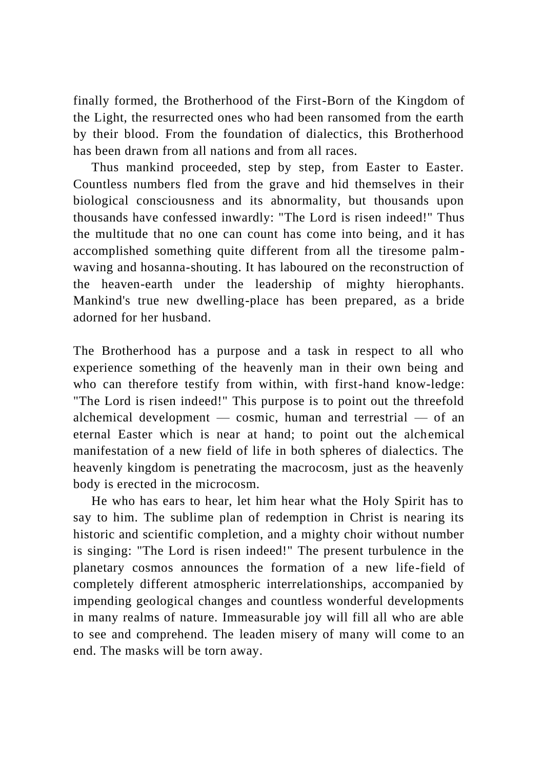finally formed, the Brotherhood of the First-Born of the Kingdom of the Light, the resurrected ones who had been ransomed from the earth by their blood. From the foundation of dialectics, this Brotherhood has been drawn from all nations and from all races.

Thus mankind proceeded, step by step, from Easter to Easter. Countless numbers fled from the grave and hid themselves in their biological consciousness and its abnormality, but thousands upon thousands have confessed inwardly: "The Lord is risen indeed!" Thus the multitude that no one can count has come into being, and it has accomplished something quite different from all the tiresome palmwaving and hosanna-shouting. It has laboured on the reconstruction of the heaven-earth under the leadership of mighty hierophants. Mankind's true new dwelling-place has been prepared, as a bride adorned for her husband.

The Brotherhood has a purpose and a task in respect to all who experience something of the heavenly man in their own being and who can therefore testify from within, with first-hand know-ledge: "The Lord is risen indeed!" This purpose is to point out the threefold alchemical development  $-$  cosmic, human and terrestrial  $-$  of an eternal Easter which is near at hand; to point out the alchemical manifestation of a new field of life in both spheres of dialectics. The heavenly kingdom is penetrating the macrocosm, just as the heavenly body is erected in the microcosm.

He who has ears to hear, let him hear what the Holy Spirit has to say to him. The sublime plan of redemption in Christ is nearing its historic and scientific completion, and a mighty choir without number is singing: "The Lord is risen indeed!" The present turbulence in the planetary cosmos announces the formation of a new life-field of completely different atmospheric interrelationships, accompanied by impending geological changes and countless wonderful developments in many realms of nature. Immeasurable joy will fill all who are able to see and comprehend. The leaden misery of many will come to an end. The masks will be torn away.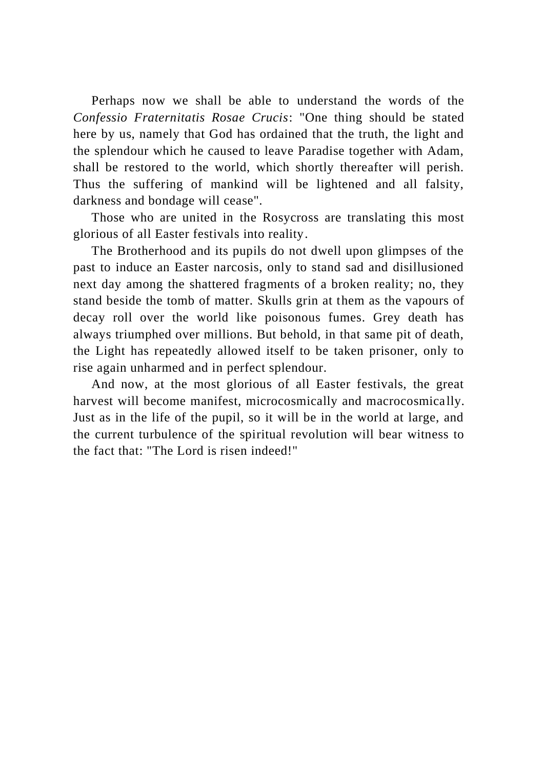Perhaps now we shall be able to understand the words of the *Confessio Fraternitatis Rosae Crucis*: "One thing should be stated here by us, namely that God has ordained that the truth, the light and the splendour which he caused to leave Paradise together with Adam, shall be restored to the world, which shortly thereafter will perish. Thus the suffering of mankind will be lightened and all falsity, darkness and bondage will cease".

Those who are united in the Rosycross are translating this most glorious of all Easter festivals into reality.

The Brotherhood and its pupils do not dwell upon glimpses of the past to induce an Easter narcosis, only to stand sad and disillusioned next day among the shattered fragments of a broken reality; no, they stand beside the tomb of matter. Skulls grin at them as the vapours of decay roll over the world like poisonous fumes. Grey death has always triumphed over millions. But behold, in that same pit of death, the Light has repeatedly allowed itself to be taken prisoner, only to rise again unharmed and in perfect splendour.

And now, at the most glorious of all Easter festivals, the great harvest will become manifest, microcosmically and macrocosmically. Just as in the life of the pupil, so it will be in the world at large, and the current turbulence of the spiritual revolution will bear witness to the fact that: "The Lord is risen indeed!"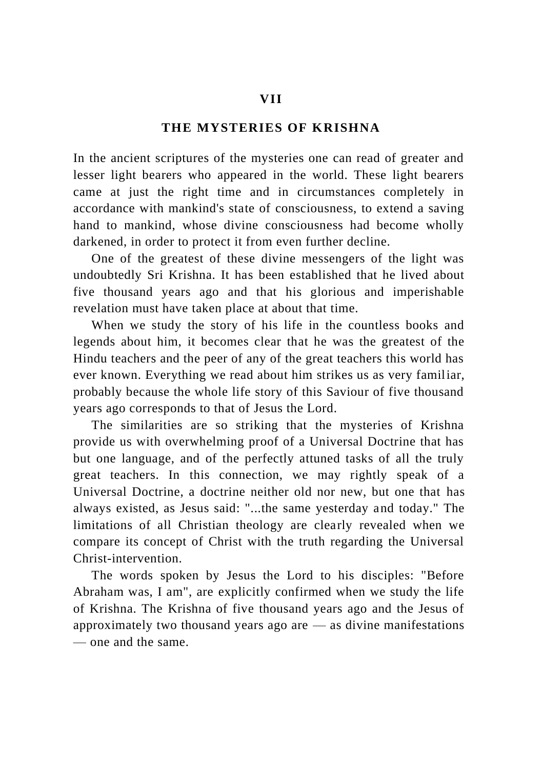# **THE MYSTERIES OF KRISHNA**

In the ancient scriptures of the mysteries one can read of greater and lesser light bearers who appeared in the world. These light bearers came at just the right time and in circumstances completely in accordance with mankind's state of consciousness, to extend a saving hand to mankind, whose divine consciousness had become wholly darkened, in order to protect it from even further decline.

One of the greatest of these divine messengers of the light was undoubtedly Sri Krishna. It has been established that he lived about five thousand years ago and that his glorious and imperishable revelation must have taken place at about that time.

When we study the story of his life in the countless books and legends about him, it becomes clear that he was the greatest of the Hindu teachers and the peer of any of the great teachers this world has ever known. Everything we read about him strikes us as very familiar, probably because the whole life story of this Saviour of five thousand years ago corresponds to that of Jesus the Lord.

The similarities are so striking that the mysteries of Krishna provide us with overwhelming proof of a Universal Doctrine that has but one language, and of the perfectly attuned tasks of all the truly great teachers. In this connection, we may rightly speak of a Universal Doctrine, a doctrine neither old nor new, but one that has always existed, as Jesus said: "...the same yesterday and today." The limitations of all Christian theology are clearly revealed when we compare its concept of Christ with the truth regarding the Universal Christ-intervention.

The words spoken by Jesus the Lord to his disciples: "Before Abraham was, I am", are explicitly confirmed when we study the life of Krishna. The Krishna of five thousand years ago and the Jesus of approximately two thousand years ago are — as divine manifestations — one and the same.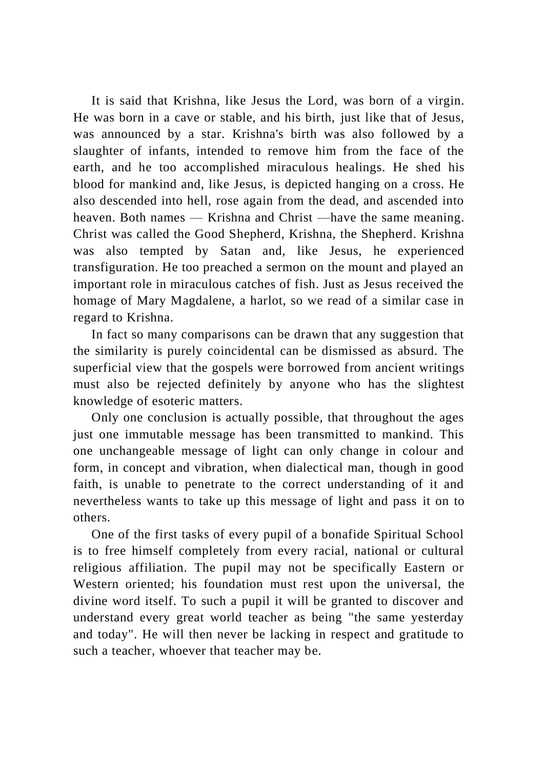It is said that Krishna, like Jesus the Lord, was born of a virgin. He was born in a cave or stable, and his birth, just like that of Jesus, was announced by a star. Krishna's birth was also followed by a slaughter of infants, intended to remove him from the face of the earth, and he too accomplished miraculous healings. He shed his blood for mankind and, like Jesus, is depicted hanging on a cross. He also descended into hell, rose again from the dead, and ascended into heaven. Both names — Krishna and Christ —have the same meaning. Christ was called the Good Shepherd, Krishna, the Shepherd. Krishna was also tempted by Satan and, like Jesus, he experienced transfiguration. He too preached a sermon on the mount and played an important role in miraculous catches of fish. Just as Jesus received the homage of Mary Magdalene, a harlot, so we read of a similar case in regard to Krishna.

In fact so many comparisons can be drawn that any suggestion that the similarity is purely coincidental can be dismissed as absurd. The superficial view that the gospels were borrowed from ancient writings must also be rejected definitely by anyone who has the slightest knowledge of esoteric matters.

Only one conclusion is actually possible, that throughout the ages just one immutable message has been transmitted to mankind. This one unchangeable message of light can only change in colour and form, in concept and vibration, when dialectical man, though in good faith, is unable to penetrate to the correct understanding of it and nevertheless wants to take up this message of light and pass it on to others.

One of the first tasks of every pupil of a bonafide Spiritual School is to free himself completely from every racial, national or cultural religious affiliation. The pupil may not be specifically Eastern or Western oriented; his foundation must rest upon the universal, the divine word itself. To such a pupil it will be granted to discover and understand every great world teacher as being "the same yesterday and today". He will then never be lacking in respect and gratitude to such a teacher, whoever that teacher may be.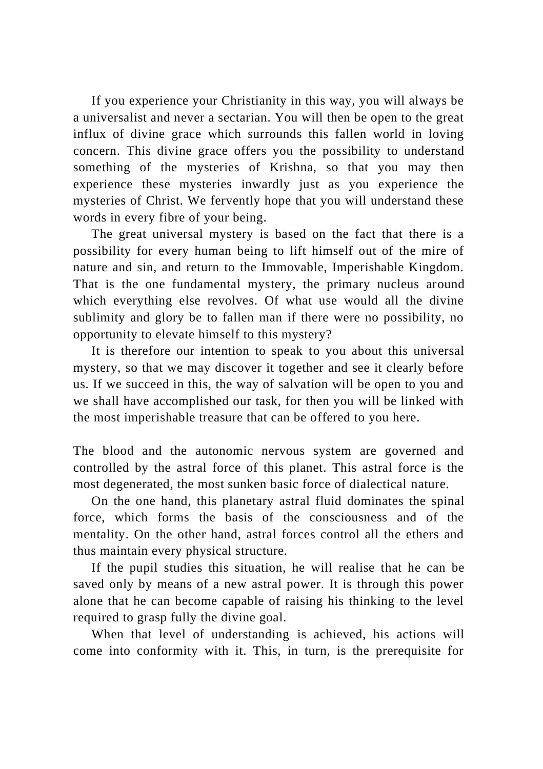If you experience your Christianity in this way, you will always be a universalist and never a sectarian. You will then be open to the great influx of divine grace which surrounds this fallen world in loving concern. This divine grace offers you the possibility to understand something of the mysteries of Krishna, so that you may then experience these mysteries inwardly just as you experience the mysteries of Christ. We fervently hope that you will understand these words in every fibre of your being.

The great universal mystery is based on the fact that there is a possibility for every human being to lift himself out of the mire of nature and sin, and return to the Immovable, Imperishable Kingdom. That is the one fundamental mystery, the primary nucleus around which everything else revolves. Of what use would all the divine sublimity and glory be to fallen man if there were no possibility, no opportunity to elevate himself to this mystery?

It is therefore our intention to speak to you about this universal mystery, so that we may discover it together and see it clearly before us. If we succeed in this, the way of salvation will be open to you and we shall have accomplished our task, for then you will be linked with the most imperishable treasure that can be offered to you here.

The blood and the autonomic nervous system are governed and controlled by the astral force of this planet. This astral force is the most degenerated, the most sunken basic force of dialectical nature.

On the one hand, this planetary astral fluid dominates the spinal force, which forms the basis of the consciousness and of the mentality. On the other hand, astral forces control all the ethers and thus maintain every physical structure.

If the pupil studies this situation, he will realise that he can be saved only by means of a new astral power. It is through this power alone that he can become capable of raising his thinking to the level required to grasp fully the divine goal.

When that level of understanding is achieved, his actions will come into conformity with it. This, in turn, is the prerequisite for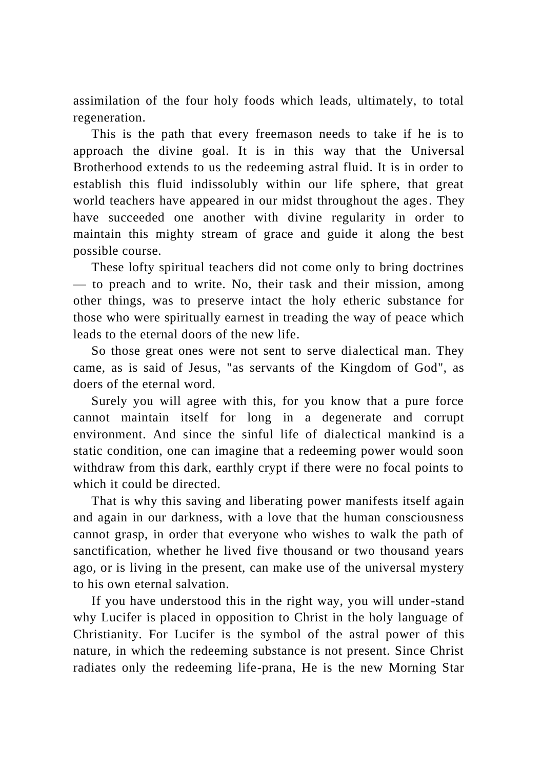assimilation of the four holy foods which leads, ultimately, to total regeneration.

This is the path that every freemason needs to take if he is to approach the divine goal. It is in this way that the Universal Brotherhood extends to us the redeeming astral fluid. It is in order to establish this fluid indissolubly within our life sphere, that great world teachers have appeared in our midst throughout the ages. They have succeeded one another with divine regularity in order to maintain this mighty stream of grace and guide it along the best possible course.

These lofty spiritual teachers did not come only to bring doctrines — to preach and to write. No, their task and their mission, among other things, was to preserve intact the holy etheric substance for those who were spiritually earnest in treading the way of peace which leads to the eternal doors of the new life.

So those great ones were not sent to serve dialectical man. They came, as is said of Jesus, "as servants of the Kingdom of God", as doers of the eternal word.

Surely you will agree with this, for you know that a pure force cannot maintain itself for long in a degenerate and corrupt environment. And since the sinful life of dialectical mankind is a static condition, one can imagine that a redeeming power would soon withdraw from this dark, earthly crypt if there were no focal points to which it could be directed.

That is why this saving and liberating power manifests itself again and again in our darkness, with a love that the human consciousness cannot grasp, in order that everyone who wishes to walk the path of sanctification, whether he lived five thousand or two thousand years ago, or is living in the present, can make use of the universal mystery to his own eternal salvation.

If you have understood this in the right way, you will under-stand why Lucifer is placed in opposition to Christ in the holy language of Christianity. For Lucifer is the symbol of the astral power of this nature, in which the redeeming substance is not present. Since Christ radiates only the redeeming life-prana, He is the new Morning Star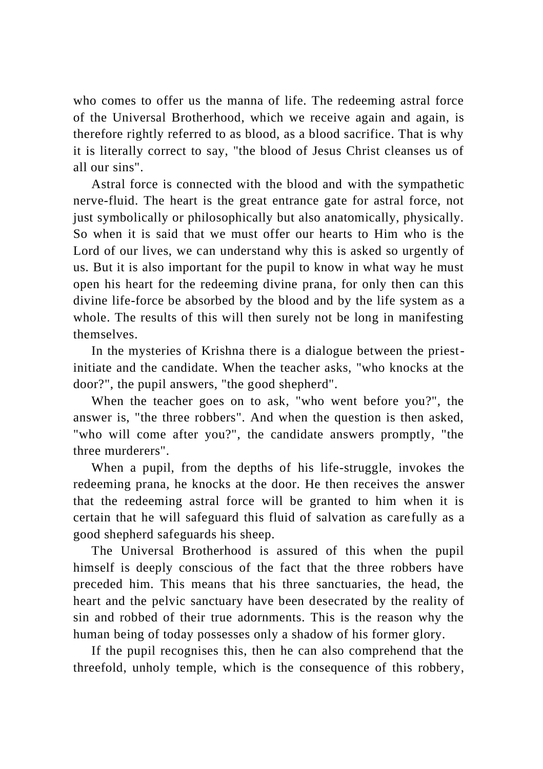who comes to offer us the manna of life. The redeeming astral force of the Universal Brotherhood, which we receive again and again, is therefore rightly referred to as blood, as a blood sacrifice. That is why it is literally correct to say, "the blood of Jesus Christ cleanses us of all our sins".

Astral force is connected with the blood and with the sympathetic nerve-fluid. The heart is the great entrance gate for astral force, not just symbolically or philosophically but also anatomically, physically. So when it is said that we must offer our hearts to Him who is the Lord of our lives, we can understand why this is asked so urgently of us. But it is also important for the pupil to know in what way he must open his heart for the redeeming divine prana, for only then can this divine life-force be absorbed by the blood and by the life system as a whole. The results of this will then surely not be long in manifesting themselves.

In the mysteries of Krishna there is a dialogue between the priestinitiate and the candidate. When the teacher asks, "who knocks at the door?", the pupil answers, "the good shepherd".

When the teacher goes on to ask, "who went before you?", the answer is, "the three robbers". And when the question is then asked, "who will come after you?", the candidate answers promptly, "the three murderers".

When a pupil, from the depths of his life-struggle, invokes the redeeming prana, he knocks at the door. He then receives the answer that the redeeming astral force will be granted to him when it is certain that he will safeguard this fluid of salvation as carefully as a good shepherd safeguards his sheep.

The Universal Brotherhood is assured of this when the pupil himself is deeply conscious of the fact that the three robbers have preceded him. This means that his three sanctuaries, the head, the heart and the pelvic sanctuary have been desecrated by the reality of sin and robbed of their true adornments. This is the reason why the human being of today possesses only a shadow of his former glory.

If the pupil recognises this, then he can also comprehend that the threefold, unholy temple, which is the consequence of this robbery,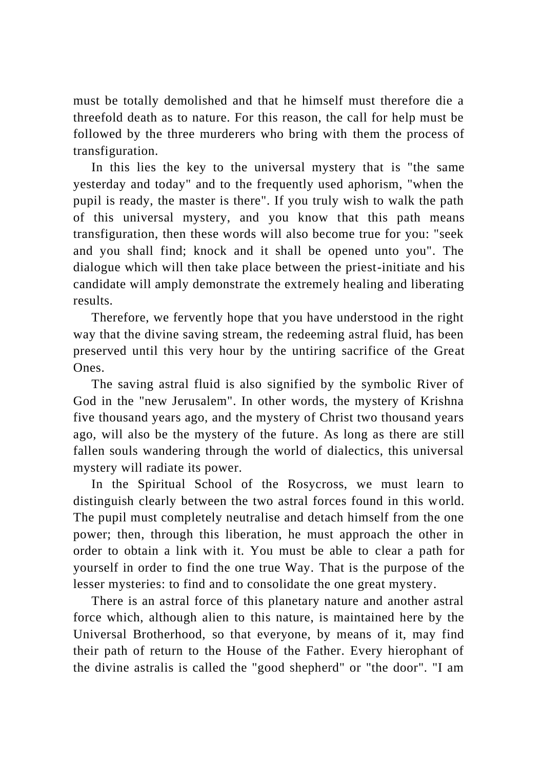must be totally demolished and that he himself must therefore die a threefold death as to nature. For this reason, the call for help must be followed by the three murderers who bring with them the process of transfiguration.

In this lies the key to the universal mystery that is "the same yesterday and today" and to the frequently used aphorism, "when the pupil is ready, the master is there". If you truly wish to walk the path of this universal mystery, and you know that this path means transfiguration, then these words will also become true for you: "seek and you shall find; knock and it shall be opened unto you". The dialogue which will then take place between the priest-initiate and his candidate will amply demonstrate the extremely healing and liberating results.

Therefore, we fervently hope that you have understood in the right way that the divine saving stream, the redeeming astral fluid, has been preserved until this very hour by the untiring sacrifice of the Great Ones.

The saving astral fluid is also signified by the symbolic River of God in the "new Jerusalem". In other words, the mystery of Krishna five thousand years ago, and the mystery of Christ two thousand years ago, will also be the mystery of the future. As long as there are still fallen souls wandering through the world of dialectics, this universal mystery will radiate its power.

In the Spiritual School of the Rosycross, we must learn to distinguish clearly between the two astral forces found in this world. The pupil must completely neutralise and detach himself from the one power; then, through this liberation, he must approach the other in order to obtain a link with it. You must be able to clear a path for yourself in order to find the one true Way. That is the purpose of the lesser mysteries: to find and to consolidate the one great mystery.

There is an astral force of this planetary nature and another astral force which, although alien to this nature, is maintained here by the Universal Brotherhood, so that everyone, by means of it, may find their path of return to the House of the Father. Every hierophant of the divine astralis is called the "good shepherd" or "the door". "I am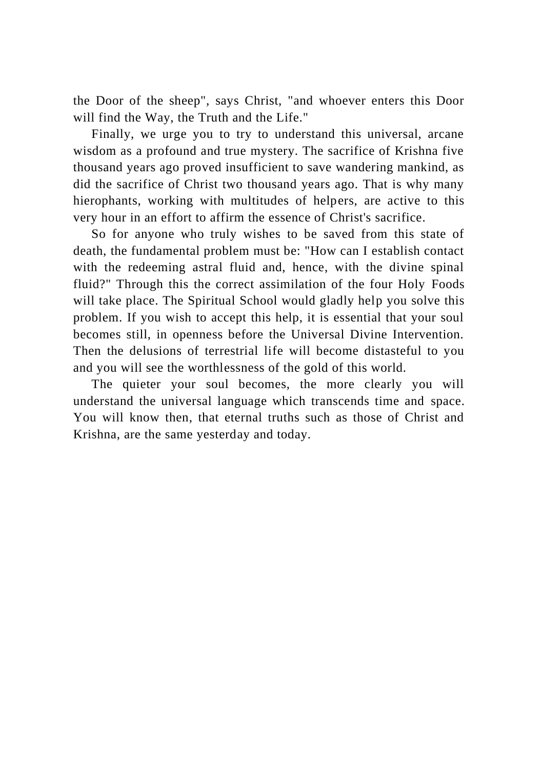the Door of the sheep", says Christ, "and whoever enters this Door will find the Way, the Truth and the Life."

Finally, we urge you to try to understand this universal, arcane wisdom as a profound and true mystery. The sacrifice of Krishna five thousand years ago proved insufficient to save wandering mankind, as did the sacrifice of Christ two thousand years ago. That is why many hierophants, working with multitudes of helpers, are active to this very hour in an effort to affirm the essence of Christ's sacrifice.

So for anyone who truly wishes to be saved from this state of death, the fundamental problem must be: "How can I establish contact with the redeeming astral fluid and, hence, with the divine spinal fluid?" Through this the correct assimilation of the four Holy Foods will take place. The Spiritual School would gladly help you solve this problem. If you wish to accept this help, it is essential that your soul becomes still, in openness before the Universal Divine Intervention. Then the delusions of terrestrial life will become distasteful to you and you will see the worthlessness of the gold of this world.

The quieter your soul becomes, the more clearly you will understand the universal language which transcends time and space. You will know then, that eternal truths such as those of Christ and Krishna, are the same yesterday and today.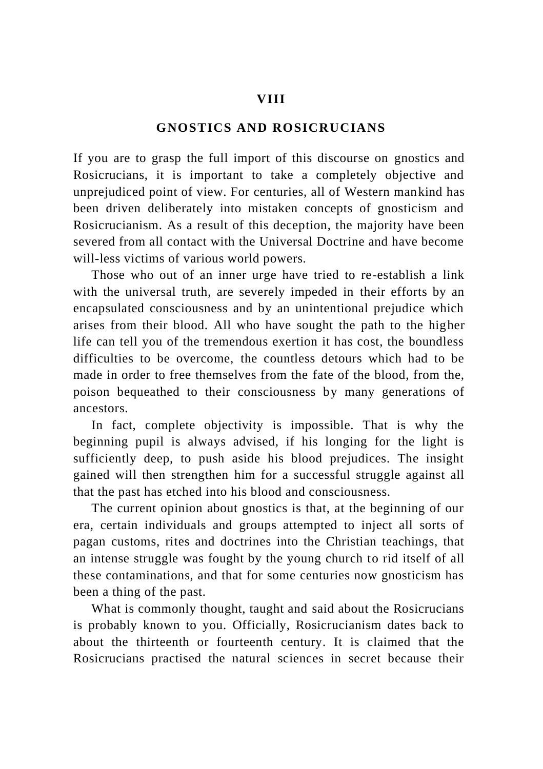### **VIII**

# **GNOSTICS AND ROSICRUCIANS**

If you are to grasp the full import of this discourse on gnostics and Rosicrucians, it is important to take a completely objective and unprejudiced point of view. For centuries, all of Western mankind has been driven deliberately into mistaken concepts of gnosticism and Rosicrucianism. As a result of this deception, the majority have been severed from all contact with the Universal Doctrine and have become will-less victims of various world powers.

Those who out of an inner urge have tried to re-establish a link with the universal truth, are severely impeded in their efforts by an encapsulated consciousness and by an unintentional prejudice which arises from their blood. All who have sought the path to the higher life can tell you of the tremendous exertion it has cost, the boundless difficulties to be overcome, the countless detours which had to be made in order to free themselves from the fate of the blood, from the, poison bequeathed to their consciousness by many generations of ancestors.

In fact, complete objectivity is impossible. That is why the beginning pupil is always advised, if his longing for the light is sufficiently deep, to push aside his blood prejudices. The insight gained will then strengthen him for a successful struggle against all that the past has etched into his blood and consciousness.

The current opinion about gnostics is that, at the beginning of our era, certain individuals and groups attempted to inject all sorts of pagan customs, rites and doctrines into the Christian teachings, that an intense struggle was fought by the young church to rid itself of all these contaminations, and that for some centuries now gnosticism has been a thing of the past.

What is commonly thought, taught and said about the Rosicrucians is probably known to you. Officially, Rosicrucianism dates back to about the thirteenth or fourteenth century. It is claimed that the Rosicrucians practised the natural sciences in secret because their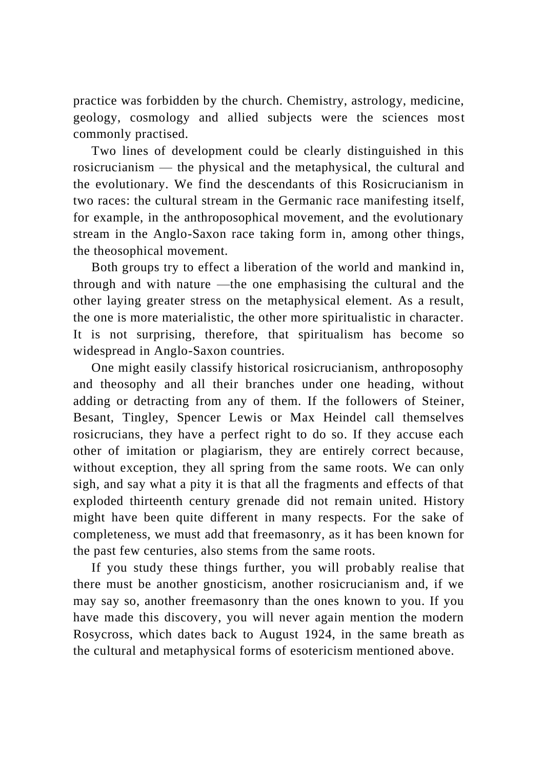practice was forbidden by the church. Chemistry, astrology, medicine, geology, cosmology and allied subjects were the sciences most commonly practised.

Two lines of development could be clearly distinguished in this rosicrucianism — the physical and the metaphysical, the cultural and the evolutionary. We find the descendants of this Rosicrucianism in two races: the cultural stream in the Germanic race manifesting itself, for example, in the anthroposophical movement, and the evolutionary stream in the Anglo-Saxon race taking form in, among other things, the theosophical movement.

Both groups try to effect a liberation of the world and mankind in, through and with nature —the one emphasising the cultural and the other laying greater stress on the metaphysical element. As a result, the one is more materialistic, the other more spiritualistic in character. It is not surprising, therefore, that spiritualism has become so widespread in Anglo-Saxon countries.

One might easily classify historical rosicrucianism, anthroposophy and theosophy and all their branches under one heading, without adding or detracting from any of them. If the followers of Steiner, Besant, Tingley, Spencer Lewis or Max Heindel call themselves rosicrucians, they have a perfect right to do so. If they accuse each other of imitation or plagiarism, they are entirely correct because, without exception, they all spring from the same roots. We can only sigh, and say what a pity it is that all the fragments and effects of that exploded thirteenth century grenade did not remain united. History might have been quite different in many respects. For the sake of completeness, we must add that freemasonry, as it has been known for the past few centuries, also stems from the same roots.

If you study these things further, you will probably realise that there must be another gnosticism, another rosicrucianism and, if we may say so, another freemasonry than the ones known to you. If you have made this discovery, you will never again mention the modern Rosycross, which dates back to August 1924, in the same breath as the cultural and metaphysical forms of esotericism mentioned above.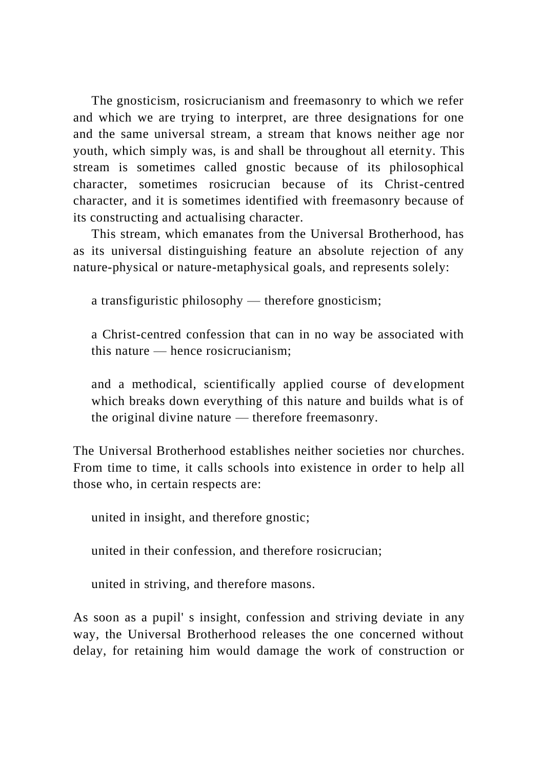The gnosticism, rosicrucianism and freemasonry to which we refer and which we are trying to interpret, are three designations for one and the same universal stream, a stream that knows neither age nor youth, which simply was, is and shall be throughout all eternity. This stream is sometimes called gnostic because of its philosophical character, sometimes rosicrucian because of its Christ-centred character, and it is sometimes identified with freemasonry because of its constructing and actualising character.

This stream, which emanates from the Universal Brotherhood, has as its universal distinguishing feature an absolute rejection of any nature-physical or nature-metaphysical goals, and represents solely:

a transfiguristic philosophy — therefore gnosticism;

a Christ-centred confession that can in no way be associated with this nature — hence rosicrucianism;

and a methodical, scientifically applied course of development which breaks down everything of this nature and builds what is of the original divine nature — therefore freemasonry.

The Universal Brotherhood establishes neither societies nor churches. From time to time, it calls schools into existence in order to help all those who, in certain respects are:

united in insight, and therefore gnostic;

united in their confession, and therefore rosicrucian;

united in striving, and therefore masons.

As soon as a pupil' s insight, confession and striving deviate in any way, the Universal Brotherhood releases the one concerned without delay, for retaining him would damage the work of construction or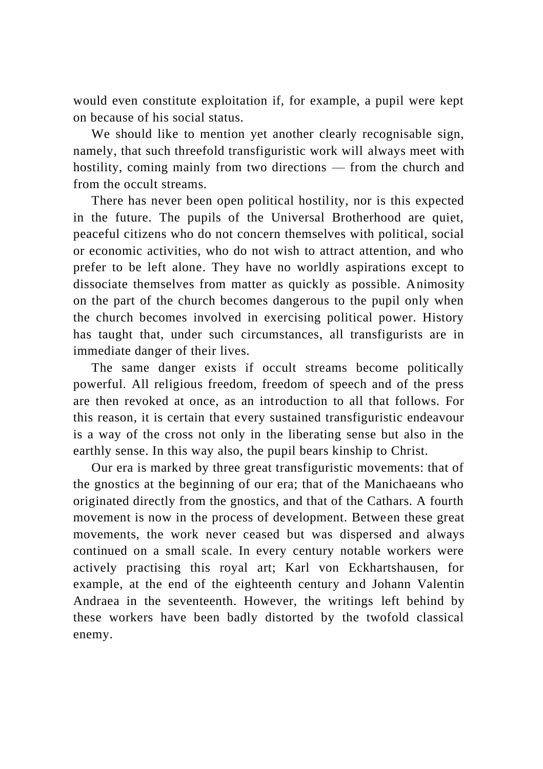would even constitute exploitation if, for example, a pupil were kept on because of his social status.

We should like to mention yet another clearly recognisable sign, namely, that such threefold transfiguristic work will always meet with hostility, coming mainly from two directions — from the church and from the occult streams.

There has never been open political hostility, nor is this expected in the future. The pupils of the Universal Brotherhood are quiet, peaceful citizens who do not concern themselves with political, social or economic activities, who do not wish to attract attention, and who prefer to be left alone. They have no worldly aspirations except to dissociate themselves from matter as quickly as possible. Animosity on the part of the church becomes dangerous to the pupil only when the church becomes involved in exercising political power. History has taught that, under such circumstances, all transfigurists are in immediate danger of their lives.

The same danger exists if occult streams become politically powerful. All religious freedom, freedom of speech and of the press are then revoked at once, as an introduction to all that follows. For this reason, it is certain that every sustained transfiguristic endeavour is a way of the cross not only in the liberating sense but also in the earthly sense. In this way also, the pupil bears kinship to Christ.

Our era is marked by three great transfiguristic movements: that of the gnostics at the beginning of our era; that of the Manichaeans who originated directly from the gnostics, and that of the Cathars. A fourth movement is now in the process of development. Between these great movements, the work never ceased but was dispersed and always continued on a small scale. In every century notable workers were actively practising this royal art; Karl von Eckhartshausen, for example, at the end of the eighteenth century and Johann Valentin Andraea in the seventeenth. However, the writings left behind by these workers have been badly distorted by the twofold classical enemy.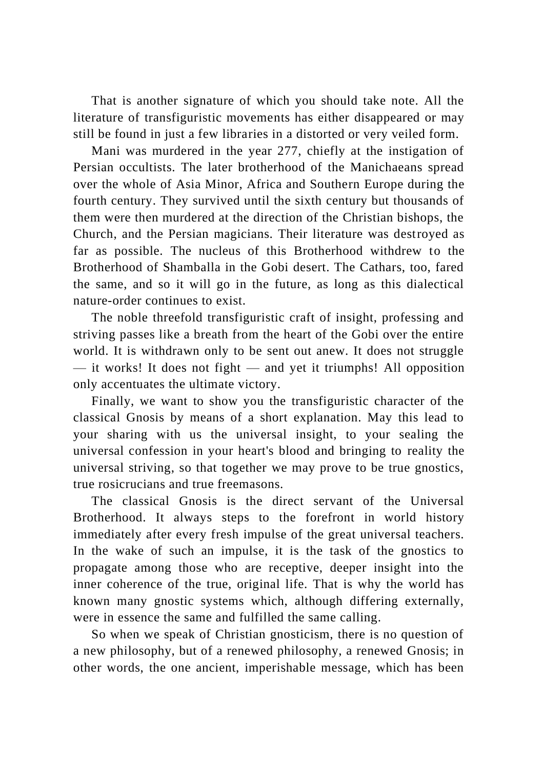That is another signature of which you should take note. All the literature of transfiguristic movements has either disappeared or may still be found in just a few libraries in a distorted or very veiled form.

Mani was murdered in the year 277, chiefly at the instigation of Persian occultists. The later brotherhood of the Manichaeans spread over the whole of Asia Minor, Africa and Southern Europe during the fourth century. They survived until the sixth century but thousands of them were then murdered at the direction of the Christian bishops, the Church, and the Persian magicians. Their literature was destroyed as far as possible. The nucleus of this Brotherhood withdrew to the Brotherhood of Shamballa in the Gobi desert. The Cathars, too, fared the same, and so it will go in the future, as long as this dialectical nature-order continues to exist.

The noble threefold transfiguristic craft of insight, professing and striving passes like a breath from the heart of the Gobi over the entire world. It is withdrawn only to be sent out anew. It does not struggle  $-$  it works! It does not fight  $-$  and yet it triumphs! All opposition only accentuates the ultimate victory.

Finally, we want to show you the transfiguristic character of the classical Gnosis by means of a short explanation. May this lead to your sharing with us the universal insight, to your sealing the universal confession in your heart's blood and bringing to reality the universal striving, so that together we may prove to be true gnostics, true rosicrucians and true freemasons.

The classical Gnosis is the direct servant of the Universal Brotherhood. It always steps to the forefront in world history immediately after every fresh impulse of the great universal teachers. In the wake of such an impulse, it is the task of the gnostics to propagate among those who are receptive, deeper insight into the inner coherence of the true, original life. That is why the world has known many gnostic systems which, although differing externally, were in essence the same and fulfilled the same calling.

So when we speak of Christian gnosticism, there is no question of a new philosophy, but of a renewed philosophy, a renewed Gnosis; in other words, the one ancient, imperishable message, which has been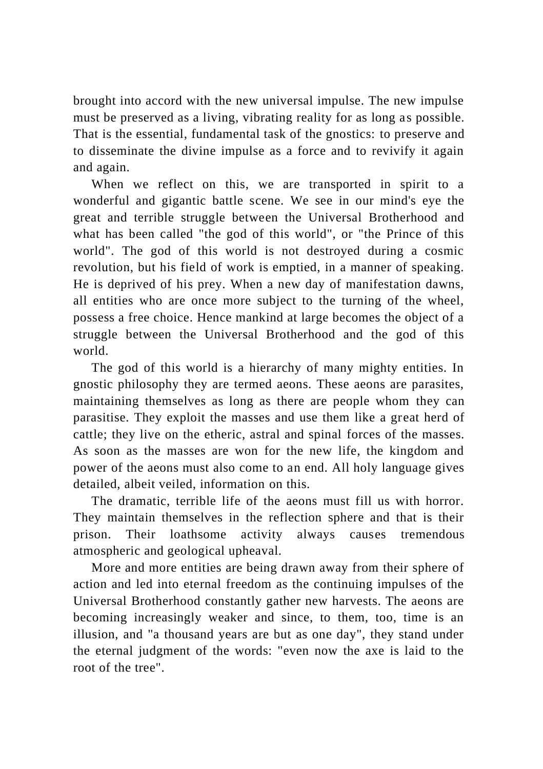brought into accord with the new universal impulse. The new impulse must be preserved as a living, vibrating reality for as long as possible. That is the essential, fundamental task of the gnostics: to preserve and to disseminate the divine impulse as a force and to revivify it again and again.

When we reflect on this, we are transported in spirit to a wonderful and gigantic battle scene. We see in our mind's eye the great and terrible struggle between the Universal Brotherhood and what has been called "the god of this world", or "the Prince of this world". The god of this world is not destroyed during a cosmic revolution, but his field of work is emptied, in a manner of speaking. He is deprived of his prey. When a new day of manifestation dawns, all entities who are once more subject to the turning of the wheel, possess a free choice. Hence mankind at large becomes the object of a struggle between the Universal Brotherhood and the god of this world.

The god of this world is a hierarchy of many mighty entities. In gnostic philosophy they are termed aeons. These aeons are parasites, maintaining themselves as long as there are people whom they can parasitise. They exploit the masses and use them like a great herd of cattle; they live on the etheric, astral and spinal forces of the masses. As soon as the masses are won for the new life, the kingdom and power of the aeons must also come to an end. All holy language gives detailed, albeit veiled, information on this.

The dramatic, terrible life of the aeons must fill us with horror. They maintain themselves in the reflection sphere and that is their prison. Their loathsome activity always causes tremendous atmospheric and geological upheaval.

More and more entities are being drawn away from their sphere of action and led into eternal freedom as the continuing impulses of the Universal Brotherhood constantly gather new harvests. The aeons are becoming increasingly weaker and since, to them, too, time is an illusion, and "a thousand years are but as one day", they stand under the eternal judgment of the words: "even now the axe is laid to the root of the tree".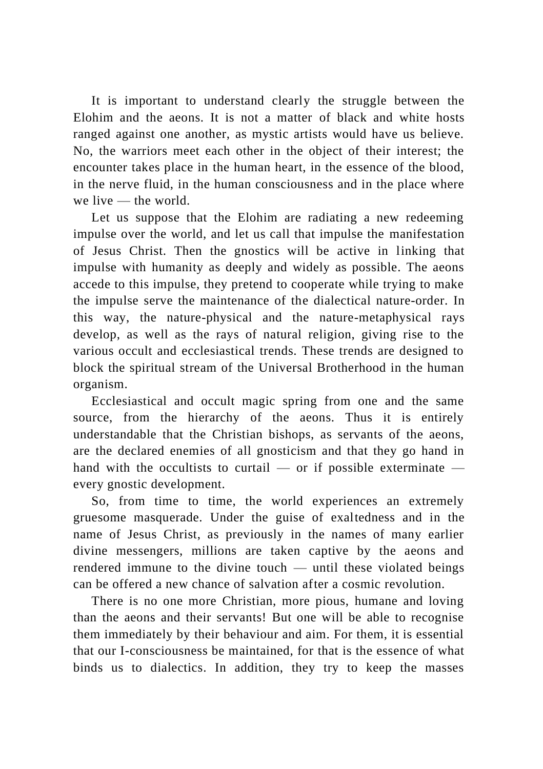It is important to understand clearly the struggle between the Elohim and the aeons. It is not a matter of black and white hosts ranged against one another, as mystic artists would have us believe. No, the warriors meet each other in the object of their interest; the encounter takes place in the human heart, in the essence of the blood, in the nerve fluid, in the human consciousness and in the place where we live — the world.

Let us suppose that the Elohim are radiating a new redeeming impulse over the world, and let us call that impulse the manifestation of Jesus Christ. Then the gnostics will be active in linking that impulse with humanity as deeply and widely as possible. The aeons accede to this impulse, they pretend to cooperate while trying to make the impulse serve the maintenance of the dialectical nature-order. In this way, the nature-physical and the nature-metaphysical rays develop, as well as the rays of natural religion, giving rise to the various occult and ecclesiastical trends. These trends are designed to block the spiritual stream of the Universal Brotherhood in the human organism.

Ecclesiastical and occult magic spring from one and the same source, from the hierarchy of the aeons. Thus it is entirely understandable that the Christian bishops, as servants of the aeons, are the declared enemies of all gnosticism and that they go hand in hand with the occultists to curtail — or if possible exterminate every gnostic development.

So, from time to time, the world experiences an extremely gruesome masquerade. Under the guise of exaltedness and in the name of Jesus Christ, as previously in the names of many earlier divine messengers, millions are taken captive by the aeons and rendered immune to the divine touch — until these violated beings can be offered a new chance of salvation after a cosmic revolution.

There is no one more Christian, more pious, humane and loving than the aeons and their servants! But one will be able to recognise them immediately by their behaviour and aim. For them, it is essential that our I-consciousness be maintained, for that is the essence of what binds us to dialectics. In addition, they try to keep the masses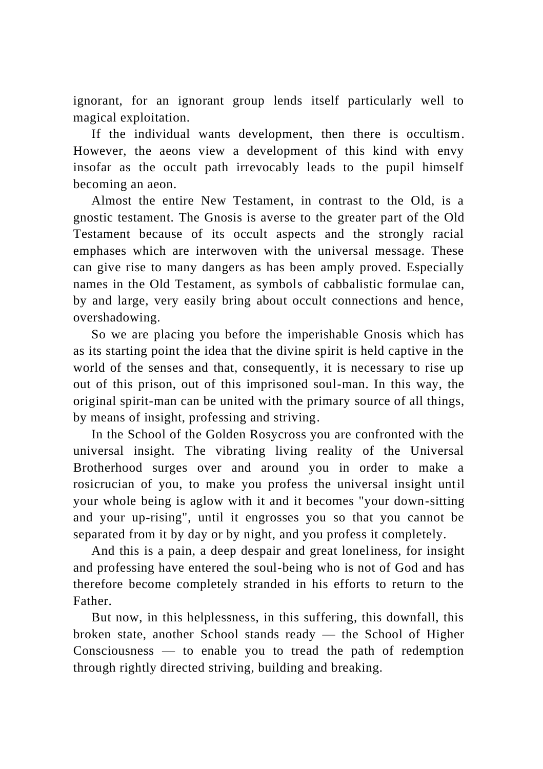ignorant, for an ignorant group lends itself particularly well to magical exploitation.

If the individual wants development, then there is occultism. However, the aeons view a development of this kind with envy insofar as the occult path irrevocably leads to the pupil himself becoming an aeon.

Almost the entire New Testament, in contrast to the Old, is a gnostic testament. The Gnosis is averse to the greater part of the Old Testament because of its occult aspects and the strongly racial emphases which are interwoven with the universal message. These can give rise to many dangers as has been amply proved. Especially names in the Old Testament, as symbols of cabbalistic formulae can, by and large, very easily bring about occult connections and hence, overshadowing.

So we are placing you before the imperishable Gnosis which has as its starting point the idea that the divine spirit is held captive in the world of the senses and that, consequently, it is necessary to rise up out of this prison, out of this imprisoned soul-man. In this way, the original spirit-man can be united with the primary source of all things, by means of insight, professing and striving.

In the School of the Golden Rosycross you are confronted with the universal insight. The vibrating living reality of the Universal Brotherhood surges over and around you in order to make a rosicrucian of you, to make you profess the universal insight until your whole being is aglow with it and it becomes "your down-sitting and your up-rising", until it engrosses you so that you cannot be separated from it by day or by night, and you profess it completely.

And this is a pain, a deep despair and great loneliness, for insight and professing have entered the soul-being who is not of God and has therefore become completely stranded in his efforts to return to the Father.

But now, in this helplessness, in this suffering, this downfall, this broken state, another School stands ready — the School of Higher Consciousness — to enable you to tread the path of redemption through rightly directed striving, building and breaking.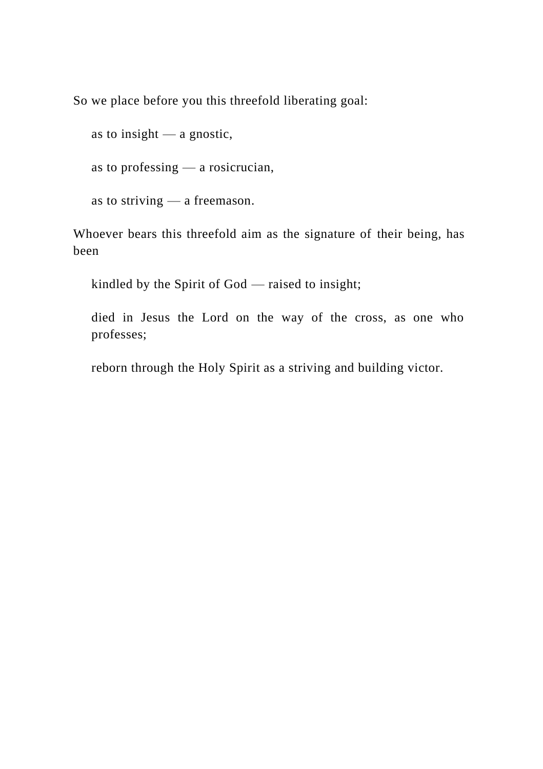So we place before you this threefold liberating goal:

as to insight — a gnostic,

as to professing — a rosicrucian,

as to striving — a freemason.

Whoever bears this threefold aim as the signature of their being, has been

kindled by the Spirit of God — raised to insight;

died in Jesus the Lord on the way of the cross, as one who professes;

reborn through the Holy Spirit as a striving and building victor.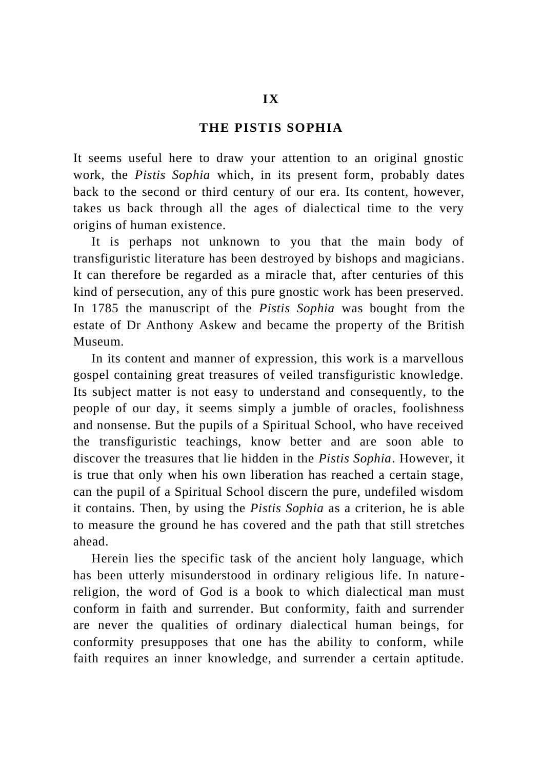## **THE PISTIS SOPHIA**

It seems useful here to draw your attention to an original gnostic work, the *Pistis Sophia* which, in its present form, probably dates back to the second or third century of our era. Its content, however, takes us back through all the ages of dialectical time to the very origins of human existence.

It is perhaps not unknown to you that the main body of transfiguristic literature has been destroyed by bishops and magicians. It can therefore be regarded as a miracle that, after centuries of this kind of persecution, any of this pure gnostic work has been preserved. In 1785 the manuscript of the *Pistis Sophia* was bought from the estate of Dr Anthony Askew and became the property of the British Museum.

In its content and manner of expression, this work is a marvellous gospel containing great treasures of veiled transfiguristic knowledge. Its subject matter is not easy to understand and consequently, to the people of our day, it seems simply a jumble of oracles, foolishness and nonsense. But the pupils of a Spiritual School, who have received the transfiguristic teachings, know better and are soon able to discover the treasures that lie hidden in the *Pistis Sophia*. However, it is true that only when his own liberation has reached a certain stage, can the pupil of a Spiritual School discern the pure, undefiled wisdom it contains. Then, by using the *Pistis Sophia* as a criterion, he is able to measure the ground he has covered and the path that still stretches ahead.

Herein lies the specific task of the ancient holy language, which has been utterly misunderstood in ordinary religious life. In nature religion, the word of God is a book to which dialectical man must conform in faith and surrender. But conformity, faith and surrender are never the qualities of ordinary dialectical human beings, for conformity presupposes that one has the ability to conform, while faith requires an inner knowledge, and surrender a certain aptitude.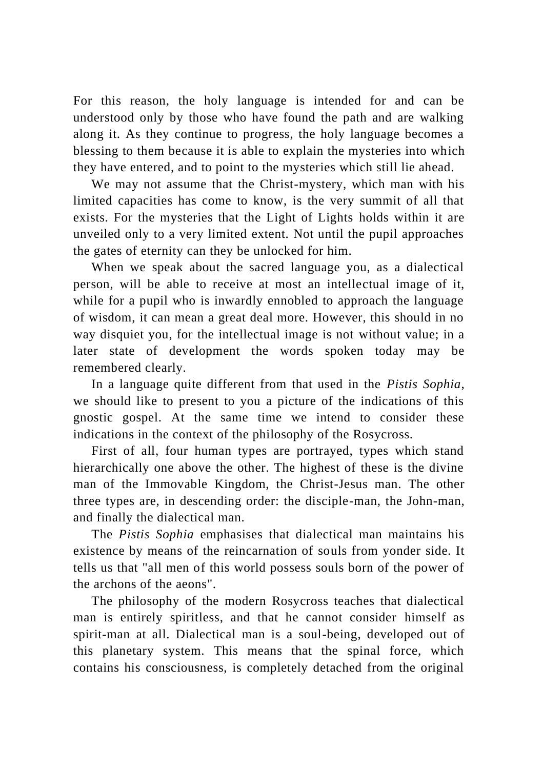For this reason, the holy language is intended for and can be understood only by those who have found the path and are walking along it. As they continue to progress, the holy language becomes a blessing to them because it is able to explain the mysteries into which they have entered, and to point to the mysteries which still lie ahead.

We may not assume that the Christ-mystery, which man with his limited capacities has come to know, is the very summit of all that exists. For the mysteries that the Light of Lights holds within it are unveiled only to a very limited extent. Not until the pupil approaches the gates of eternity can they be unlocked for him.

When we speak about the sacred language you, as a dialectical person, will be able to receive at most an intellectual image of it, while for a pupil who is inwardly ennobled to approach the language of wisdom, it can mean a great deal more. However, this should in no way disquiet you, for the intellectual image is not without value; in a later state of development the words spoken today may be remembered clearly.

In a language quite different from that used in the *Pistis Sophia*, we should like to present to you a picture of the indications of this gnostic gospel. At the same time we intend to consider these indications in the context of the philosophy of the Rosycross.

First of all, four human types are portrayed, types which stand hierarchically one above the other. The highest of these is the divine man of the Immovable Kingdom, the Christ-Jesus man. The other three types are, in descending order: the disciple-man, the John-man, and finally the dialectical man.

The *Pistis Sophia* emphasises that dialectical man maintains his existence by means of the reincarnation of souls from yonder side. It tells us that "all men of this world possess souls born of the power of the archons of the aeons".

The philosophy of the modern Rosycross teaches that dialectical man is entirely spiritless, and that he cannot consider himself as spirit-man at all. Dialectical man is a soul-being, developed out of this planetary system. This means that the spinal force, which contains his consciousness, is completely detached from the original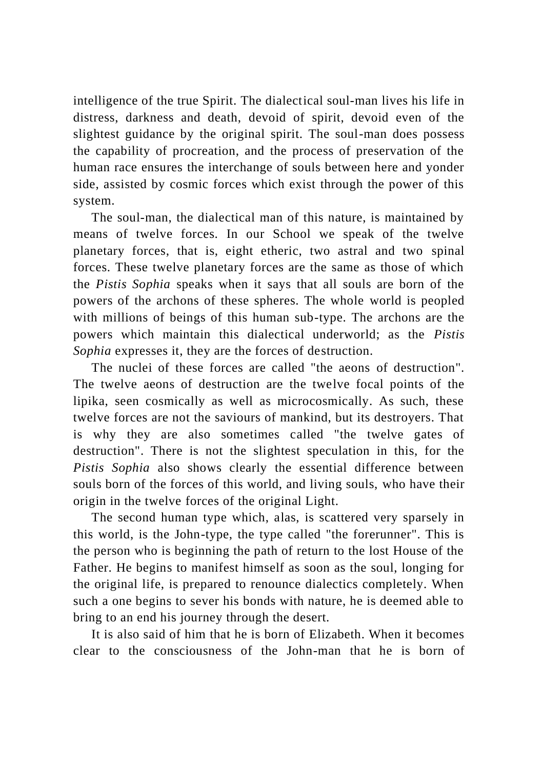intelligence of the true Spirit. The dialectical soul-man lives his life in distress, darkness and death, devoid of spirit, devoid even of the slightest guidance by the original spirit. The soul-man does possess the capability of procreation, and the process of preservation of the human race ensures the interchange of souls between here and yonder side, assisted by cosmic forces which exist through the power of this system.

The soul-man, the dialectical man of this nature, is maintained by means of twelve forces. In our School we speak of the twelve planetary forces, that is, eight etheric, two astral and two spinal forces. These twelve planetary forces are the same as those of which the *Pistis Sophia* speaks when it says that all souls are born of the powers of the archons of these spheres. The whole world is peopled with millions of beings of this human sub-type. The archons are the powers which maintain this dialectical underworld; as the *Pistis Sophia* expresses it, they are the forces of destruction.

The nuclei of these forces are called "the aeons of destruction". The twelve aeons of destruction are the twelve focal points of the lipika, seen cosmically as well as microcosmically. As such, these twelve forces are not the saviours of mankind, but its destroyers. That is why they are also sometimes called "the twelve gates of destruction". There is not the slightest speculation in this, for the *Pistis Sophia* also shows clearly the essential difference between souls born of the forces of this world, and living souls, who have their origin in the twelve forces of the original Light.

The second human type which, alas, is scattered very sparsely in this world, is the John-type, the type called "the forerunner". This is the person who is beginning the path of return to the lost House of the Father. He begins to manifest himself as soon as the soul, longing for the original life, is prepared to renounce dialectics completely. When such a one begins to sever his bonds with nature, he is deemed able to bring to an end his journey through the desert.

It is also said of him that he is born of Elizabeth. When it becomes clear to the consciousness of the John-man that he is born of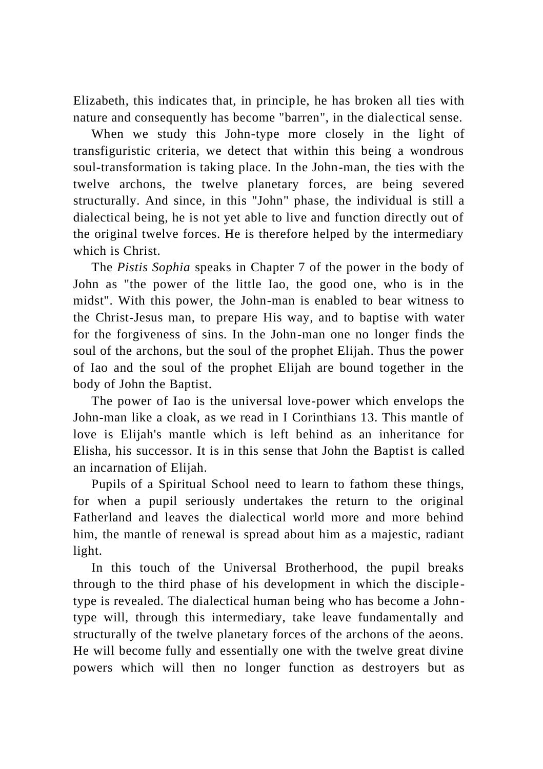Elizabeth, this indicates that, in principle, he has broken all ties with nature and consequently has become "barren", in the dialectical sense.

When we study this John-type more closely in the light of transfiguristic criteria, we detect that within this being a wondrous soul-transformation is taking place. In the John-man, the ties with the twelve archons, the twelve planetary forces, are being severed structurally. And since, in this "John" phase, the individual is still a dialectical being, he is not yet able to live and function directly out of the original twelve forces. He is therefore helped by the intermediary which is Christ.

The *Pistis Sophia* speaks in Chapter 7 of the power in the body of John as "the power of the little Iao, the good one, who is in the midst". With this power, the John-man is enabled to bear witness to the Christ-Jesus man, to prepare His way, and to baptise with water for the forgiveness of sins. In the John-man one no longer finds the soul of the archons, but the soul of the prophet Elijah. Thus the power of Iao and the soul of the prophet Elijah are bound together in the body of John the Baptist.

The power of Iao is the universal love-power which envelops the John-man like a cloak, as we read in I Corinthians 13. This mantle of love is Elijah's mantle which is left behind as an inheritance for Elisha, his successor. It is in this sense that John the Baptist is called an incarnation of Elijah.

Pupils of a Spiritual School need to learn to fathom these things, for when a pupil seriously undertakes the return to the original Fatherland and leaves the dialectical world more and more behind him, the mantle of renewal is spread about him as a majestic, radiant light.

In this touch of the Universal Brotherhood, the pupil breaks through to the third phase of his development in which the disciple type is revealed. The dialectical human being who has become a Johntype will, through this intermediary, take leave fundamentally and structurally of the twelve planetary forces of the archons of the aeons. He will become fully and essentially one with the twelve great divine powers which will then no longer function as destroyers but as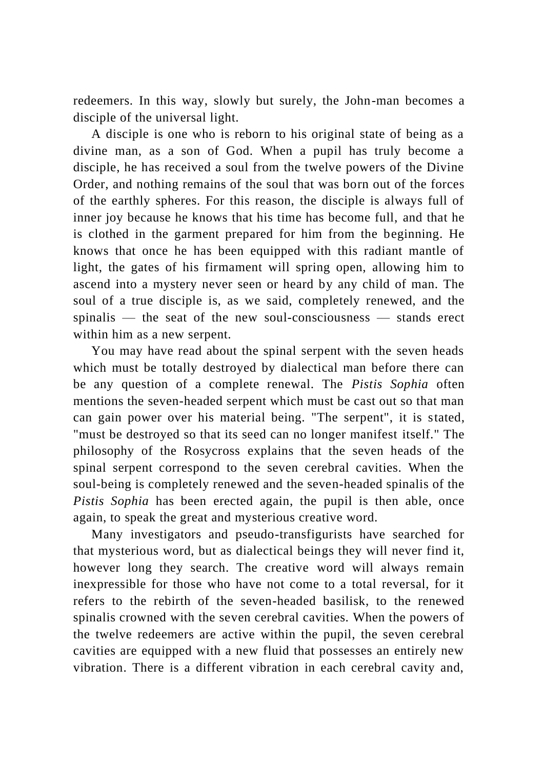redeemers. In this way, slowly but surely, the John-man becomes a disciple of the universal light.

A disciple is one who is reborn to his original state of being as a divine man, as a son of God. When a pupil has truly become a disciple, he has received a soul from the twelve powers of the Divine Order, and nothing remains of the soul that was born out of the forces of the earthly spheres. For this reason, the disciple is always full of inner joy because he knows that his time has become full, and that he is clothed in the garment prepared for him from the beginning. He knows that once he has been equipped with this radiant mantle of light, the gates of his firmament will spring open, allowing him to ascend into a mystery never seen or heard by any child of man. The soul of a true disciple is, as we said, completely renewed, and the spinalis — the seat of the new soul-consciousness — stands erect within him as a new serpent.

You may have read about the spinal serpent with the seven heads which must be totally destroyed by dialectical man before there can be any question of a complete renewal. The *Pistis Sophia* often mentions the seven-headed serpent which must be cast out so that man can gain power over his material being. "The serpent", it is stated, "must be destroyed so that its seed can no longer manifest itself." The philosophy of the Rosycross explains that the seven heads of the spinal serpent correspond to the seven cerebral cavities. When the soul-being is completely renewed and the seven-headed spinalis of the *Pistis Sophia* has been erected again, the pupil is then able, once again, to speak the great and mysterious creative word.

Many investigators and pseudo-transfigurists have searched for that mysterious word, but as dialectical beings they will never find it, however long they search. The creative word will always remain inexpressible for those who have not come to a total reversal, for it refers to the rebirth of the seven-headed basilisk, to the renewed spinalis crowned with the seven cerebral cavities. When the powers of the twelve redeemers are active within the pupil, the seven cerebral cavities are equipped with a new fluid that possesses an entirely new vibration. There is a different vibration in each cerebral cavity and,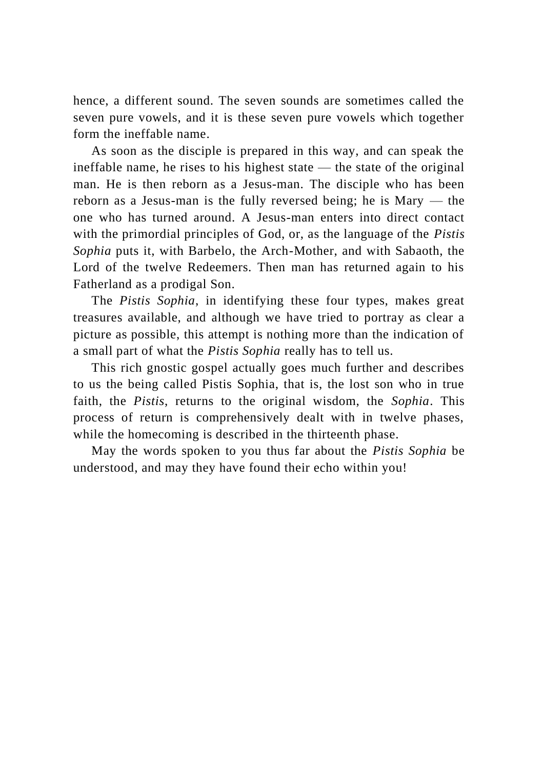hence, a different sound. The seven sounds are sometimes called the seven pure vowels, and it is these seven pure vowels which together form the ineffable name.

As soon as the disciple is prepared in this way, and can speak the ineffable name, he rises to his highest state — the state of the original man. He is then reborn as a Jesus-man. The disciple who has been reborn as a Jesus-man is the fully reversed being; he is Mary — the one who has turned around. A Jesus-man enters into direct contact with the primordial principles of God, or, as the language of the *Pistis Sophia* puts it, with Barbelo, the Arch-Mother, and with Sabaoth, the Lord of the twelve Redeemers. Then man has returned again to his Fatherland as a prodigal Son.

The *Pistis Sophia*, in identifying these four types, makes great treasures available, and although we have tried to portray as clear a picture as possible, this attempt is nothing more than the indication of a small part of what the *Pistis Sophia* really has to tell us.

This rich gnostic gospel actually goes much further and describes to us the being called Pistis Sophia, that is, the lost son who in true faith, the *Pistis*, returns to the original wisdom, the *Sophia*. This process of return is comprehensively dealt with in twelve phases, while the homecoming is described in the thirteenth phase.

May the words spoken to you thus far about the *Pistis Sophia* be understood, and may they have found their echo within you!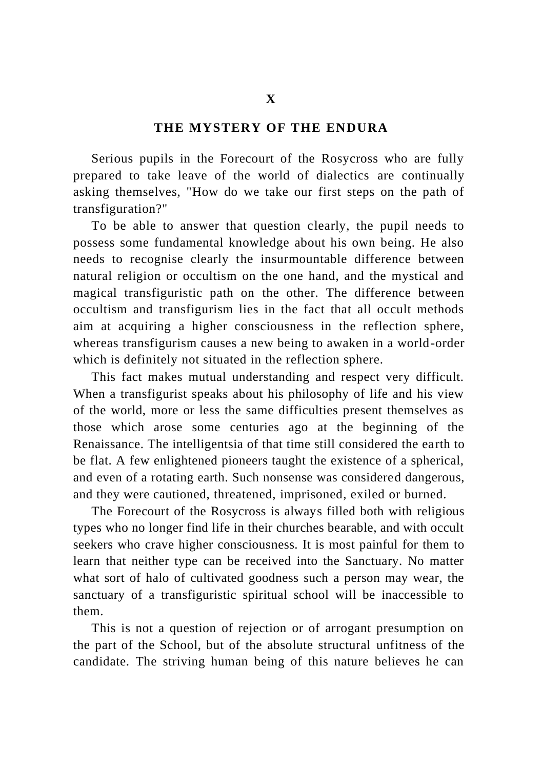#### **THE MYSTERY OF THE ENDURA**

Serious pupils in the Forecourt of the Rosycross who are fully prepared to take leave of the world of dialectics are continually asking themselves, "How do we take our first steps on the path of transfiguration?"

To be able to answer that question clearly, the pupil needs to possess some fundamental knowledge about his own being. He also needs to recognise clearly the insurmountable difference between natural religion or occultism on the one hand, and the mystical and magical transfiguristic path on the other. The difference between occultism and transfigurism lies in the fact that all occult methods aim at acquiring a higher consciousness in the reflection sphere, whereas transfigurism causes a new being to awaken in a world-order which is definitely not situated in the reflection sphere.

This fact makes mutual understanding and respect very difficult. When a transfigurist speaks about his philosophy of life and his view of the world, more or less the same difficulties present themselves as those which arose some centuries ago at the beginning of the Renaissance. The intelligentsia of that time still considered the earth to be flat. A few enlightened pioneers taught the existence of a spherical, and even of a rotating earth. Such nonsense was considered dangerous, and they were cautioned, threatened, imprisoned, exiled or burned.

The Forecourt of the Rosycross is always filled both with religious types who no longer find life in their churches bearable, and with occult seekers who crave higher consciousness. It is most painful for them to learn that neither type can be received into the Sanctuary. No matter what sort of halo of cultivated goodness such a person may wear, the sanctuary of a transfiguristic spiritual school will be inaccessible to them.

This is not a question of rejection or of arrogant presumption on the part of the School, but of the absolute structural unfitness of the candidate. The striving human being of this nature believes he can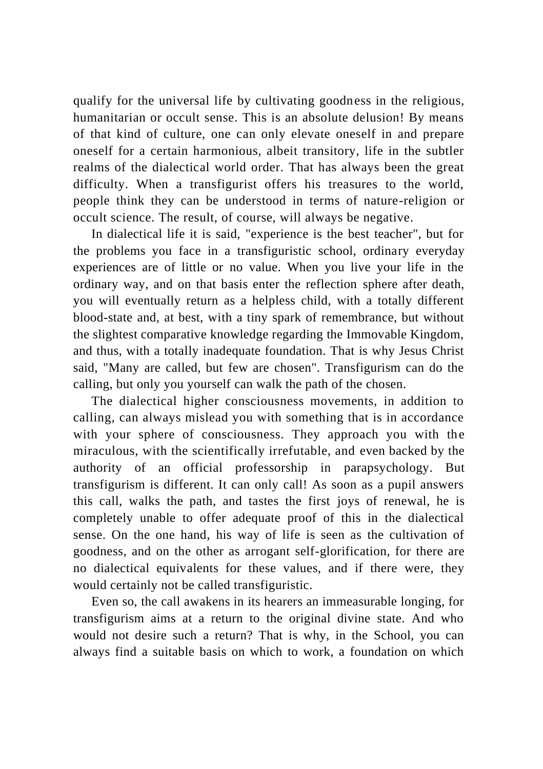qualify for the universal life by cultivating goodness in the religious, humanitarian or occult sense. This is an absolute delusion! By means of that kind of culture, one can only elevate oneself in and prepare oneself for a certain harmonious, albeit transitory, life in the subtler realms of the dialectical world order. That has always been the great difficulty. When a transfigurist offers his treasures to the world, people think they can be understood in terms of nature-religion or occult science. The result, of course, will always be negative.

In dialectical life it is said, "experience is the best teacher", but for the problems you face in a transfiguristic school, ordinary everyday experiences are of little or no value. When you live your life in the ordinary way, and on that basis enter the reflection sphere after death, you will eventually return as a helpless child, with a totally different blood-state and, at best, with a tiny spark of remembrance, but without the slightest comparative knowledge regarding the Immovable Kingdom, and thus, with a totally inadequate foundation. That is why Jesus Christ said, "Many are called, but few are chosen". Transfigurism can do the calling, but only you yourself can walk the path of the chosen.

The dialectical higher consciousness movements, in addition to calling, can always mislead you with something that is in accordance with your sphere of consciousness. They approach you with the miraculous, with the scientifically irrefutable, and even backed by the authority of an official professorship in parapsychology. But transfigurism is different. It can only call! As soon as a pupil answers this call, walks the path, and tastes the first joys of renewal, he is completely unable to offer adequate proof of this in the dialectical sense. On the one hand, his way of life is seen as the cultivation of goodness, and on the other as arrogant self-glorification, for there are no dialectical equivalents for these values, and if there were, they would certainly not be called transfiguristic.

Even so, the call awakens in its hearers an immeasurable longing, for transfigurism aims at a return to the original divine state. And who would not desire such a return? That is why, in the School, you can always find a suitable basis on which to work, a foundation on which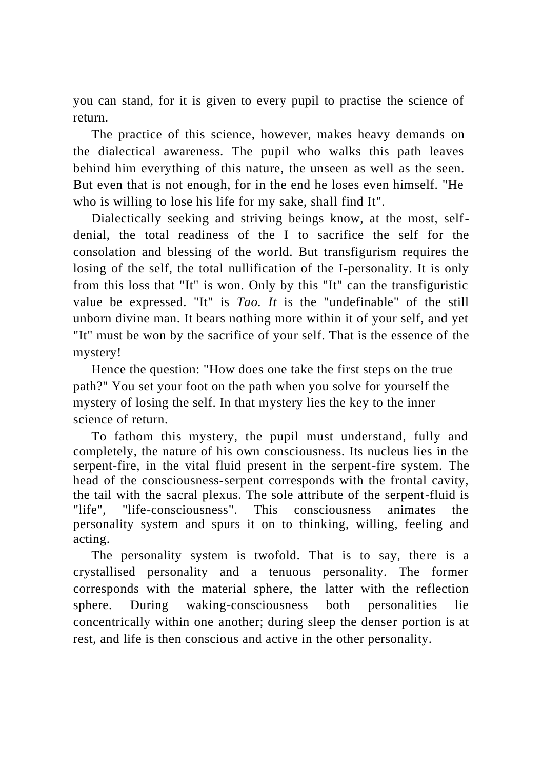you can stand, for it is given to every pupil to practise the science of return.

The practice of this science, however, makes heavy demands on the dialectical awareness. The pupil who walks this path leaves behind him everything of this nature, the unseen as well as the seen. But even that is not enough, for in the end he loses even himself. "He who is willing to lose his life for my sake, shall find It".

Dialectically seeking and striving beings know, at the most, selfdenial, the total readiness of the I to sacrifice the self for the consolation and blessing of the world. But transfigurism requires the losing of the self, the total nullification of the I-personality. It is only from this loss that "It" is won. Only by this "It" can the transfiguristic value be expressed. "It" is *Tao. It* is the "undefinable" of the still unborn divine man. It bears nothing more within it of your self, and yet "It" must be won by the sacrifice of your self. That is the essence of the mystery!

Hence the question: "How does one take the first steps on the true path?" You set your foot on the path when you solve for yourself the mystery of losing the self. In that mystery lies the key to the inner science of return.

To fathom this mystery, the pupil must understand, fully and completely, the nature of his own consciousness. Its nucleus lies in the serpent-fire, in the vital fluid present in the serpent-fire system. The head of the consciousness-serpent corresponds with the frontal cavity, the tail with the sacral plexus. The sole attribute of the serpent-fluid is "life", "life-consciousness". This consciousness animates the personality system and spurs it on to thinking, willing, feeling and acting.

The personality system is twofold. That is to say, there is a crystallised personality and a tenuous personality. The former corresponds with the material sphere, the latter with the reflection sphere. During waking-consciousness both personalities lie concentrically within one another; during sleep the denser portion is at rest, and life is then conscious and active in the other personality.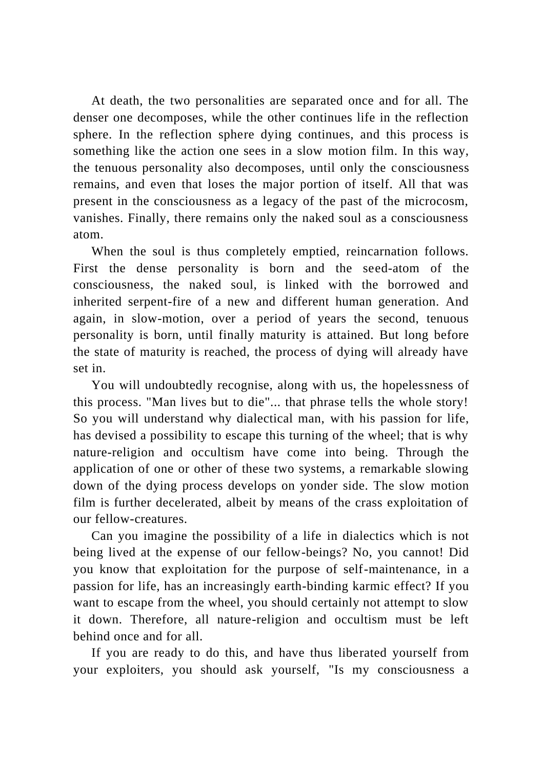At death, the two personalities are separated once and for all. The denser one decomposes, while the other continues life in the reflection sphere. In the reflection sphere dying continues, and this process is something like the action one sees in a slow motion film. In this way, the tenuous personality also decomposes, until only the consciousness remains, and even that loses the major portion of itself. All that was present in the consciousness as a legacy of the past of the microcosm, vanishes. Finally, there remains only the naked soul as a consciousness atom.

When the soul is thus completely emptied, reincarnation follows. First the dense personality is born and the seed-atom of the consciousness, the naked soul, is linked with the borrowed and inherited serpent-fire of a new and different human generation. And again, in slow-motion, over a period of years the second, tenuous personality is born, until finally maturity is attained. But long before the state of maturity is reached, the process of dying will already have set in.

You will undoubtedly recognise, along with us, the hopelessness of this process. "Man lives but to die"... that phrase tells the whole story! So you will understand why dialectical man, with his passion for life, has devised a possibility to escape this turning of the wheel; that is why nature-religion and occultism have come into being. Through the application of one or other of these two systems, a remarkable slowing down of the dying process develops on yonder side. The slow motion film is further decelerated, albeit by means of the crass exploitation of our fellow-creatures.

Can you imagine the possibility of a life in dialectics which is not being lived at the expense of our fellow-beings? No, you cannot! Did you know that exploitation for the purpose of self-maintenance, in a passion for life, has an increasingly earth-binding karmic effect? If you want to escape from the wheel, you should certainly not attempt to slow it down. Therefore, all nature-religion and occultism must be left behind once and for all.

If you are ready to do this, and have thus liberated yourself from your exploiters, you should ask yourself, "Is my consciousness a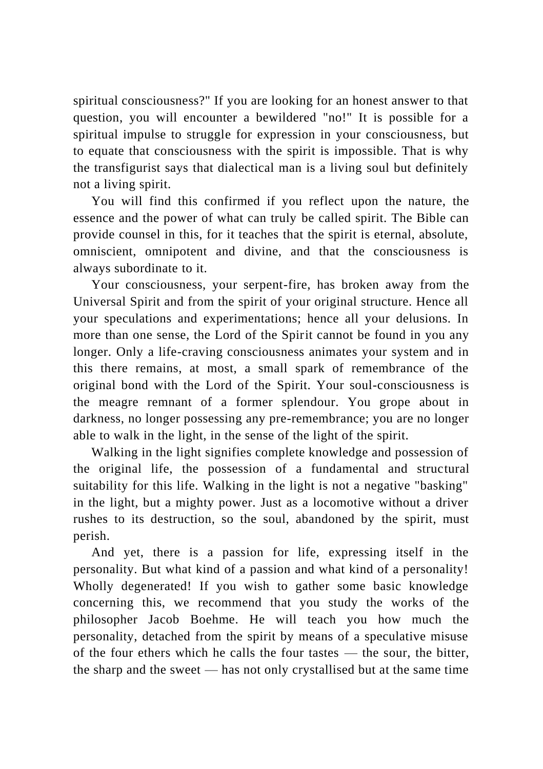spiritual consciousness?" If you are looking for an honest answer to that question, you will encounter a bewildered "no!" It is possible for a spiritual impulse to struggle for expression in your consciousness, but to equate that consciousness with the spirit is impossible. That is why the transfigurist says that dialectical man is a living soul but definitely not a living spirit.

You will find this confirmed if you reflect upon the nature, the essence and the power of what can truly be called spirit. The Bible can provide counsel in this, for it teaches that the spirit is eternal, absolute, omniscient, omnipotent and divine, and that the consciousness is always subordinate to it.

Your consciousness, your serpent-fire, has broken away from the Universal Spirit and from the spirit of your original structure. Hence all your speculations and experimentations; hence all your delusions. In more than one sense, the Lord of the Spirit cannot be found in you any longer. Only a life-craving consciousness animates your system and in this there remains, at most, a small spark of remembrance of the original bond with the Lord of the Spirit. Your soul-consciousness is the meagre remnant of a former splendour. You grope about in darkness, no longer possessing any pre-remembrance; you are no longer able to walk in the light, in the sense of the light of the spirit.

Walking in the light signifies complete knowledge and possession of the original life, the possession of a fundamental and structural suitability for this life. Walking in the light is not a negative "basking" in the light, but a mighty power. Just as a locomotive without a driver rushes to its destruction, so the soul, abandoned by the spirit, must perish.

And yet, there is a passion for life, expressing itself in the personality. But what kind of a passion and what kind of a personality! Wholly degenerated! If you wish to gather some basic knowledge concerning this, we recommend that you study the works of the philosopher Jacob Boehme. He will teach you how much the personality, detached from the spirit by means of a speculative misuse of the four ethers which he calls the four tastes — the sour, the bitter, the sharp and the sweet — has not only crystallised but at the same time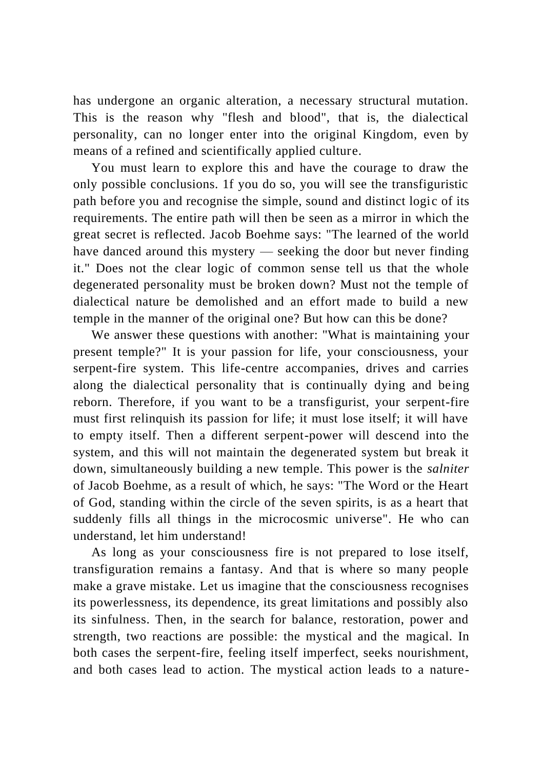has undergone an organic alteration, a necessary structural mutation. This is the reason why "flesh and blood", that is, the dialectical personality, can no longer enter into the original Kingdom, even by means of a refined and scientifically applied culture.

You must learn to explore this and have the courage to draw the only possible conclusions. 1f you do so, you will see the transfiguristic path before you and recognise the simple, sound and distinct logic of its requirements. The entire path will then be seen as a mirror in which the great secret is reflected. Jacob Boehme says: "The learned of the world have danced around this mystery — seeking the door but never finding it." Does not the clear logic of common sense tell us that the whole degenerated personality must be broken down? Must not the temple of dialectical nature be demolished and an effort made to build a new temple in the manner of the original one? But how can this be done?

We answer these questions with another: "What is maintaining your present temple?" It is your passion for life, your consciousness, your serpent-fire system. This life-centre accompanies, drives and carries along the dialectical personality that is continually dying and being reborn. Therefore, if you want to be a transfigurist, your serpent-fire must first relinquish its passion for life; it must lose itself; it will have to empty itself. Then a different serpent-power will descend into the system, and this will not maintain the degenerated system but break it down, simultaneously building a new temple. This power is the *salniter* of Jacob Boehme, as a result of which, he says: "The Word or the Heart of God, standing within the circle of the seven spirits, is as a heart that suddenly fills all things in the microcosmic universe". He who can understand, let him understand!

As long as your consciousness fire is not prepared to lose itself, transfiguration remains a fantasy. And that is where so many people make a grave mistake. Let us imagine that the consciousness recognises its powerlessness, its dependence, its great limitations and possibly also its sinfulness. Then, in the search for balance, restoration, power and strength, two reactions are possible: the mystical and the magical. In both cases the serpent-fire, feeling itself imperfect, seeks nourishment, and both cases lead to action. The mystical action leads to a nature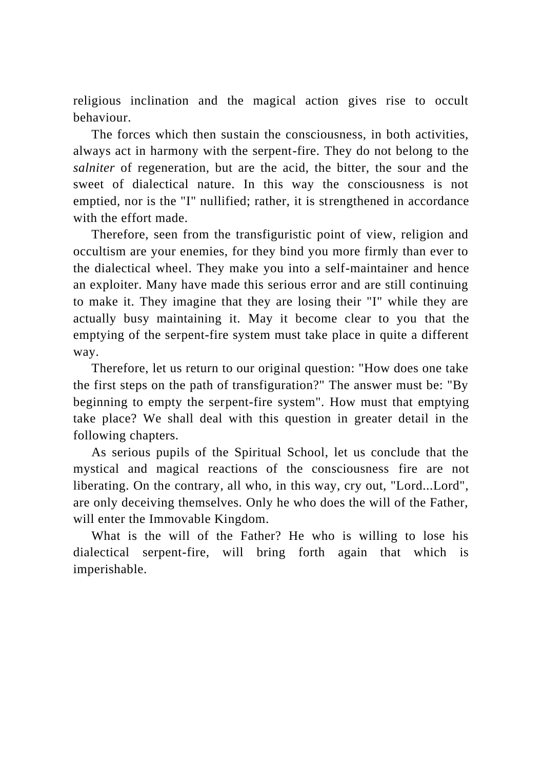religious inclination and the magical action gives rise to occult behaviour.

The forces which then sustain the consciousness, in both activities, always act in harmony with the serpent-fire. They do not belong to the *salniter* of regeneration, but are the acid, the bitter, the sour and the sweet of dialectical nature. In this way the consciousness is not emptied, nor is the "I" nullified; rather, it is strengthened in accordance with the effort made.

Therefore, seen from the transfiguristic point of view, religion and occultism are your enemies, for they bind you more firmly than ever to the dialectical wheel. They make you into a self-maintainer and hence an exploiter. Many have made this serious error and are still continuing to make it. They imagine that they are losing their "I" while they are actually busy maintaining it. May it become clear to you that the emptying of the serpent-fire system must take place in quite a different way.

Therefore, let us return to our original question: "How does one take the first steps on the path of transfiguration?" The answer must be: "By beginning to empty the serpent-fire system". How must that emptying take place? We shall deal with this question in greater detail in the following chapters.

As serious pupils of the Spiritual School, let us conclude that the mystical and magical reactions of the consciousness fire are not liberating. On the contrary, all who, in this way, cry out, "Lord...Lord", are only deceiving themselves. Only he who does the will of the Father, will enter the Immovable Kingdom.

What is the will of the Father? He who is willing to lose his dialectical serpent-fire, will bring forth again that which is imperishable.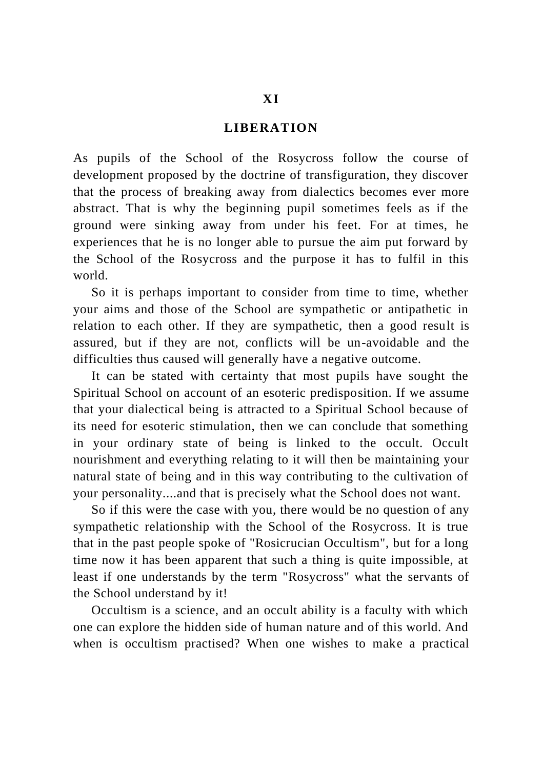# **LIBERATION**

As pupils of the School of the Rosycross follow the course of development proposed by the doctrine of transfiguration, they discover that the process of breaking away from dialectics becomes ever more abstract. That is why the beginning pupil sometimes feels as if the ground were sinking away from under his feet. For at times, he experiences that he is no longer able to pursue the aim put forward by the School of the Rosycross and the purpose it has to fulfil in this world.

So it is perhaps important to consider from time to time, whether your aims and those of the School are sympathetic or antipathetic in relation to each other. If they are sympathetic, then a good result is assured, but if they are not, conflicts will be un-avoidable and the difficulties thus caused will generally have a negative outcome.

It can be stated with certainty that most pupils have sought the Spiritual School on account of an esoteric predisposition. If we assume that your dialectical being is attracted to a Spiritual School because of its need for esoteric stimulation, then we can conclude that something in your ordinary state of being is linked to the occult. Occult nourishment and everything relating to it will then be maintaining your natural state of being and in this way contributing to the cultivation of your personality....and that is precisely what the School does not want.

So if this were the case with you, there would be no question of any sympathetic relationship with the School of the Rosycross. It is true that in the past people spoke of "Rosicrucian Occultism", but for a long time now it has been apparent that such a thing is quite impossible, at least if one understands by the term "Rosycross" what the servants of the School understand by it!

Occultism is a science, and an occult ability is a faculty with which one can explore the hidden side of human nature and of this world. And when is occultism practised? When one wishes to make a practical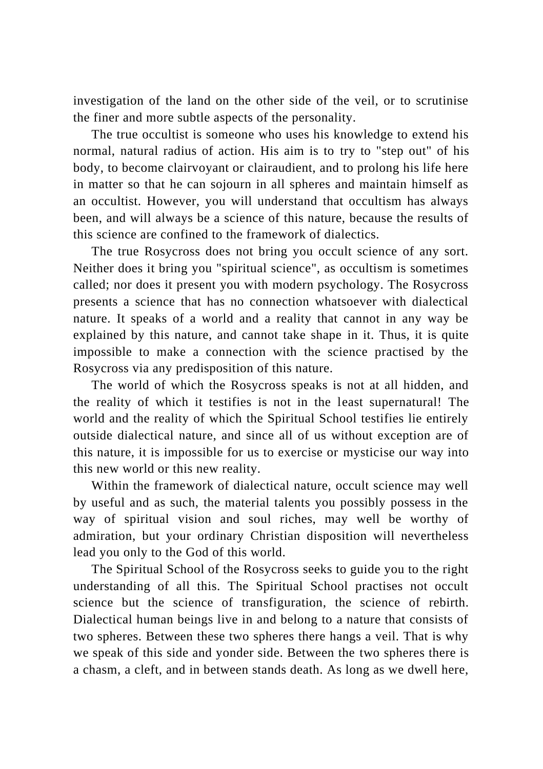investigation of the land on the other side of the veil, or to scrutinise the finer and more subtle aspects of the personality.

The true occultist is someone who uses his knowledge to extend his normal, natural radius of action. His aim is to try to "step out" of his body, to become clairvoyant or clairaudient, and to prolong his life here in matter so that he can sojourn in all spheres and maintain himself as an occultist. However, you will understand that occultism has always been, and will always be a science of this nature, because the results of this science are confined to the framework of dialectics.

The true Rosycross does not bring you occult science of any sort. Neither does it bring you "spiritual science", as occultism is sometimes called; nor does it present you with modern psychology. The Rosycross presents a science that has no connection whatsoever with dialectical nature. It speaks of a world and a reality that cannot in any way be explained by this nature, and cannot take shape in it. Thus, it is quite impossible to make a connection with the science practised by the Rosycross via any predisposition of this nature.

The world of which the Rosycross speaks is not at all hidden, and the reality of which it testifies is not in the least supernatural! The world and the reality of which the Spiritual School testifies lie entirely outside dialectical nature, and since all of us without exception are of this nature, it is impossible for us to exercise or mysticise our way into this new world or this new reality.

Within the framework of dialectical nature, occult science may well by useful and as such, the material talents you possibly possess in the way of spiritual vision and soul riches, may well be worthy of admiration, but your ordinary Christian disposition will nevertheless lead you only to the God of this world.

The Spiritual School of the Rosycross seeks to guide you to the right understanding of all this. The Spiritual School practises not occult science but the science of transfiguration, the science of rebirth. Dialectical human beings live in and belong to a nature that consists of two spheres. Between these two spheres there hangs a veil. That is why we speak of this side and yonder side. Between the two spheres there is a chasm, a cleft, and in between stands death. As long as we dwell here,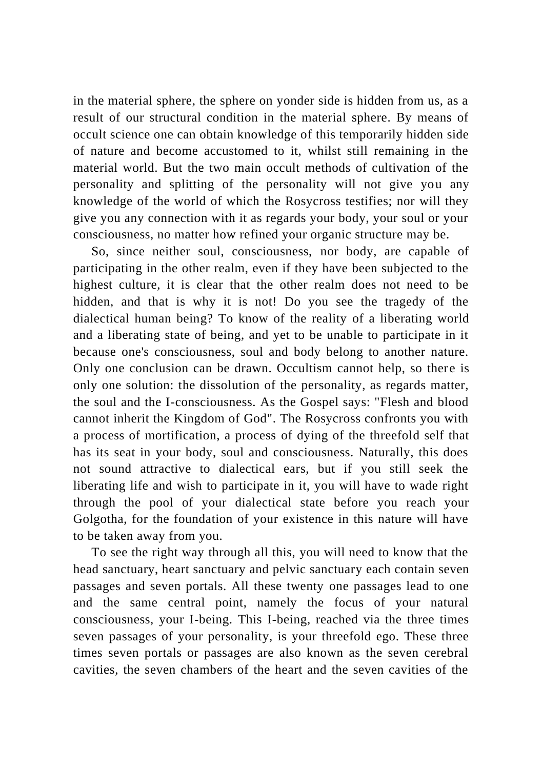in the material sphere, the sphere on yonder side is hidden from us, as a result of our structural condition in the material sphere. By means of occult science one can obtain knowledge of this temporarily hidden side of nature and become accustomed to it, whilst still remaining in the material world. But the two main occult methods of cultivation of the personality and splitting of the personality will not give you any knowledge of the world of which the Rosycross testifies; nor will they give you any connection with it as regards your body, your soul or your consciousness, no matter how refined your organic structure may be.

So, since neither soul, consciousness, nor body, are capable of participating in the other realm, even if they have been subjected to the highest culture, it is clear that the other realm does not need to be hidden, and that is why it is not! Do you see the tragedy of the dialectical human being? To know of the reality of a liberating world and a liberating state of being, and yet to be unable to participate in it because one's consciousness, soul and body belong to another nature. Only one conclusion can be drawn. Occultism cannot help, so there is only one solution: the dissolution of the personality, as regards matter, the soul and the I-consciousness. As the Gospel says: "Flesh and blood cannot inherit the Kingdom of God". The Rosycross confronts you with a process of mortification, a process of dying of the threefold self that has its seat in your body, soul and consciousness. Naturally, this does not sound attractive to dialectical ears, but if you still seek the liberating life and wish to participate in it, you will have to wade right through the pool of your dialectical state before you reach your Golgotha, for the foundation of your existence in this nature will have to be taken away from you.

To see the right way through all this, you will need to know that the head sanctuary, heart sanctuary and pelvic sanctuary each contain seven passages and seven portals. All these twenty one passages lead to one and the same central point, namely the focus of your natural consciousness, your I-being. This I-being, reached via the three times seven passages of your personality, is your threefold ego. These three times seven portals or passages are also known as the seven cerebral cavities, the seven chambers of the heart and the seven cavities of the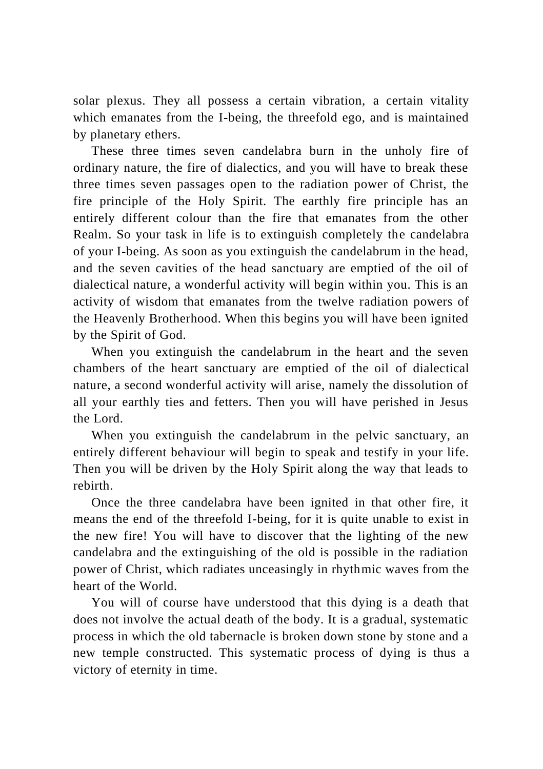solar plexus. They all possess a certain vibration, a certain vitality which emanates from the I-being, the threefold ego, and is maintained by planetary ethers.

These three times seven candelabra burn in the unholy fire of ordinary nature, the fire of dialectics, and you will have to break these three times seven passages open to the radiation power of Christ, the fire principle of the Holy Spirit. The earthly fire principle has an entirely different colour than the fire that emanates from the other Realm. So your task in life is to extinguish completely the candelabra of your I-being. As soon as you extinguish the candelabrum in the head, and the seven cavities of the head sanctuary are emptied of the oil of dialectical nature, a wonderful activity will begin within you. This is an activity of wisdom that emanates from the twelve radiation powers of the Heavenly Brotherhood. When this begins you will have been ignited by the Spirit of God.

When you extinguish the candelabrum in the heart and the seven chambers of the heart sanctuary are emptied of the oil of dialectical nature, a second wonderful activity will arise, namely the dissolution of all your earthly ties and fetters. Then you will have perished in Jesus the Lord.

When you extinguish the candelabrum in the pelvic sanctuary, an entirely different behaviour will begin to speak and testify in your life. Then you will be driven by the Holy Spirit along the way that leads to rebirth.

Once the three candelabra have been ignited in that other fire, it means the end of the threefold I-being, for it is quite unable to exist in the new fire! You will have to discover that the lighting of the new candelabra and the extinguishing of the old is possible in the radiation power of Christ, which radiates unceasingly in rhythmic waves from the heart of the World.

You will of course have understood that this dying is a death that does not involve the actual death of the body. It is a gradual, systematic process in which the old tabernacle is broken down stone by stone and a new temple constructed. This systematic process of dying is thus a victory of eternity in time.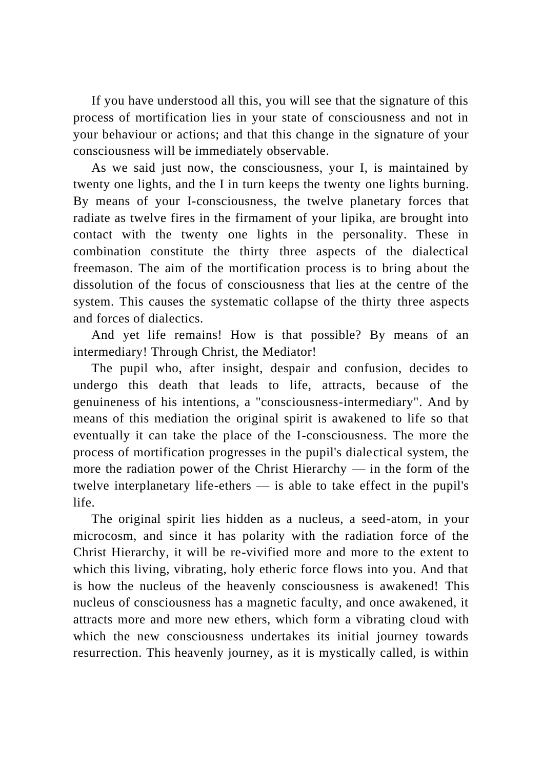If you have understood all this, you will see that the signature of this process of mortification lies in your state of consciousness and not in your behaviour or actions; and that this change in the signature of your consciousness will be immediately observable.

As we said just now, the consciousness, your I, is maintained by twenty one lights, and the I in turn keeps the twenty one lights burning. By means of your I-consciousness, the twelve planetary forces that radiate as twelve fires in the firmament of your lipika, are brought into contact with the twenty one lights in the personality. These in combination constitute the thirty three aspects of the dialectical freemason. The aim of the mortification process is to bring about the dissolution of the focus of consciousness that lies at the centre of the system. This causes the systematic collapse of the thirty three aspects and forces of dialectics.

And yet life remains! How is that possible? By means of an intermediary! Through Christ, the Mediator!

The pupil who, after insight, despair and confusion, decides to undergo this death that leads to life, attracts, because of the genuineness of his intentions, a "consciousness-intermediary". And by means of this mediation the original spirit is awakened to life so that eventually it can take the place of the I-consciousness. The more the process of mortification progresses in the pupil's dialectical system, the more the radiation power of the Christ Hierarchy  $-$  in the form of the twelve interplanetary life-ethers — is able to take effect in the pupil's life.

The original spirit lies hidden as a nucleus, a seed-atom, in your microcosm, and since it has polarity with the radiation force of the Christ Hierarchy, it will be re-vivified more and more to the extent to which this living, vibrating, holy etheric force flows into you. And that is how the nucleus of the heavenly consciousness is awakened! This nucleus of consciousness has a magnetic faculty, and once awakened, it attracts more and more new ethers, which form a vibrating cloud with which the new consciousness undertakes its initial journey towards resurrection. This heavenly journey, as it is mystically called, is within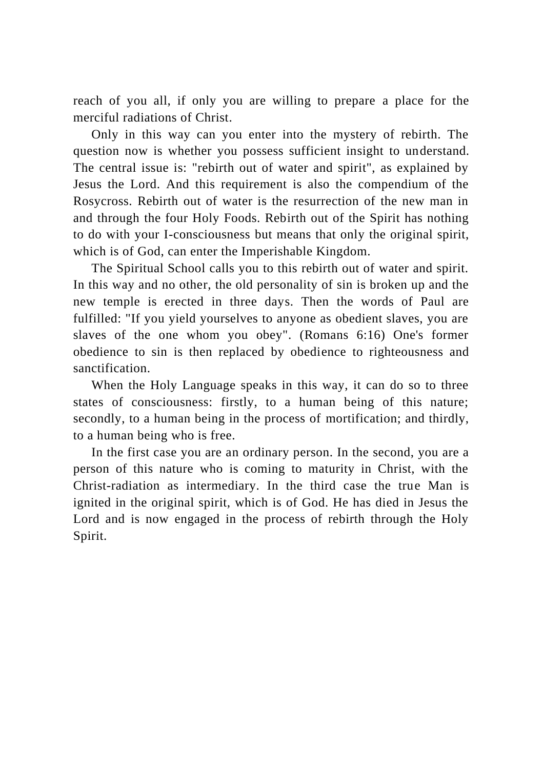reach of you all, if only you are willing to prepare a place for the merciful radiations of Christ.

Only in this way can you enter into the mystery of rebirth. The question now is whether you possess sufficient insight to understand. The central issue is: "rebirth out of water and spirit", as explained by Jesus the Lord. And this requirement is also the compendium of the Rosycross. Rebirth out of water is the resurrection of the new man in and through the four Holy Foods. Rebirth out of the Spirit has nothing to do with your I-consciousness but means that only the original spirit, which is of God, can enter the Imperishable Kingdom.

The Spiritual School calls you to this rebirth out of water and spirit. In this way and no other, the old personality of sin is broken up and the new temple is erected in three days. Then the words of Paul are fulfilled: "If you yield yourselves to anyone as obedient slaves, you are slaves of the one whom you obey". (Romans 6:16) One's former obedience to sin is then replaced by obedience to righteousness and sanctification.

When the Holy Language speaks in this way, it can do so to three states of consciousness: firstly, to a human being of this nature; secondly, to a human being in the process of mortification; and thirdly, to a human being who is free.

In the first case you are an ordinary person. In the second, you are a person of this nature who is coming to maturity in Christ, with the Christ-radiation as intermediary. In the third case the true Man is ignited in the original spirit, which is of God. He has died in Jesus the Lord and is now engaged in the process of rebirth through the Holy Spirit.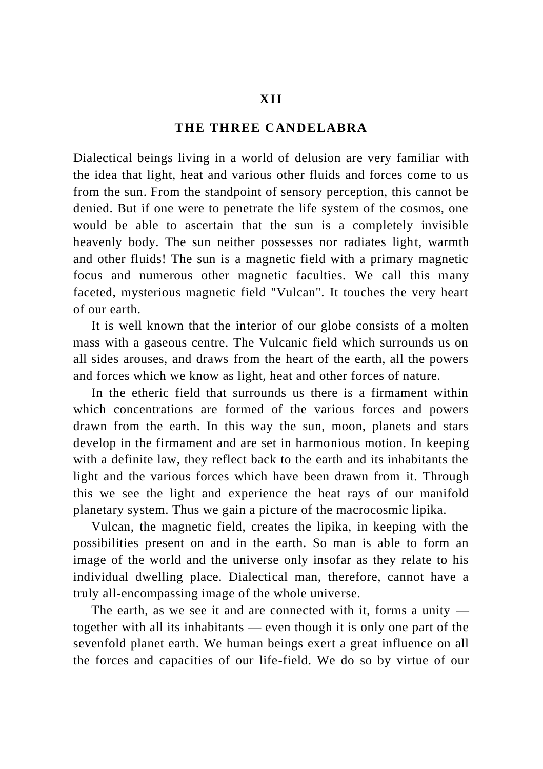## **THE THREE CANDELABRA**

Dialectical beings living in a world of delusion are very familiar with the idea that light, heat and various other fluids and forces come to us from the sun. From the standpoint of sensory perception, this cannot be denied. But if one were to penetrate the life system of the cosmos, one would be able to ascertain that the sun is a completely invisible heavenly body. The sun neither possesses nor radiates light, warmth and other fluids! The sun is a magnetic field with a primary magnetic focus and numerous other magnetic faculties. We call this many faceted, mysterious magnetic field "Vulcan". It touches the very heart of our earth.

It is well known that the interior of our globe consists of a molten mass with a gaseous centre. The Vulcanic field which surrounds us on all sides arouses, and draws from the heart of the earth, all the powers and forces which we know as light, heat and other forces of nature.

In the etheric field that surrounds us there is a firmament within which concentrations are formed of the various forces and powers drawn from the earth. In this way the sun, moon, planets and stars develop in the firmament and are set in harmonious motion. In keeping with a definite law, they reflect back to the earth and its inhabitants the light and the various forces which have been drawn from it. Through this we see the light and experience the heat rays of our manifold planetary system. Thus we gain a picture of the macrocosmic lipika.

Vulcan, the magnetic field, creates the lipika, in keeping with the possibilities present on and in the earth. So man is able to form an image of the world and the universe only insofar as they relate to his individual dwelling place. Dialectical man, therefore, cannot have a truly all-encompassing image of the whole universe.

The earth, as we see it and are connected with it, forms a unity together with all its inhabitants — even though it is only one part of the sevenfold planet earth. We human beings exert a great influence on all the forces and capacities of our life-field. We do so by virtue of our

### **XII**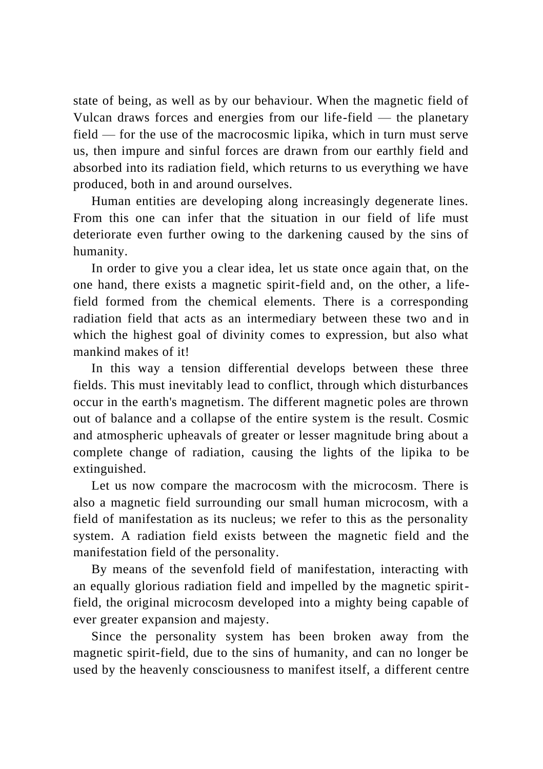state of being, as well as by our behaviour. When the magnetic field of Vulcan draws forces and energies from our life-field  $-$  the planetary field — for the use of the macrocosmic lipika, which in turn must serve us, then impure and sinful forces are drawn from our earthly field and absorbed into its radiation field, which returns to us everything we have produced, both in and around ourselves.

Human entities are developing along increasingly degenerate lines. From this one can infer that the situation in our field of life must deteriorate even further owing to the darkening caused by the sins of humanity.

In order to give you a clear idea, let us state once again that, on the one hand, there exists a magnetic spirit-field and, on the other, a lifefield formed from the chemical elements. There is a corresponding radiation field that acts as an intermediary between these two and in which the highest goal of divinity comes to expression, but also what mankind makes of it!

In this way a tension differential develops between these three fields. This must inevitably lead to conflict, through which disturbances occur in the earth's magnetism. The different magnetic poles are thrown out of balance and a collapse of the entire system is the result. Cosmic and atmospheric upheavals of greater or lesser magnitude bring about a complete change of radiation, causing the lights of the lipika to be extinguished.

Let us now compare the macrocosm with the microcosm. There is also a magnetic field surrounding our small human microcosm, with a field of manifestation as its nucleus; we refer to this as the personality system. A radiation field exists between the magnetic field and the manifestation field of the personality.

By means of the sevenfold field of manifestation, interacting with an equally glorious radiation field and impelled by the magnetic spiritfield, the original microcosm developed into a mighty being capable of ever greater expansion and majesty.

Since the personality system has been broken away from the magnetic spirit-field, due to the sins of humanity, and can no longer be used by the heavenly consciousness to manifest itself, a different centre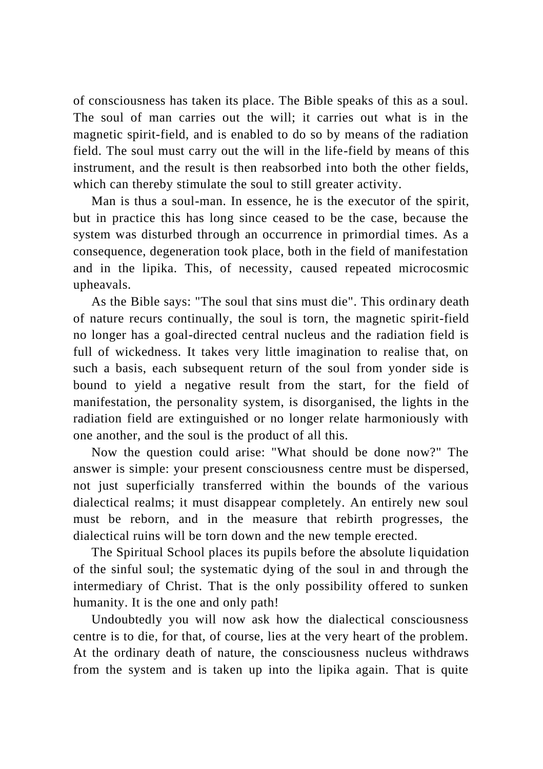of consciousness has taken its place. The Bible speaks of this as a soul. The soul of man carries out the will; it carries out what is in the magnetic spirit-field, and is enabled to do so by means of the radiation field. The soul must carry out the will in the life-field by means of this instrument, and the result is then reabsorbed into both the other fields, which can thereby stimulate the soul to still greater activity.

Man is thus a soul-man. In essence, he is the executor of the spirit, but in practice this has long since ceased to be the case, because the system was disturbed through an occurrence in primordial times. As a consequence, degeneration took place, both in the field of manifestation and in the lipika. This, of necessity, caused repeated microcosmic upheavals.

As the Bible says: "The soul that sins must die". This ordinary death of nature recurs continually, the soul is torn, the magnetic spirit-field no longer has a goal-directed central nucleus and the radiation field is full of wickedness. It takes very little imagination to realise that, on such a basis, each subsequent return of the soul from yonder side is bound to yield a negative result from the start, for the field of manifestation, the personality system, is disorganised, the lights in the radiation field are extinguished or no longer relate harmoniously with one another, and the soul is the product of all this.

Now the question could arise: "What should be done now?" The answer is simple: your present consciousness centre must be dispersed, not just superficially transferred within the bounds of the various dialectical realms; it must disappear completely. An entirely new soul must be reborn, and in the measure that rebirth progresses, the dialectical ruins will be torn down and the new temple erected.

The Spiritual School places its pupils before the absolute liquidation of the sinful soul; the systematic dying of the soul in and through the intermediary of Christ. That is the only possibility offered to sunken humanity. It is the one and only path!

Undoubtedly you will now ask how the dialectical consciousness centre is to die, for that, of course, lies at the very heart of the problem. At the ordinary death of nature, the consciousness nucleus withdraws from the system and is taken up into the lipika again. That is quite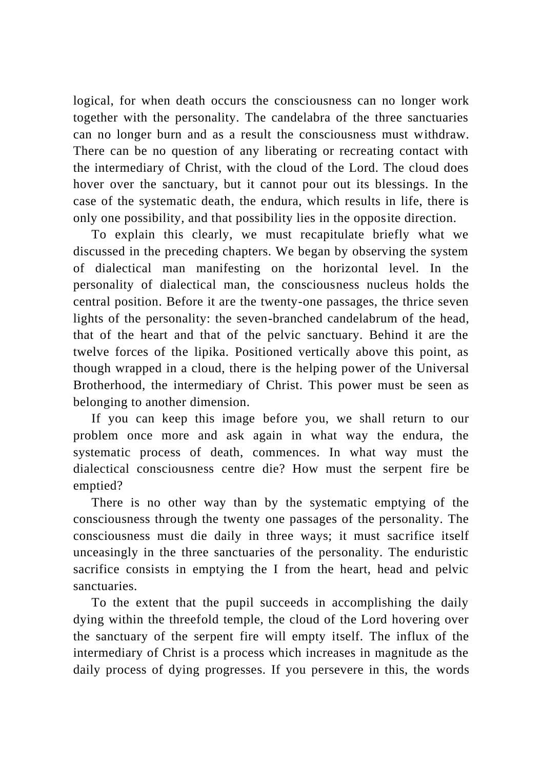logical, for when death occurs the consciousness can no longer work together with the personality. The candelabra of the three sanctuaries can no longer burn and as a result the consciousness must withdraw. There can be no question of any liberating or recreating contact with the intermediary of Christ, with the cloud of the Lord. The cloud does hover over the sanctuary, but it cannot pour out its blessings. In the case of the systematic death, the endura, which results in life, there is only one possibility, and that possibility lies in the opposite direction.

To explain this clearly, we must recapitulate briefly what we discussed in the preceding chapters. We began by observing the system of dialectical man manifesting on the horizontal level. In the personality of dialectical man, the consciousness nucleus holds the central position. Before it are the twenty-one passages, the thrice seven lights of the personality: the seven-branched candelabrum of the head, that of the heart and that of the pelvic sanctuary. Behind it are the twelve forces of the lipika. Positioned vertically above this point, as though wrapped in a cloud, there is the helping power of the Universal Brotherhood, the intermediary of Christ. This power must be seen as belonging to another dimension.

If you can keep this image before you, we shall return to our problem once more and ask again in what way the endura, the systematic process of death, commences. In what way must the dialectical consciousness centre die? How must the serpent fire be emptied?

There is no other way than by the systematic emptying of the consciousness through the twenty one passages of the personality. The consciousness must die daily in three ways; it must sacrifice itself unceasingly in the three sanctuaries of the personality. The enduristic sacrifice consists in emptying the I from the heart, head and pelvic sanctuaries.

To the extent that the pupil succeeds in accomplishing the daily dying within the threefold temple, the cloud of the Lord hovering over the sanctuary of the serpent fire will empty itself. The influx of the intermediary of Christ is a process which increases in magnitude as the daily process of dying progresses. If you persevere in this, the words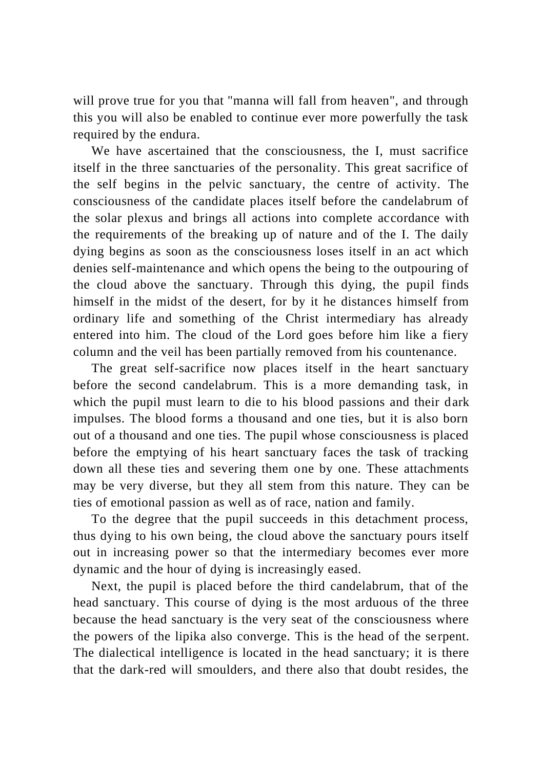will prove true for you that "manna will fall from heaven", and through this you will also be enabled to continue ever more powerfully the task required by the endura.

We have ascertained that the consciousness, the I, must sacrifice itself in the three sanctuaries of the personality. This great sacrifice of the self begins in the pelvic sanctuary, the centre of activity. The consciousness of the candidate places itself before the candelabrum of the solar plexus and brings all actions into complete accordance with the requirements of the breaking up of nature and of the I. The daily dying begins as soon as the consciousness loses itself in an act which denies self-maintenance and which opens the being to the outpouring of the cloud above the sanctuary. Through this dying, the pupil finds himself in the midst of the desert, for by it he distances himself from ordinary life and something of the Christ intermediary has already entered into him. The cloud of the Lord goes before him like a fiery column and the veil has been partially removed from his countenance.

The great self-sacrifice now places itself in the heart sanctuary before the second candelabrum. This is a more demanding task, in which the pupil must learn to die to his blood passions and their dark impulses. The blood forms a thousand and one ties, but it is also born out of a thousand and one ties. The pupil whose consciousness is placed before the emptying of his heart sanctuary faces the task of tracking down all these ties and severing them one by one. These attachments may be very diverse, but they all stem from this nature. They can be ties of emotional passion as well as of race, nation and family.

To the degree that the pupil succeeds in this detachment process, thus dying to his own being, the cloud above the sanctuary pours itself out in increasing power so that the intermediary becomes ever more dynamic and the hour of dying is increasingly eased.

Next, the pupil is placed before the third candelabrum, that of the head sanctuary. This course of dying is the most arduous of the three because the head sanctuary is the very seat of the consciousness where the powers of the lipika also converge. This is the head of the serpent. The dialectical intelligence is located in the head sanctuary; it is there that the dark-red will smoulders, and there also that doubt resides, the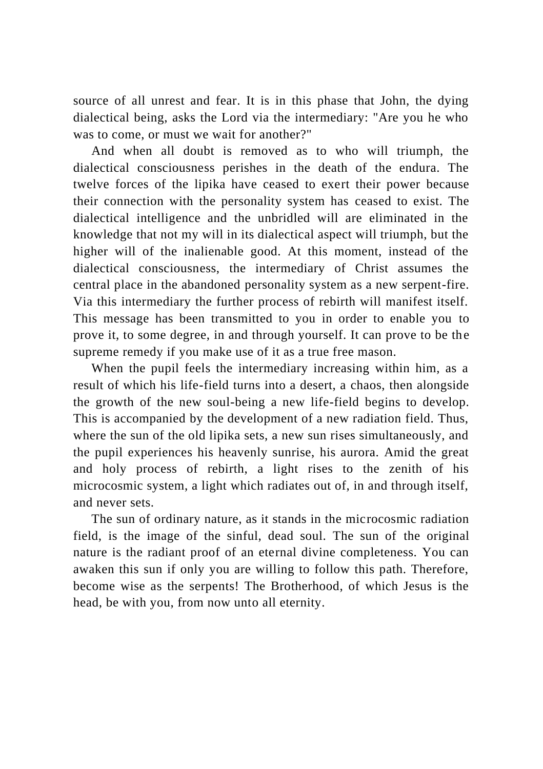source of all unrest and fear. It is in this phase that John, the dying dialectical being, asks the Lord via the intermediary: "Are you he who was to come, or must we wait for another?"

And when all doubt is removed as to who will triumph, the dialectical consciousness perishes in the death of the endura. The twelve forces of the lipika have ceased to exert their power because their connection with the personality system has ceased to exist. The dialectical intelligence and the unbridled will are eliminated in the knowledge that not my will in its dialectical aspect will triumph, but the higher will of the inalienable good. At this moment, instead of the dialectical consciousness, the intermediary of Christ assumes the central place in the abandoned personality system as a new serpent-fire. Via this intermediary the further process of rebirth will manifest itself. This message has been transmitted to you in order to enable you to prove it, to some degree, in and through yourself. It can prove to be the supreme remedy if you make use of it as a true free mason.

When the pupil feels the intermediary increasing within him, as a result of which his life-field turns into a desert, a chaos, then alongside the growth of the new soul-being a new life-field begins to develop. This is accompanied by the development of a new radiation field. Thus, where the sun of the old lipika sets, a new sun rises simultaneously, and the pupil experiences his heavenly sunrise, his aurora. Amid the great and holy process of rebirth, a light rises to the zenith of his microcosmic system, a light which radiates out of, in and through itself, and never sets.

The sun of ordinary nature, as it stands in the microcosmic radiation field, is the image of the sinful, dead soul. The sun of the original nature is the radiant proof of an eternal divine completeness. You can awaken this sun if only you are willing to follow this path. Therefore, become wise as the serpents! The Brotherhood, of which Jesus is the head, be with you, from now unto all eternity.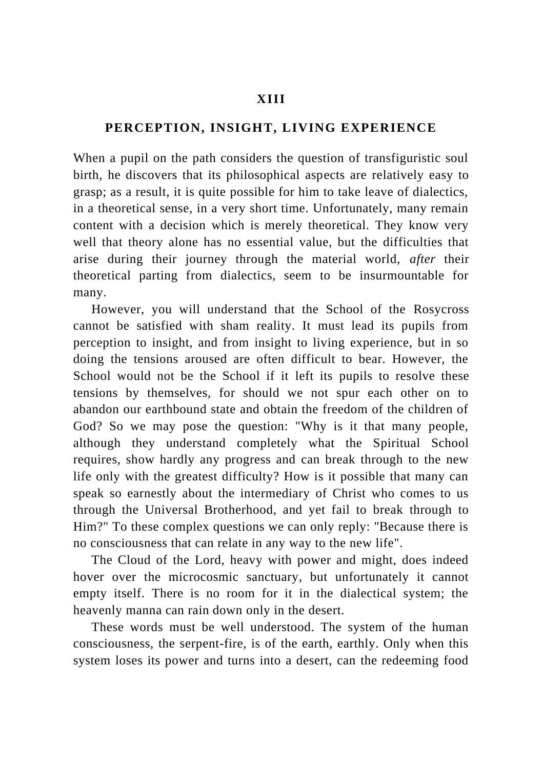## **PERCEPTION, INSIGHT, LIVING EXPERIENCE**

When a pupil on the path considers the question of transfiguristic soul birth, he discovers that its philosophical aspects are relatively easy to grasp; as a result, it is quite possible for him to take leave of dialectics, in a theoretical sense, in a very short time. Unfortunately, many remain content with a decision which is merely theoretical. They know very well that theory alone has no essential value, but the difficulties that arise during their journey through the material world, *after* their theoretical parting from dialectics, seem to be insurmountable for many.

However, you will understand that the School of the Rosycross cannot be satisfied with sham reality. It must lead its pupils from perception to insight, and from insight to living experience, but in so doing the tensions aroused are often difficult to bear. However, the School would not be the School if it left its pupils to resolve these tensions by themselves, for should we not spur each other on to abandon our earthbound state and obtain the freedom of the children of God? So we may pose the question: "Why is it that many people, although they understand completely what the Spiritual School requires, show hardly any progress and can break through to the new life only with the greatest difficulty? How is it possible that many can speak so earnestly about the intermediary of Christ who comes to us through the Universal Brotherhood, and yet fail to break through to Him?" To these complex questions we can only reply: "Because there is no consciousness that can relate in any way to the new life".

The Cloud of the Lord, heavy with power and might, does indeed hover over the microcosmic sanctuary, but unfortunately it cannot empty itself. There is no room for it in the dialectical system; the heavenly manna can rain down only in the desert.

These words must be well understood. The system of the human consciousness, the serpent-fire, is of the earth, earthly. Only when this system loses its power and turns into a desert, can the redeeming food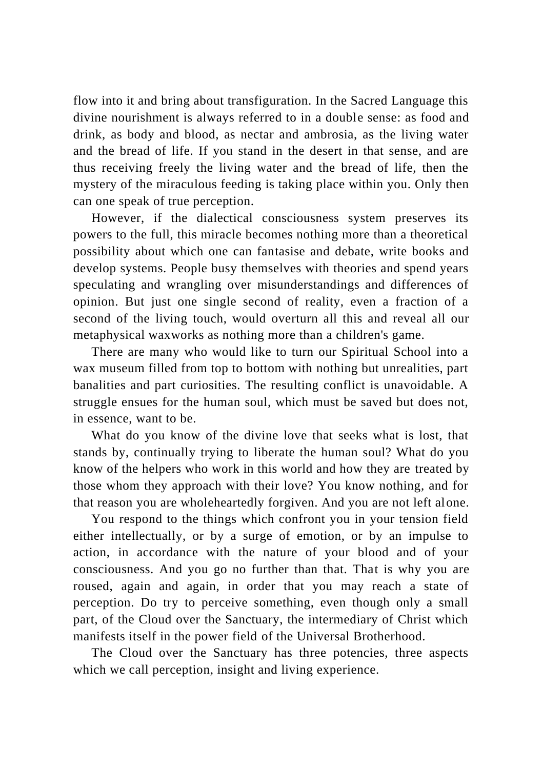flow into it and bring about transfiguration. In the Sacred Language this divine nourishment is always referred to in a double sense: as food and drink, as body and blood, as nectar and ambrosia, as the living water and the bread of life. If you stand in the desert in that sense, and are thus receiving freely the living water and the bread of life, then the mystery of the miraculous feeding is taking place within you. Only then can one speak of true perception.

However, if the dialectical consciousness system preserves its powers to the full, this miracle becomes nothing more than a theoretical possibility about which one can fantasise and debate, write books and develop systems. People busy themselves with theories and spend years speculating and wrangling over misunderstandings and differences of opinion. But just one single second of reality, even a fraction of a second of the living touch, would overturn all this and reveal all our metaphysical waxworks as nothing more than a children's game.

There are many who would like to turn our Spiritual School into a wax museum filled from top to bottom with nothing but unrealities, part banalities and part curiosities. The resulting conflict is unavoidable. A struggle ensues for the human soul, which must be saved but does not, in essence, want to be.

What do you know of the divine love that seeks what is lost, that stands by, continually trying to liberate the human soul? What do you know of the helpers who work in this world and how they are treated by those whom they approach with their love? You know nothing, and for that reason you are wholeheartedly forgiven. And you are not left alone.

You respond to the things which confront you in your tension field either intellectually, or by a surge of emotion, or by an impulse to action, in accordance with the nature of your blood and of your consciousness. And you go no further than that. That is why you are roused, again and again, in order that you may reach a state of perception. Do try to perceive something, even though only a small part, of the Cloud over the Sanctuary, the intermediary of Christ which manifests itself in the power field of the Universal Brotherhood.

The Cloud over the Sanctuary has three potencies, three aspects which we call perception, insight and living experience.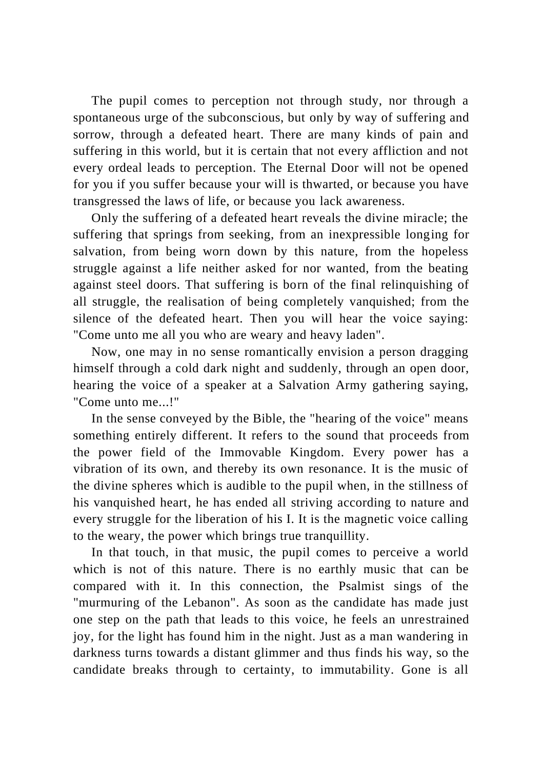The pupil comes to perception not through study, nor through a spontaneous urge of the subconscious, but only by way of suffering and sorrow, through a defeated heart. There are many kinds of pain and suffering in this world, but it is certain that not every affliction and not every ordeal leads to perception. The Eternal Door will not be opened for you if you suffer because your will is thwarted, or because you have transgressed the laws of life, or because you lack awareness.

Only the suffering of a defeated heart reveals the divine miracle; the suffering that springs from seeking, from an inexpressible longing for salvation, from being worn down by this nature, from the hopeless struggle against a life neither asked for nor wanted, from the beating against steel doors. That suffering is born of the final relinquishing of all struggle, the realisation of being completely vanquished; from the silence of the defeated heart. Then you will hear the voice saying: "Come unto me all you who are weary and heavy laden".

Now, one may in no sense romantically envision a person dragging himself through a cold dark night and suddenly, through an open door, hearing the voice of a speaker at a Salvation Army gathering saying, "Come unto me...!"

In the sense conveyed by the Bible, the "hearing of the voice" means something entirely different. It refers to the sound that proceeds from the power field of the Immovable Kingdom. Every power has a vibration of its own, and thereby its own resonance. It is the music of the divine spheres which is audible to the pupil when, in the stillness of his vanquished heart, he has ended all striving according to nature and every struggle for the liberation of his I. It is the magnetic voice calling to the weary, the power which brings true tranquillity.

In that touch, in that music, the pupil comes to perceive a world which is not of this nature. There is no earthly music that can be compared with it. In this connection, the Psalmist sings of the "murmuring of the Lebanon". As soon as the candidate has made just one step on the path that leads to this voice, he feels an unrestrained joy, for the light has found him in the night. Just as a man wandering in darkness turns towards a distant glimmer and thus finds his way, so the candidate breaks through to certainty, to immutability. Gone is all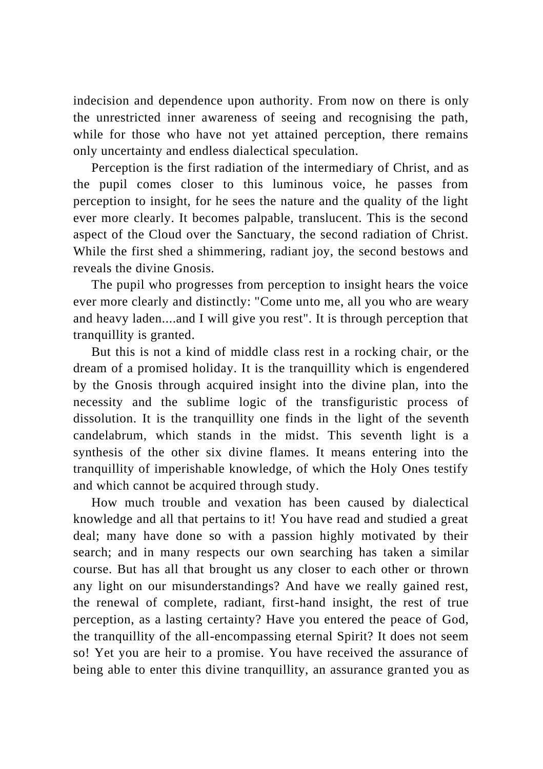indecision and dependence upon authority. From now on there is only the unrestricted inner awareness of seeing and recognising the path, while for those who have not yet attained perception, there remains only uncertainty and endless dialectical speculation.

Perception is the first radiation of the intermediary of Christ, and as the pupil comes closer to this luminous voice, he passes from perception to insight, for he sees the nature and the quality of the light ever more clearly. It becomes palpable, translucent. This is the second aspect of the Cloud over the Sanctuary, the second radiation of Christ. While the first shed a shimmering, radiant joy, the second bestows and reveals the divine Gnosis.

The pupil who progresses from perception to insight hears the voice ever more clearly and distinctly: "Come unto me, all you who are weary and heavy laden....and I will give you rest". It is through perception that tranquillity is granted.

But this is not a kind of middle class rest in a rocking chair, or the dream of a promised holiday. It is the tranquillity which is engendered by the Gnosis through acquired insight into the divine plan, into the necessity and the sublime logic of the transfiguristic process of dissolution. It is the tranquillity one finds in the light of the seventh candelabrum, which stands in the midst. This seventh light is a synthesis of the other six divine flames. It means entering into the tranquillity of imperishable knowledge, of which the Holy Ones testify and which cannot be acquired through study.

How much trouble and vexation has been caused by dialectical knowledge and all that pertains to it! You have read and studied a great deal; many have done so with a passion highly motivated by their search; and in many respects our own searching has taken a similar course. But has all that brought us any closer to each other or thrown any light on our misunderstandings? And have we really gained rest, the renewal of complete, radiant, first-hand insight, the rest of true perception, as a lasting certainty? Have you entered the peace of God, the tranquillity of the all-encompassing eternal Spirit? It does not seem so! Yet you are heir to a promise. You have received the assurance of being able to enter this divine tranquillity, an assurance granted you as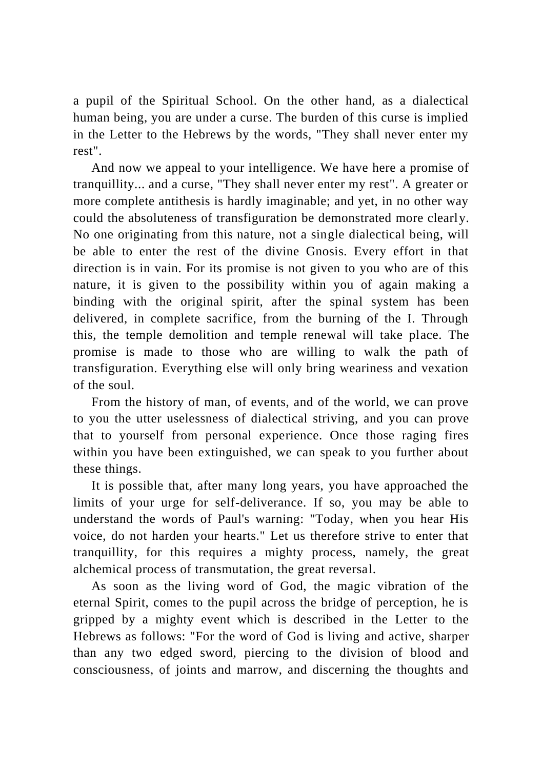a pupil of the Spiritual School. On the other hand, as a dialectical human being, you are under a curse. The burden of this curse is implied in the Letter to the Hebrews by the words, "They shall never enter my rest".

And now we appeal to your intelligence. We have here a promise of tranquillity... and a curse, "They shall never enter my rest". A greater or more complete antithesis is hardly imaginable; and yet, in no other way could the absoluteness of transfiguration be demonstrated more clearly. No one originating from this nature, not a single dialectical being, will be able to enter the rest of the divine Gnosis. Every effort in that direction is in vain. For its promise is not given to you who are of this nature, it is given to the possibility within you of again making a binding with the original spirit, after the spinal system has been delivered, in complete sacrifice, from the burning of the I. Through this, the temple demolition and temple renewal will take place. The promise is made to those who are willing to walk the path of transfiguration. Everything else will only bring weariness and vexation of the soul.

From the history of man, of events, and of the world, we can prove to you the utter uselessness of dialectical striving, and you can prove that to yourself from personal experience. Once those raging fires within you have been extinguished, we can speak to you further about these things.

It is possible that, after many long years, you have approached the limits of your urge for self-deliverance. If so, you may be able to understand the words of Paul's warning: "Today, when you hear His voice, do not harden your hearts." Let us therefore strive to enter that tranquillity, for this requires a mighty process, namely, the great alchemical process of transmutation, the great reversal.

As soon as the living word of God, the magic vibration of the eternal Spirit, comes to the pupil across the bridge of perception, he is gripped by a mighty event which is described in the Letter to the Hebrews as follows: "For the word of God is living and active, sharper than any two edged sword, piercing to the division of blood and consciousness, of joints and marrow, and discerning the thoughts and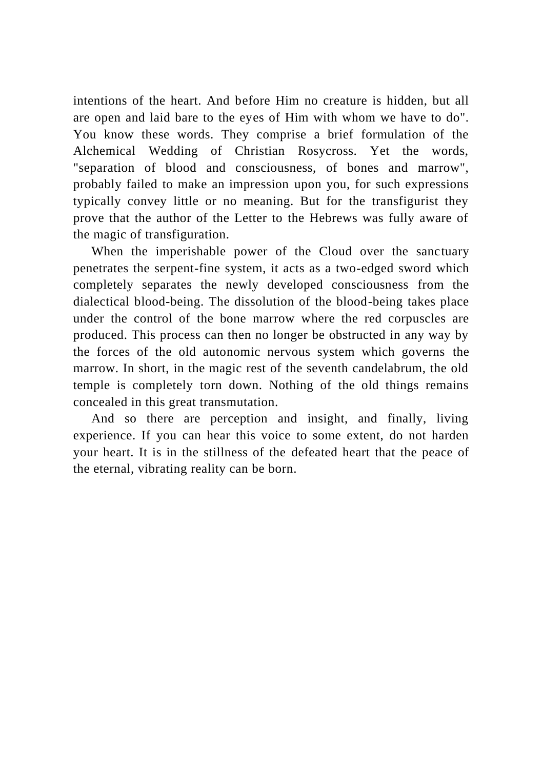intentions of the heart. And before Him no creature is hidden, but all are open and laid bare to the eyes of Him with whom we have to do". You know these words. They comprise a brief formulation of the Alchemical Wedding of Christian Rosycross. Yet the words, "separation of blood and consciousness, of bones and marrow", probably failed to make an impression upon you, for such expressions typically convey little or no meaning. But for the transfigurist they prove that the author of the Letter to the Hebrews was fully aware of the magic of transfiguration.

When the imperishable power of the Cloud over the sanctuary penetrates the serpent-fine system, it acts as a two-edged sword which completely separates the newly developed consciousness from the dialectical blood-being. The dissolution of the blood-being takes place under the control of the bone marrow where the red corpuscles are produced. This process can then no longer be obstructed in any way by the forces of the old autonomic nervous system which governs the marrow. In short, in the magic rest of the seventh candelabrum, the old temple is completely torn down. Nothing of the old things remains concealed in this great transmutation.

And so there are perception and insight, and finally, living experience. If you can hear this voice to some extent, do not harden your heart. It is in the stillness of the defeated heart that the peace of the eternal, vibrating reality can be born.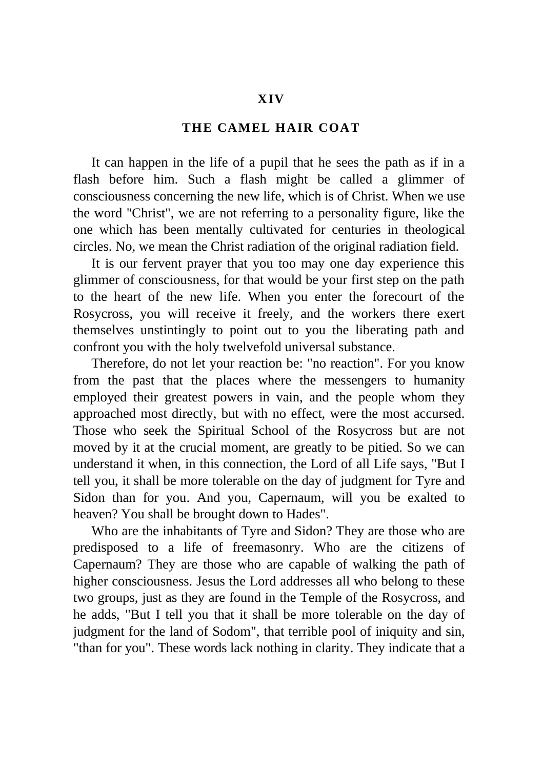## **XIV**

# **THE CAMEL HAIR COAT**

It can happen in the life of a pupil that he sees the path as if in a flash before him. Such a flash might be called a glimmer of consciousness concerning the new life, which is of Christ. When we use the word "Christ", we are not referring to a personality figure, like the one which has been mentally cultivated for centuries in theological circles. No, we mean the Christ radiation of the original radiation field.

It is our fervent prayer that you too may one day experience this glimmer of consciousness, for that would be your first step on the path to the heart of the new life. When you enter the forecourt of the Rosycross, you will receive it freely, and the workers there exert themselves unstintingly to point out to you the liberating path and confront you with the holy twelvefold universal substance.

Therefore, do not let your reaction be: "no reaction". For you know from the past that the places where the messengers to humanity employed their greatest powers in vain, and the people whom they approached most directly, but with no effect, were the most accursed. Those who seek the Spiritual School of the Rosycross but are not moved by it at the crucial moment, are greatly to be pitied. So we can understand it when, in this connection, the Lord of all Life says, "But I tell you, it shall be more tolerable on the day of judgment for Tyre and Sidon than for you. And you, Capernaum, will you be exalted to heaven? You shall be brought down to Hades".

Who are the inhabitants of Tyre and Sidon? They are those who are predisposed to a life of freemasonry. Who are the citizens of Capernaum? They are those who are capable of walking the path of higher consciousness. Jesus the Lord addresses all who belong to these two groups, just as they are found in the Temple of the Rosycross, and he adds, "But I tell you that it shall be more tolerable on the day of judgment for the land of Sodom", that terrible pool of iniquity and sin, "than for you". These words lack nothing in clarity. They indicate that a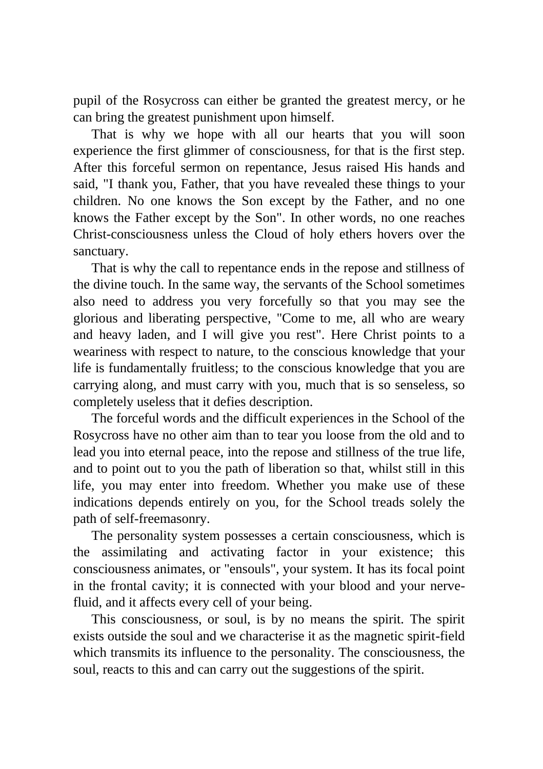pupil of the Rosycross can either be granted the greatest mercy, or he can bring the greatest punishment upon himself.

That is why we hope with all our hearts that you will soon experience the first glimmer of consciousness, for that is the first step. After this forceful sermon on repentance, Jesus raised His hands and said, "I thank you, Father, that you have revealed these things to your children. No one knows the Son except by the Father, and no one knows the Father except by the Son". In other words, no one reaches Christ-consciousness unless the Cloud of holy ethers hovers over the sanctuary.

That is why the call to repentance ends in the repose and stillness of the divine touch. In the same way, the servants of the School sometimes also need to address you very forcefully so that you may see the glorious and liberating perspective, "Come to me, all who are weary and heavy laden, and I will give you rest". Here Christ points to a weariness with respect to nature, to the conscious knowledge that your life is fundamentally fruitless; to the conscious knowledge that you are carrying along, and must carry with you, much that is so senseless, so completely useless that it defies description.

The forceful words and the difficult experiences in the School of the Rosycross have no other aim than to tear you loose from the old and to lead you into eternal peace, into the repose and stillness of the true life, and to point out to you the path of liberation so that, whilst still in this life, you may enter into freedom. Whether you make use of these indications depends entirely on you, for the School treads solely the path of self-freemasonry.

The personality system possesses a certain consciousness, which is the assimilating and activating factor in your existence; this consciousness animates, or "ensouls", your system. It has its focal point in the frontal cavity; it is connected with your blood and your nervefluid, and it affects every cell of your being.

This consciousness, or soul, is by no means the spirit. The spirit exists outside the soul and we characterise it as the magnetic spirit-field which transmits its influence to the personality. The consciousness, the soul, reacts to this and can carry out the suggestions of the spirit.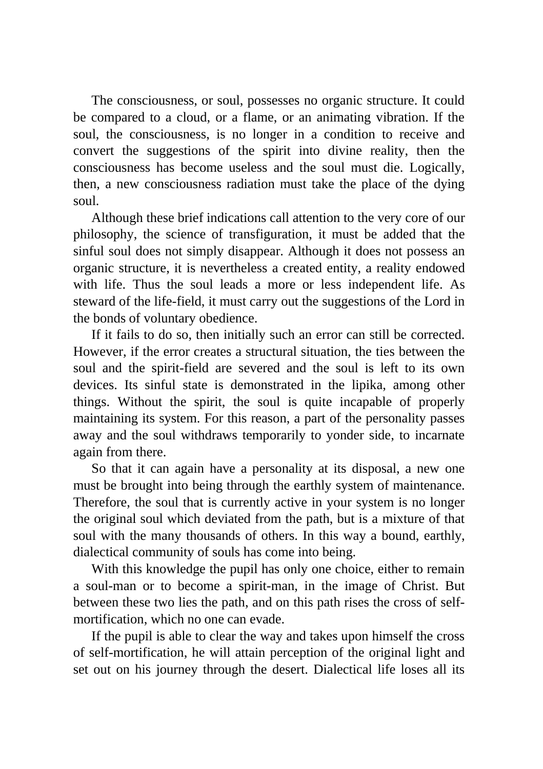The consciousness, or soul, possesses no organic structure. It could be compared to a cloud, or a flame, or an animating vibration. If the soul, the consciousness, is no longer in a condition to receive and convert the suggestions of the spirit into divine reality, then the consciousness has become useless and the soul must die. Logically, then, a new consciousness radiation must take the place of the dying soul.

Although these brief indications call attention to the very core of our philosophy, the science of transfiguration, it must be added that the sinful soul does not simply disappear. Although it does not possess an organic structure, it is nevertheless a created entity, a reality endowed with life. Thus the soul leads a more or less independent life. As steward of the life-field, it must carry out the suggestions of the Lord in the bonds of voluntary obedience.

If it fails to do so, then initially such an error can still be corrected. However, if the error creates a structural situation, the ties between the soul and the spirit-field are severed and the soul is left to its own devices. Its sinful state is demonstrated in the lipika, among other things. Without the spirit, the soul is quite incapable of properly maintaining its system. For this reason, a part of the personality passes away and the soul withdraws temporarily to yonder side, to incarnate again from there.

So that it can again have a personality at its disposal, a new one must be brought into being through the earthly system of maintenance. Therefore, the soul that is currently active in your system is no longer the original soul which deviated from the path, but is a mixture of that soul with the many thousands of others. In this way a bound, earthly, dialectical community of souls has come into being.

With this knowledge the pupil has only one choice, either to remain a soul-man or to become a spirit-man, in the image of Christ. But between these two lies the path, and on this path rises the cross of selfmortification, which no one can evade.

If the pupil is able to clear the way and takes upon himself the cross of self-mortification, he will attain perception of the original light and set out on his journey through the desert. Dialectical life loses all its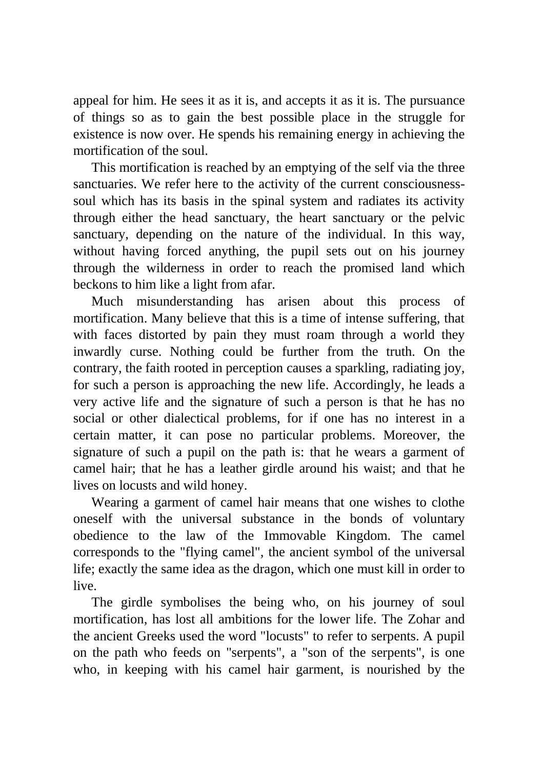appeal for him. He sees it as it is, and accepts it as it is. The pursuance of things so as to gain the best possible place in the struggle for existence is now over. He spends his remaining energy in achieving the mortification of the soul.

This mortification is reached by an emptying of the self via the three sanctuaries. We refer here to the activity of the current consciousnesssoul which has its basis in the spinal system and radiates its activity through either the head sanctuary, the heart sanctuary or the pelvic sanctuary, depending on the nature of the individual. In this way, without having forced anything, the pupil sets out on his journey through the wilderness in order to reach the promised land which beckons to him like a light from afar.

Much misunderstanding has arisen about this process of mortification. Many believe that this is a time of intense suffering, that with faces distorted by pain they must roam through a world they inwardly curse. Nothing could be further from the truth. On the contrary, the faith rooted in perception causes a sparkling, radiating joy, for such a person is approaching the new life. Accordingly, he leads a very active life and the signature of such a person is that he has no social or other dialectical problems, for if one has no interest in a certain matter, it can pose no particular problems. Moreover, the signature of such a pupil on the path is: that he wears a garment of camel hair; that he has a leather girdle around his waist; and that he lives on locusts and wild honey.

Wearing a garment of camel hair means that one wishes to clothe oneself with the universal substance in the bonds of voluntary obedience to the law of the Immovable Kingdom. The camel corresponds to the "flying camel", the ancient symbol of the universal life; exactly the same idea as the dragon, which one must kill in order to live.

The girdle symbolises the being who, on his journey of soul mortification, has lost all ambitions for the lower life. The Zohar and the ancient Greeks used the word "locusts" to refer to serpents. A pupil on the path who feeds on "serpents", a "son of the serpents", is one who, in keeping with his camel hair garment, is nourished by the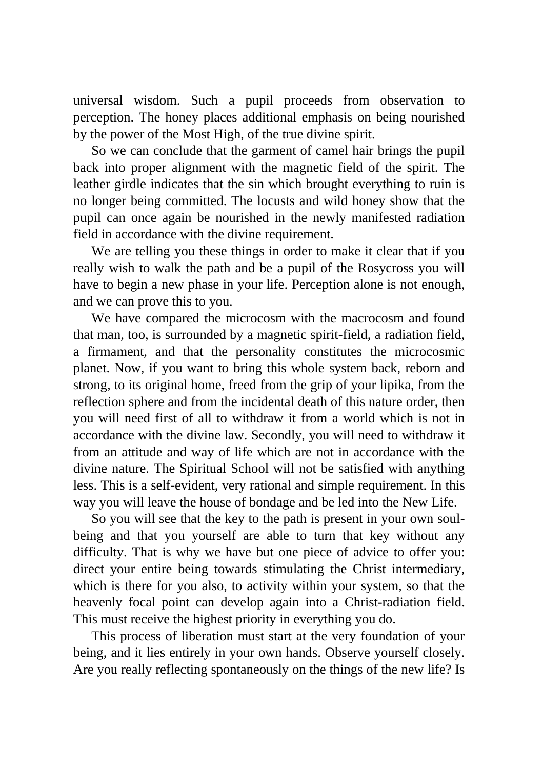universal wisdom. Such a pupil proceeds from observation to perception. The honey places additional emphasis on being nourished by the power of the Most High, of the true divine spirit.

So we can conclude that the garment of camel hair brings the pupil back into proper alignment with the magnetic field of the spirit. The leather girdle indicates that the sin which brought everything to ruin is no longer being committed. The locusts and wild honey show that the pupil can once again be nourished in the newly manifested radiation field in accordance with the divine requirement.

We are telling you these things in order to make it clear that if you really wish to walk the path and be a pupil of the Rosycross you will have to begin a new phase in your life. Perception alone is not enough, and we can prove this to you.

We have compared the microcosm with the macrocosm and found that man, too, is surrounded by a magnetic spirit-field, a radiation field, a firmament, and that the personality constitutes the microcosmic planet. Now, if you want to bring this whole system back, reborn and strong, to its original home, freed from the grip of your lipika, from the reflection sphere and from the incidental death of this nature order, then you will need first of all to withdraw it from a world which is not in accordance with the divine law. Secondly, you will need to withdraw it from an attitude and way of life which are not in accordance with the divine nature. The Spiritual School will not be satisfied with anything less. This is a self-evident, very rational and simple requirement. In this way you will leave the house of bondage and be led into the New Life.

So you will see that the key to the path is present in your own soulbeing and that you yourself are able to turn that key without any difficulty. That is why we have but one piece of advice to offer you: direct your entire being towards stimulating the Christ intermediary, which is there for you also, to activity within your system, so that the heavenly focal point can develop again into a Christ-radiation field. This must receive the highest priority in everything you do.

This process of liberation must start at the very foundation of your being, and it lies entirely in your own hands. Observe yourself closely. Are you really reflecting spontaneously on the things of the new life? Is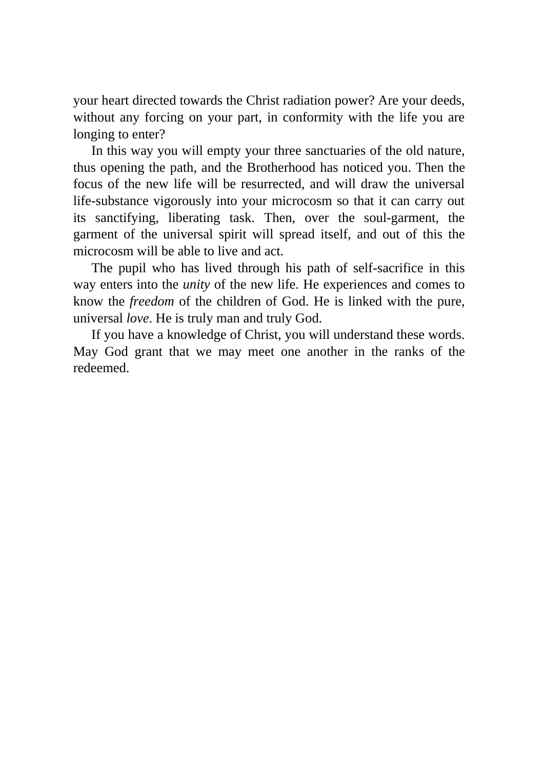your heart directed towards the Christ radiation power? Are your deeds, without any forcing on your part, in conformity with the life you are longing to enter?

In this way you will empty your three sanctuaries of the old nature, thus opening the path, and the Brotherhood has noticed you. Then the focus of the new life will be resurrected, and will draw the universal life-substance vigorously into your microcosm so that it can carry out its sanctifying, liberating task. Then, over the soul-garment, the garment of the universal spirit will spread itself, and out of this the microcosm will be able to live and act.

The pupil who has lived through his path of self-sacrifice in this way enters into the *unity* of the new life. He experiences and comes to know the *freedom* of the children of God. He is linked with the pure, universal *love*. He is truly man and truly God.

If you have a knowledge of Christ, you will understand these words. May God grant that we may meet one another in the ranks of the redeemed.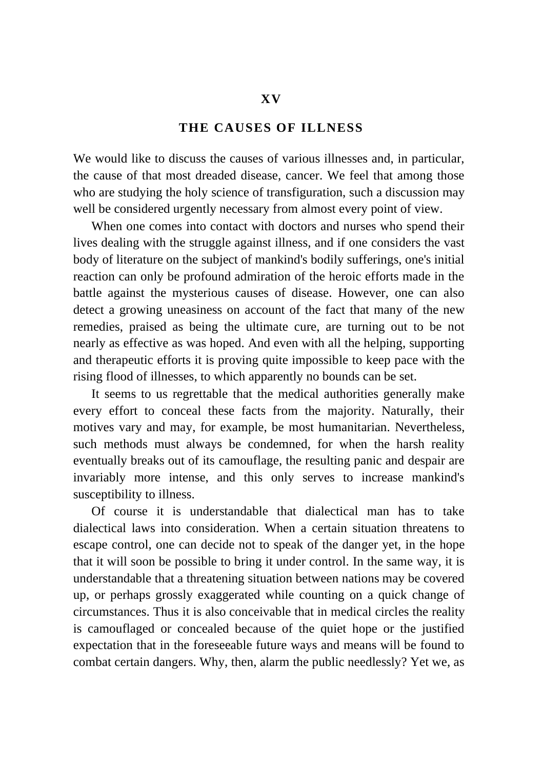## **THE CAUSES OF ILLNESS**

We would like to discuss the causes of various illnesses and, in particular, the cause of that most dreaded disease, cancer. We feel that among those who are studying the holy science of transfiguration, such a discussion may well be considered urgently necessary from almost every point of view.

When one comes into contact with doctors and nurses who spend their lives dealing with the struggle against illness, and if one considers the vast body of literature on the subject of mankind's bodily sufferings, one's initial reaction can only be profound admiration of the heroic efforts made in the battle against the mysterious causes of disease. However, one can also detect a growing uneasiness on account of the fact that many of the new remedies, praised as being the ultimate cure, are turning out to be not nearly as effective as was hoped. And even with all the helping, supporting and therapeutic efforts it is proving quite impossible to keep pace with the rising flood of illnesses, to which apparently no bounds can be set.

It seems to us regrettable that the medical authorities generally make every effort to conceal these facts from the majority. Naturally, their motives vary and may, for example, be most humanitarian. Nevertheless, such methods must always be condemned, for when the harsh reality eventually breaks out of its camouflage, the resulting panic and despair are invariably more intense, and this only serves to increase mankind's susceptibility to illness.

Of course it is understandable that dialectical man has to take dialectical laws into consideration. When a certain situation threatens to escape control, one can decide not to speak of the danger yet, in the hope that it will soon be possible to bring it under control. In the same way, it is understandable that a threatening situation between nations may be covered up, or perhaps grossly exaggerated while counting on a quick change of circumstances. Thus it is also conceivable that in medical circles the reality is camouflaged or concealed because of the quiet hope or the justified expectation that in the foreseeable future ways and means will be found to combat certain dangers. Why, then, alarm the public needlessly? Yet we, as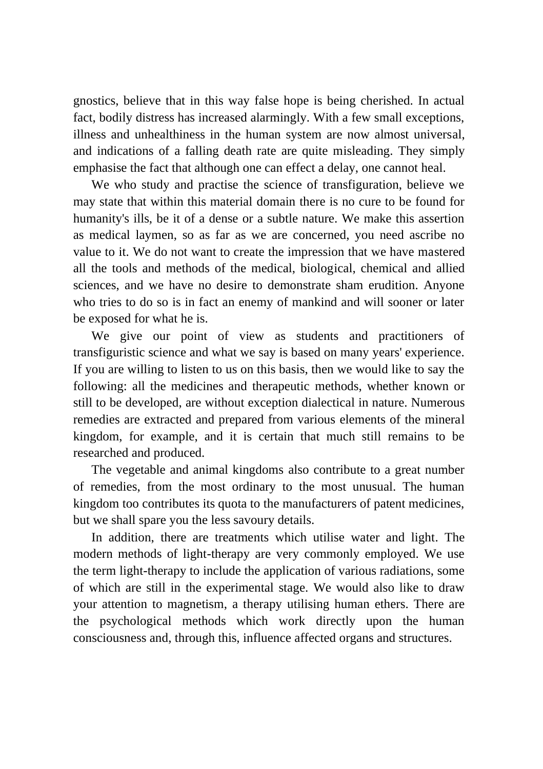gnostics, believe that in this way false hope is being cherished. In actual fact, bodily distress has increased alarmingly. With a few small exceptions, illness and unhealthiness in the human system are now almost universal, and indications of a falling death rate are quite misleading. They simply emphasise the fact that although one can effect a delay, one cannot heal.

We who study and practise the science of transfiguration, believe we may state that within this material domain there is no cure to be found for humanity's ills, be it of a dense or a subtle nature. We make this assertion as medical laymen, so as far as we are concerned, you need ascribe no value to it. We do not want to create the impression that we have mastered all the tools and methods of the medical, biological, chemical and allied sciences, and we have no desire to demonstrate sham erudition. Anyone who tries to do so is in fact an enemy of mankind and will sooner or later be exposed for what he is.

We give our point of view as students and practitioners of transfiguristic science and what we say is based on many years' experience. If you are willing to listen to us on this basis, then we would like to say the following: all the medicines and therapeutic methods, whether known or still to be developed, are without exception dialectical in nature. Numerous remedies are extracted and prepared from various elements of the mineral kingdom, for example, and it is certain that much still remains to be researched and produced.

The vegetable and animal kingdoms also contribute to a great number of remedies, from the most ordinary to the most unusual. The human kingdom too contributes its quota to the manufacturers of patent medicines, but we shall spare you the less savoury details.

In addition, there are treatments which utilise water and light. The modern methods of light-therapy are very commonly employed. We use the term light-therapy to include the application of various radiations, some of which are still in the experimental stage. We would also like to draw your attention to magnetism, a therapy utilising human ethers. There are the psychological methods which work directly upon the human consciousness and, through this, influence affected organs and structures.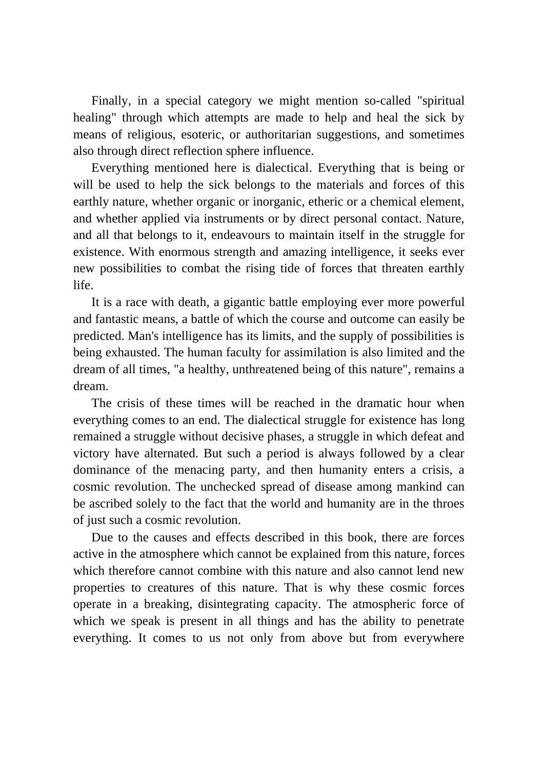Finally, in a special category we might mention so-called "spiritual healing" through which attempts are made to help and heal the sick by means of religious, esoteric, or authoritarian suggestions, and sometimes also through direct reflection sphere influence.

Everything mentioned here is dialectical. Everything that is being or will be used to help the sick belongs to the materials and forces of this earthly nature, whether organic or inorganic, etheric or a chemical element, and whether applied via instruments or by direct personal contact. Nature, and all that belongs to it, endeavours to maintain itself in the struggle for existence. With enormous strength and amazing intelligence, it seeks ever new possibilities to combat the rising tide of forces that threaten earthly life.

It is a race with death, a gigantic battle employing ever more powerful and fantastic means, a battle of which the course and outcome can easily be predicted. Man's intelligence has its limits, and the supply of possibilities is being exhausted. The human faculty for assimilation is also limited and the dream of all times, "a healthy, unthreatened being of this nature", remains a dream.

The crisis of these times will be reached in the dramatic hour when everything comes to an end. The dialectical struggle for existence has long remained a struggle without decisive phases, a struggle in which defeat and victory have alternated. But such a period is always followed by a clear dominance of the menacing party, and then humanity enters a crisis, a cosmic revolution. The unchecked spread of disease among mankind can be ascribed solely to the fact that the world and humanity are in the throes of just such a cosmic revolution.

Due to the causes and effects described in this book, there are forces active in the atmosphere which cannot be explained from this nature, forces which therefore cannot combine with this nature and also cannot lend new properties to creatures of this nature. That is why these cosmic forces operate in a breaking, disintegrating capacity. The atmospheric force of which we speak is present in all things and has the ability to penetrate everything. It comes to us not only from above but from everywhere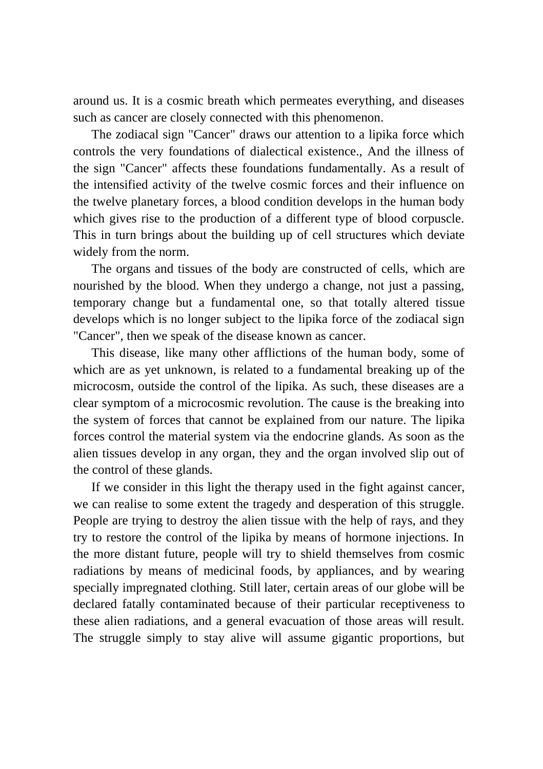around us. It is a cosmic breath which permeates everything, and diseases such as cancer are closely connected with this phenomenon.

The zodiacal sign "Cancer" draws our attention to a lipika force which controls the very foundations of dialectical existence., And the illness of the sign "Cancer" affects these foundations fundamentally. As a result of the intensified activity of the twelve cosmic forces and their influence on the twelve planetary forces, a blood condition develops in the human body which gives rise to the production of a different type of blood corpuscle. This in turn brings about the building up of cell structures which deviate widely from the norm.

The organs and tissues of the body are constructed of cells, which are nourished by the blood. When they undergo a change, not just a passing, temporary change but a fundamental one, so that totally altered tissue develops which is no longer subject to the lipika force of the zodiacal sign "Cancer", then we speak of the disease known as cancer.

This disease, like many other afflictions of the human body, some of which are as yet unknown, is related to a fundamental breaking up of the microcosm, outside the control of the lipika. As such, these diseases are a clear symptom of a microcosmic revolution. The cause is the breaking into the system of forces that cannot be explained from our nature. The lipika forces control the material system via the endocrine glands. As soon as the alien tissues develop in any organ, they and the organ involved slip out of the control of these glands.

If we consider in this light the therapy used in the fight against cancer, we can realise to some extent the tragedy and desperation of this struggle. People are trying to destroy the alien tissue with the help of rays, and they try to restore the control of the lipika by means of hormone injections. In the more distant future, people will try to shield themselves from cosmic radiations by means of medicinal foods, by appliances, and by wearing specially impregnated clothing. Still later, certain areas of our globe will be declared fatally contaminated because of their particular receptiveness to these alien radiations, and a general evacuation of those areas will result. The struggle simply to stay alive will assume gigantic proportions, but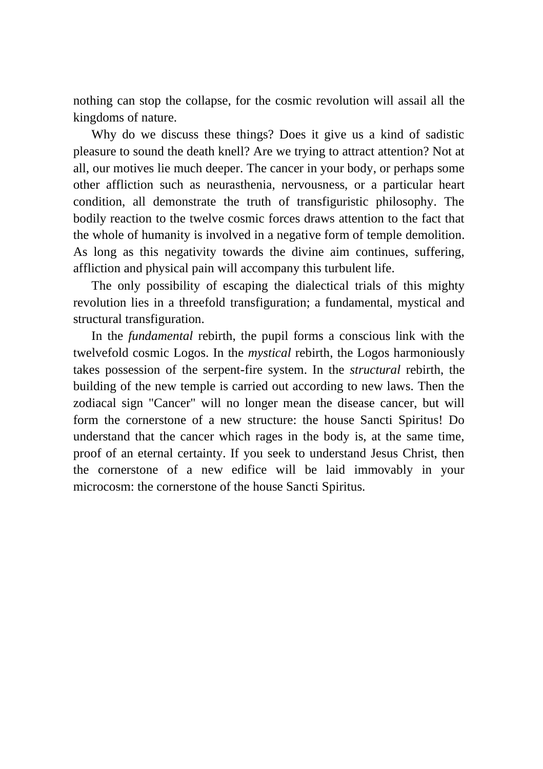nothing can stop the collapse, for the cosmic revolution will assail all the kingdoms of nature.

Why do we discuss these things? Does it give us a kind of sadistic pleasure to sound the death knell? Are we trying to attract attention? Not at all, our motives lie much deeper. The cancer in your body, or perhaps some other affliction such as neurasthenia, nervousness, or a particular heart condition, all demonstrate the truth of transfiguristic philosophy. The bodily reaction to the twelve cosmic forces draws attention to the fact that the whole of humanity is involved in a negative form of temple demolition. As long as this negativity towards the divine aim continues, suffering, affliction and physical pain will accompany this turbulent life.

The only possibility of escaping the dialectical trials of this mighty revolution lies in a threefold transfiguration; a fundamental, mystical and structural transfiguration.

In the *fundamental* rebirth, the pupil forms a conscious link with the twelvefold cosmic Logos. In the *mystical* rebirth, the Logos harmoniously takes possession of the serpent-fire system. In the *structural* rebirth, the building of the new temple is carried out according to new laws. Then the zodiacal sign "Cancer" will no longer mean the disease cancer, but will form the cornerstone of a new structure: the house Sancti Spiritus! Do understand that the cancer which rages in the body is, at the same time, proof of an eternal certainty. If you seek to understand Jesus Christ, then the cornerstone of a new edifice will be laid immovably in your microcosm: the cornerstone of the house Sancti Spiritus.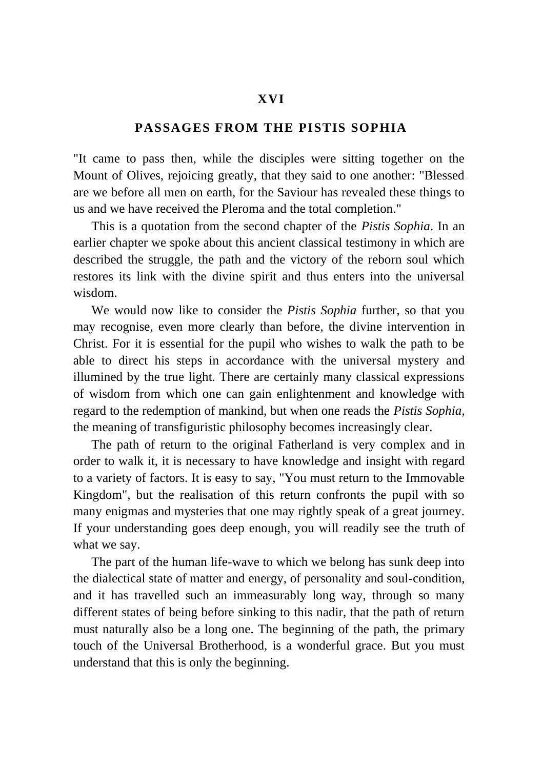## **XVI**

## **PASSAGES FROM THE PISTIS SOPHIA**

"It came to pass then, while the disciples were sitting together on the Mount of Olives, rejoicing greatly, that they said to one another: "Blessed are we before all men on earth, for the Saviour has revealed these things to us and we have received the Pleroma and the total completion."

This is a quotation from the second chapter of the *Pistis Sophia*. In an earlier chapter we spoke about this ancient classical testimony in which are described the struggle, the path and the victory of the reborn soul which restores its link with the divine spirit and thus enters into the universal wisdom.

We would now like to consider the *Pistis Sophia* further, so that you may recognise, even more clearly than before, the divine intervention in Christ. For it is essential for the pupil who wishes to walk the path to be able to direct his steps in accordance with the universal mystery and illumined by the true light. There are certainly many classical expressions of wisdom from which one can gain enlightenment and knowledge with regard to the redemption of mankind, but when one reads the *Pistis Sophia*, the meaning of transfiguristic philosophy becomes increasingly clear.

The path of return to the original Fatherland is very complex and in order to walk it, it is necessary to have knowledge and insight with regard to a variety of factors. It is easy to say, "You must return to the Immovable Kingdom", but the realisation of this return confronts the pupil with so many enigmas and mysteries that one may rightly speak of a great journey. If your understanding goes deep enough, you will readily see the truth of what we say.

The part of the human life-wave to which we belong has sunk deep into the dialectical state of matter and energy, of personality and soul-condition, and it has travelled such an immeasurably long way, through so many different states of being before sinking to this nadir, that the path of return must naturally also be a long one. The beginning of the path, the primary touch of the Universal Brotherhood, is a wonderful grace. But you must understand that this is only the beginning.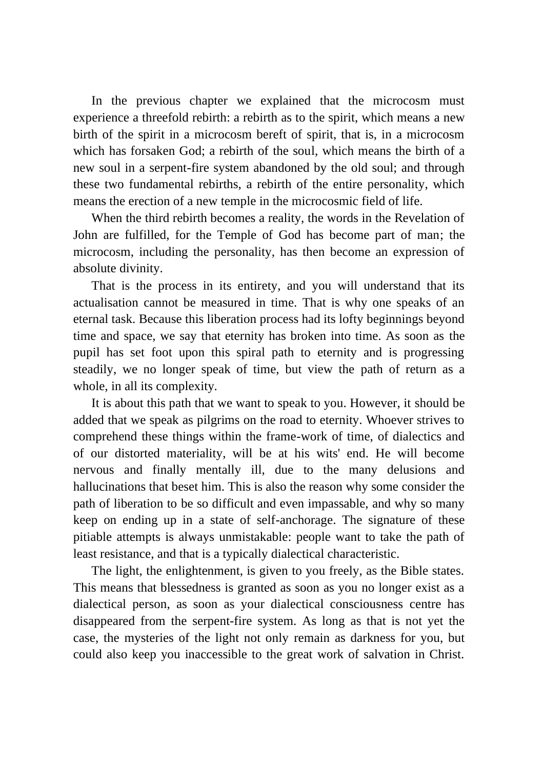In the previous chapter we explained that the microcosm must experience a threefold rebirth: a rebirth as to the spirit, which means a new birth of the spirit in a microcosm bereft of spirit, that is, in a microcosm which has forsaken God; a rebirth of the soul, which means the birth of a new soul in a serpent-fire system abandoned by the old soul; and through these two fundamental rebirths, a rebirth of the entire personality, which means the erection of a new temple in the microcosmic field of life.

When the third rebirth becomes a reality, the words in the Revelation of John are fulfilled, for the Temple of God has become part of man; the microcosm, including the personality, has then become an expression of absolute divinity.

That is the process in its entirety, and you will understand that its actualisation cannot be measured in time. That is why one speaks of an eternal task. Because this liberation process had its lofty beginnings beyond time and space, we say that eternity has broken into time. As soon as the pupil has set foot upon this spiral path to eternity and is progressing steadily, we no longer speak of time, but view the path of return as a whole, in all its complexity.

It is about this path that we want to speak to you. However, it should be added that we speak as pilgrims on the road to eternity. Whoever strives to comprehend these things within the frame-work of time, of dialectics and of our distorted materiality, will be at his wits' end. He will become nervous and finally mentally ill, due to the many delusions and hallucinations that beset him. This is also the reason why some consider the path of liberation to be so difficult and even impassable, and why so many keep on ending up in a state of self-anchorage. The signature of these pitiable attempts is always unmistakable: people want to take the path of least resistance, and that is a typically dialectical characteristic.

The light, the enlightenment, is given to you freely, as the Bible states. This means that blessedness is granted as soon as you no longer exist as a dialectical person, as soon as your dialectical consciousness centre has disappeared from the serpent-fire system. As long as that is not yet the case, the mysteries of the light not only remain as darkness for you, but could also keep you inaccessible to the great work of salvation in Christ.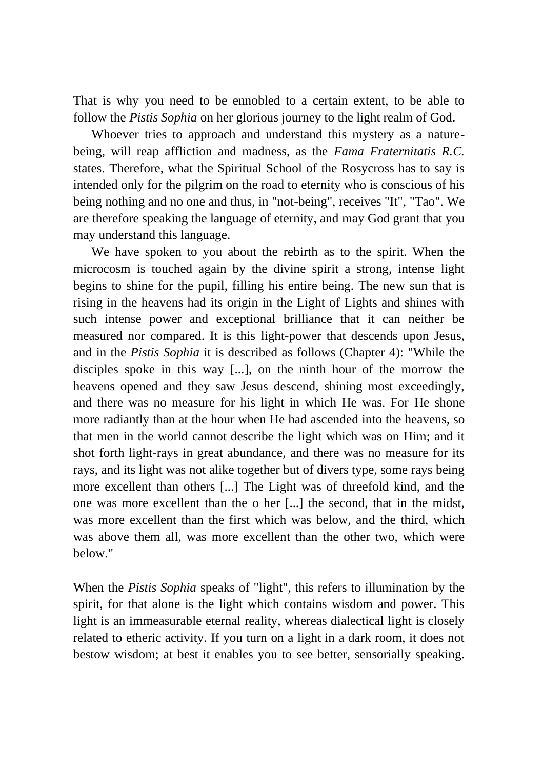That is why you need to be ennobled to a certain extent, to be able to follow the *Pistis Sophia* on her glorious journey to the light realm of God.

Whoever tries to approach and understand this mystery as a naturebeing, will reap affliction and madness, as the *Fama Fraternitatis R.C.* states. Therefore, what the Spiritual School of the Rosycross has to say is intended only for the pilgrim on the road to eternity who is conscious of his being nothing and no one and thus, in "not-being", receives "It", "Tao". We are therefore speaking the language of eternity, and may God grant that you may understand this language.

We have spoken to you about the rebirth as to the spirit. When the microcosm is touched again by the divine spirit a strong, intense light begins to shine for the pupil, filling his entire being. The new sun that is rising in the heavens had its origin in the Light of Lights and shines with such intense power and exceptional brilliance that it can neither be measured nor compared. It is this light-power that descends upon Jesus, and in the *Pistis Sophia* it is described as follows (Chapter 4): "While the disciples spoke in this way [...], on the ninth hour of the morrow the heavens opened and they saw Jesus descend, shining most exceedingly, and there was no measure for his light in which He was. For He shone more radiantly than at the hour when He had ascended into the heavens, so that men in the world cannot describe the light which was on Him; and it shot forth light-rays in great abundance, and there was no measure for its rays, and its light was not alike together but of divers type, some rays being more excellent than others [...] The Light was of threefold kind, and the one was more excellent than the o her [...] the second, that in the midst, was more excellent than the first which was below, and the third, which was above them all, was more excellent than the other two, which were below."

When the *Pistis Sophia* speaks of "light", this refers to illumination by the spirit, for that alone is the light which contains wisdom and power. This light is an immeasurable eternal reality, whereas dialectical light is closely related to etheric activity. If you turn on a light in a dark room, it does not bestow wisdom; at best it enables you to see better, sensorially speaking.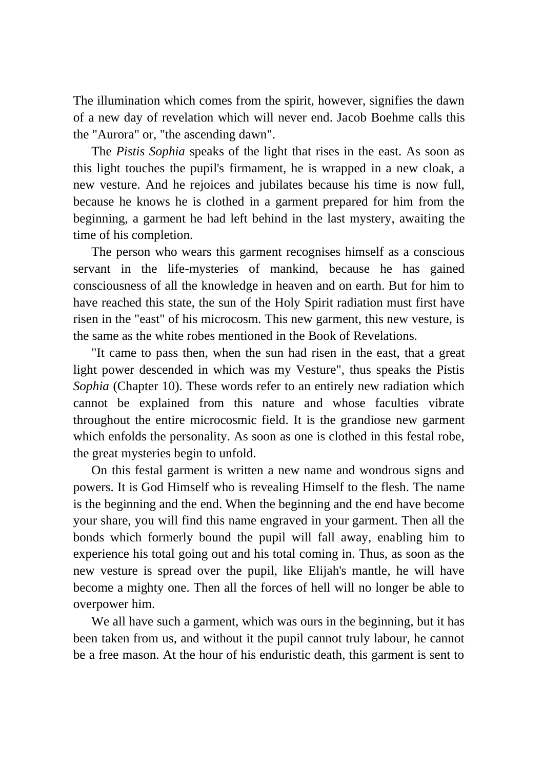The illumination which comes from the spirit, however, signifies the dawn of a new day of revelation which will never end. Jacob Boehme calls this the "Aurora" or, "the ascending dawn".

The *Pistis Sophia* speaks of the light that rises in the east. As soon as this light touches the pupil's firmament, he is wrapped in a new cloak, a new vesture. And he rejoices and jubilates because his time is now full, because he knows he is clothed in a garment prepared for him from the beginning, a garment he had left behind in the last mystery, awaiting the time of his completion.

The person who wears this garment recognises himself as a conscious servant in the life-mysteries of mankind, because he has gained consciousness of all the knowledge in heaven and on earth. But for him to have reached this state, the sun of the Holy Spirit radiation must first have risen in the "east" of his microcosm. This new garment, this new vesture, is the same as the white robes mentioned in the Book of Revelations.

"It came to pass then, when the sun had risen in the east, that a great light power descended in which was my Vesture", thus speaks the Pistis *Sophia* (Chapter 10). These words refer to an entirely new radiation which cannot be explained from this nature and whose faculties vibrate throughout the entire microcosmic field. It is the grandiose new garment which enfolds the personality. As soon as one is clothed in this festal robe, the great mysteries begin to unfold.

On this festal garment is written a new name and wondrous signs and powers. It is God Himself who is revealing Himself to the flesh. The name is the beginning and the end. When the beginning and the end have become your share, you will find this name engraved in your garment. Then all the bonds which formerly bound the pupil will fall away, enabling him to experience his total going out and his total coming in. Thus, as soon as the new vesture is spread over the pupil, like Elijah's mantle, he will have become a mighty one. Then all the forces of hell will no longer be able to overpower him.

We all have such a garment, which was ours in the beginning, but it has been taken from us, and without it the pupil cannot truly labour, he cannot be a free mason. At the hour of his enduristic death, this garment is sent to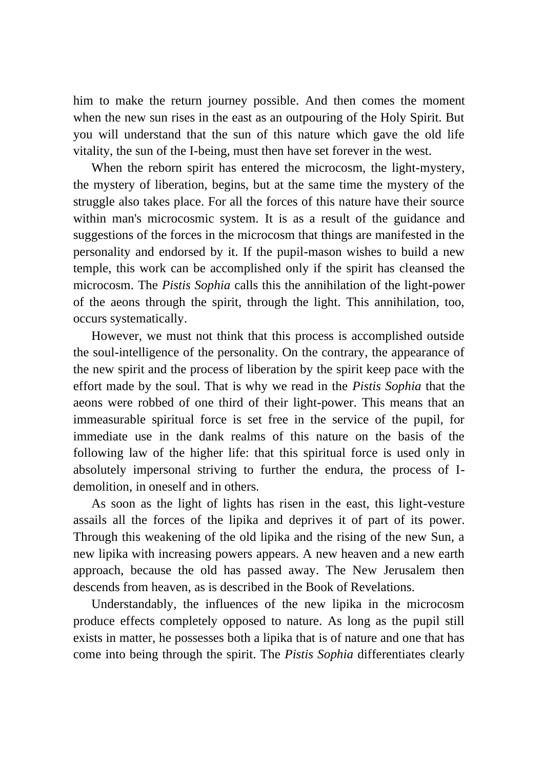him to make the return journey possible. And then comes the moment when the new sun rises in the east as an outpouring of the Holy Spirit. But you will understand that the sun of this nature which gave the old life vitality, the sun of the I-being, must then have set forever in the west.

When the reborn spirit has entered the microcosm, the light-mystery, the mystery of liberation, begins, but at the same time the mystery of the struggle also takes place. For all the forces of this nature have their source within man's microcosmic system. It is as a result of the guidance and suggestions of the forces in the microcosm that things are manifested in the personality and endorsed by it. If the pupil-mason wishes to build a new temple, this work can be accomplished only if the spirit has cleansed the microcosm. The *Pistis Sophia* calls this the annihilation of the light-power of the aeons through the spirit, through the light. This annihilation, too, occurs systematically.

However, we must not think that this process is accomplished outside the soul-intelligence of the personality. On the contrary, the appearance of the new spirit and the process of liberation by the spirit keep pace with the effort made by the soul. That is why we read in the *Pistis Sophia* that the aeons were robbed of one third of their light-power. This means that an immeasurable spiritual force is set free in the service of the pupil, for immediate use in the dank realms of this nature on the basis of the following law of the higher life: that this spiritual force is used only in absolutely impersonal striving to further the endura, the process of Idemolition, in oneself and in others.

As soon as the light of lights has risen in the east, this light-vesture assails all the forces of the lipika and deprives it of part of its power. Through this weakening of the old lipika and the rising of the new Sun, a new lipika with increasing powers appears. A new heaven and a new earth approach, because the old has passed away. The New Jerusalem then descends from heaven, as is described in the Book of Revelations.

Understandably, the influences of the new lipika in the microcosm produce effects completely opposed to nature. As long as the pupil still exists in matter, he possesses both a lipika that is of nature and one that has come into being through the spirit. The *Pistis Sophia* differentiates clearly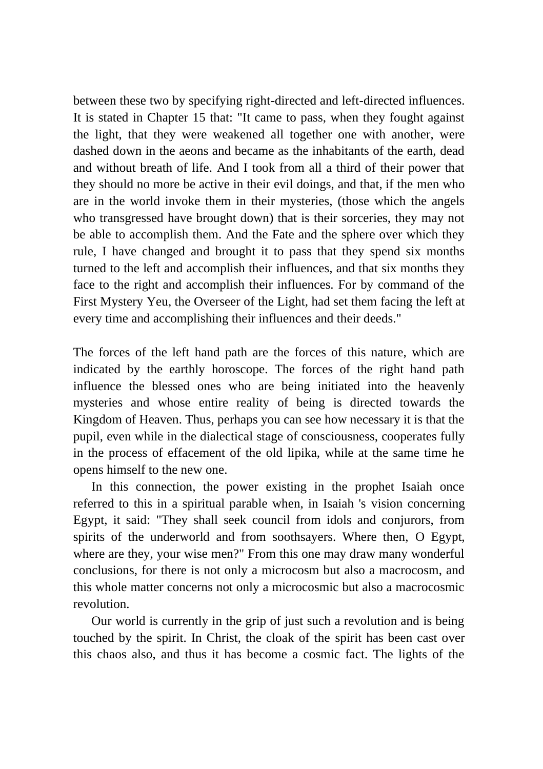between these two by specifying right-directed and left-directed influences. It is stated in Chapter 15 that: "It came to pass, when they fought against the light, that they were weakened all together one with another, were dashed down in the aeons and became as the inhabitants of the earth, dead and without breath of life. And I took from all a third of their power that they should no more be active in their evil doings, and that, if the men who are in the world invoke them in their mysteries, (those which the angels who transgressed have brought down) that is their sorceries, they may not be able to accomplish them. And the Fate and the sphere over which they rule, I have changed and brought it to pass that they spend six months turned to the left and accomplish their influences, and that six months they face to the right and accomplish their influences. For by command of the First Mystery Yeu, the Overseer of the Light, had set them facing the left at every time and accomplishing their influences and their deeds."

The forces of the left hand path are the forces of this nature, which are indicated by the earthly horoscope. The forces of the right hand path influence the blessed ones who are being initiated into the heavenly mysteries and whose entire reality of being is directed towards the Kingdom of Heaven. Thus, perhaps you can see how necessary it is that the pupil, even while in the dialectical stage of consciousness, cooperates fully in the process of effacement of the old lipika, while at the same time he opens himself to the new one.

In this connection, the power existing in the prophet Isaiah once referred to this in a spiritual parable when, in Isaiah 's vision concerning Egypt, it said: "They shall seek council from idols and conjurors, from spirits of the underworld and from soothsayers. Where then, O Egypt, where are they, your wise men?" From this one may draw many wonderful conclusions, for there is not only a microcosm but also a macrocosm, and this whole matter concerns not only a microcosmic but also a macrocosmic revolution.

Our world is currently in the grip of just such a revolution and is being touched by the spirit. In Christ, the cloak of the spirit has been cast over this chaos also, and thus it has become a cosmic fact. The lights of the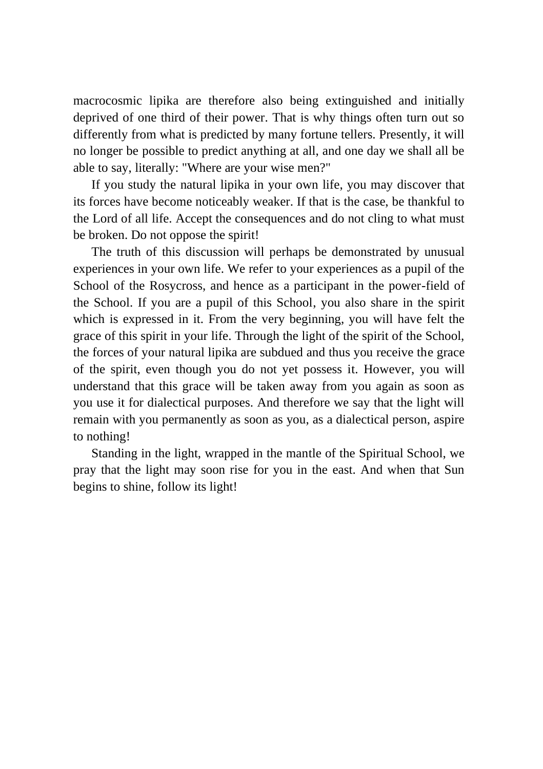macrocosmic lipika are therefore also being extinguished and initially deprived of one third of their power. That is why things often turn out so differently from what is predicted by many fortune tellers. Presently, it will no longer be possible to predict anything at all, and one day we shall all be able to say, literally: "Where are your wise men?"

If you study the natural lipika in your own life, you may discover that its forces have become noticeably weaker. If that is the case, be thankful to the Lord of all life. Accept the consequences and do not cling to what must be broken. Do not oppose the spirit!

The truth of this discussion will perhaps be demonstrated by unusual experiences in your own life. We refer to your experiences as a pupil of the School of the Rosycross, and hence as a participant in the power-field of the School. If you are a pupil of this School, you also share in the spirit which is expressed in it. From the very beginning, you will have felt the grace of this spirit in your life. Through the light of the spirit of the School, the forces of your natural lipika are subdued and thus you receive the grace of the spirit, even though you do not yet possess it. However, you will understand that this grace will be taken away from you again as soon as you use it for dialectical purposes. And therefore we say that the light will remain with you permanently as soon as you, as a dialectical person, aspire to nothing!

Standing in the light, wrapped in the mantle of the Spiritual School, we pray that the light may soon rise for you in the east. And when that Sun begins to shine, follow its light!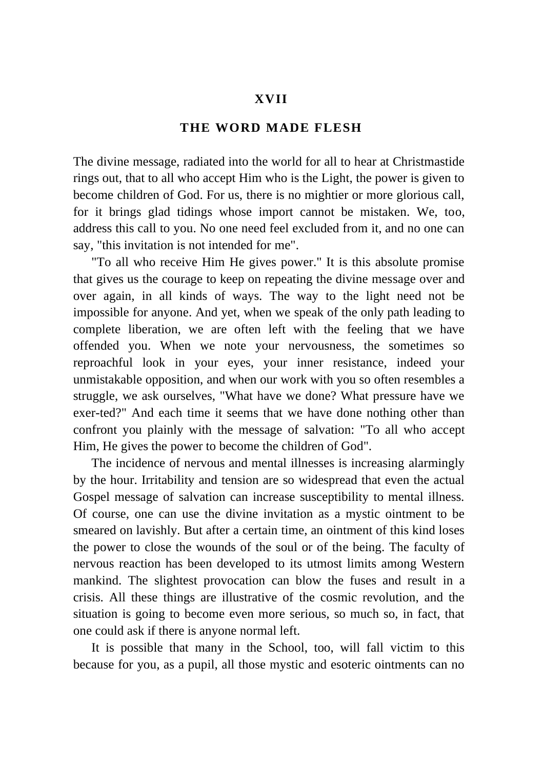## **XVII**

## **THE WORD MADE FLESH**

The divine message, radiated into the world for all to hear at Christmastide rings out, that to all who accept Him who is the Light, the power is given to become children of God. For us, there is no mightier or more glorious call, for it brings glad tidings whose import cannot be mistaken. We, too, address this call to you. No one need feel excluded from it, and no one can say, "this invitation is not intended for me".

"To all who receive Him He gives power." It is this absolute promise that gives us the courage to keep on repeating the divine message over and over again, in all kinds of ways. The way to the light need not be impossible for anyone. And yet, when we speak of the only path leading to complete liberation, we are often left with the feeling that we have offended you. When we note your nervousness, the sometimes so reproachful look in your eyes, your inner resistance, indeed your unmistakable opposition, and when our work with you so often resembles a struggle, we ask ourselves, "What have we done? What pressure have we exer-ted?" And each time it seems that we have done nothing other than confront you plainly with the message of salvation: "To all who accept Him, He gives the power to become the children of God".

The incidence of nervous and mental illnesses is increasing alarmingly by the hour. Irritability and tension are so widespread that even the actual Gospel message of salvation can increase susceptibility to mental illness. Of course, one can use the divine invitation as a mystic ointment to be smeared on lavishly. But after a certain time, an ointment of this kind loses the power to close the wounds of the soul or of the being. The faculty of nervous reaction has been developed to its utmost limits among Western mankind. The slightest provocation can blow the fuses and result in a crisis. All these things are illustrative of the cosmic revolution, and the situation is going to become even more serious, so much so, in fact, that one could ask if there is anyone normal left.

It is possible that many in the School, too, will fall victim to this because for you, as a pupil, all those mystic and esoteric ointments can no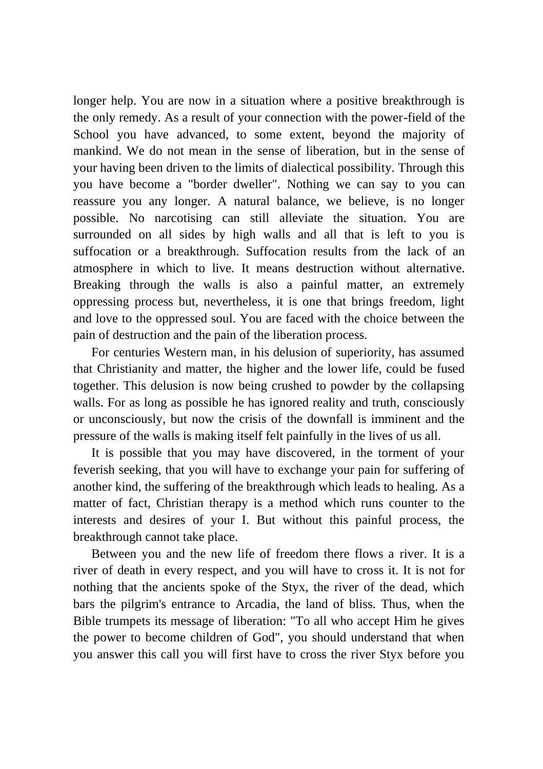longer help. You are now in a situation where a positive breakthrough is the only remedy. As a result of your connection with the power-field of the School you have advanced, to some extent, beyond the majority of mankind. We do not mean in the sense of liberation, but in the sense of your having been driven to the limits of dialectical possibility. Through this you have become a "border dweller". Nothing we can say to you can reassure you any longer. A natural balance, we believe, is no longer possible. No narcotising can still alleviate the situation. You are surrounded on all sides by high walls and all that is left to you is suffocation or a breakthrough. Suffocation results from the lack of an atmosphere in which to live. It means destruction without alternative. Breaking through the walls is also a painful matter, an extremely oppressing process but, nevertheless, it is one that brings freedom, light and love to the oppressed soul. You are faced with the choice between the pain of destruction and the pain of the liberation process.

For centuries Western man, in his delusion of superiority, has assumed that Christianity and matter, the higher and the lower life, could be fused together. This delusion is now being crushed to powder by the collapsing walls. For as long as possible he has ignored reality and truth, consciously or unconsciously, but now the crisis of the downfall is imminent and the pressure of the walls is making itself felt painfully in the lives of us all.

It is possible that you may have discovered, in the torment of your feverish seeking, that you will have to exchange your pain for suffering of another kind, the suffering of the breakthrough which leads to healing. As a matter of fact, Christian therapy is a method which runs counter to the interests and desires of your I. But without this painful process, the breakthrough cannot take place.

Between you and the new life of freedom there flows a river. It is a river of death in every respect, and you will have to cross it. It is not for nothing that the ancients spoke of the Styx, the river of the dead, which bars the pilgrim's entrance to Arcadia, the land of bliss. Thus, when the Bible trumpets its message of liberation: "To all who accept Him he gives the power to become children of God", you should understand that when you answer this call you will first have to cross the river Styx before you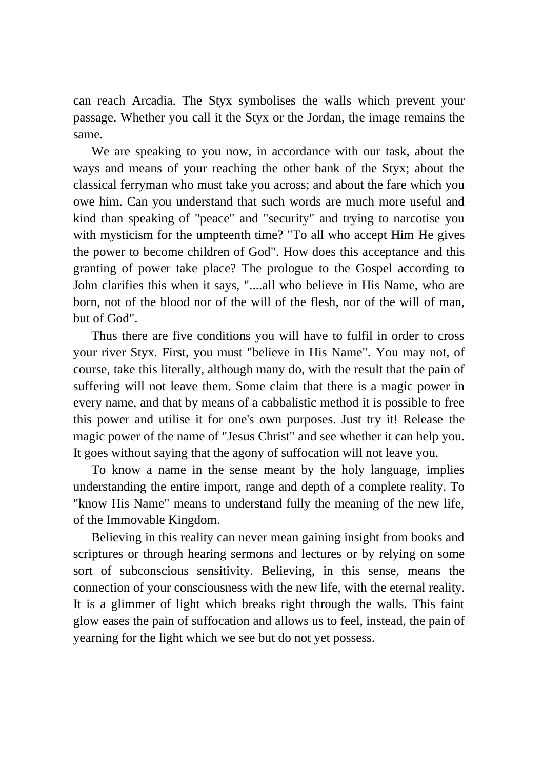can reach Arcadia. The Styx symbolises the walls which prevent your passage. Whether you call it the Styx or the Jordan, the image remains the same.

We are speaking to you now, in accordance with our task, about the ways and means of your reaching the other bank of the Styx; about the classical ferryman who must take you across; and about the fare which you owe him. Can you understand that such words are much more useful and kind than speaking of "peace" and "security" and trying to narcotise you with mysticism for the umpteenth time? "To all who accept Him He gives the power to become children of God". How does this acceptance and this granting of power take place? The prologue to the Gospel according to John clarifies this when it says, "....all who believe in His Name, who are born, not of the blood nor of the will of the flesh, nor of the will of man, but of God".

Thus there are five conditions you will have to fulfil in order to cross your river Styx. First, you must "believe in His Name". You may not, of course, take this literally, although many do, with the result that the pain of suffering will not leave them. Some claim that there is a magic power in every name, and that by means of a cabbalistic method it is possible to free this power and utilise it for one's own purposes. Just try it! Release the magic power of the name of "Jesus Christ" and see whether it can help you. It goes without saying that the agony of suffocation will not leave you.

To know a name in the sense meant by the holy language, implies understanding the entire import, range and depth of a complete reality. To "know His Name" means to understand fully the meaning of the new life, of the Immovable Kingdom.

Believing in this reality can never mean gaining insight from books and scriptures or through hearing sermons and lectures or by relying on some sort of subconscious sensitivity. Believing, in this sense, means the connection of your consciousness with the new life, with the eternal reality. It is a glimmer of light which breaks right through the walls. This faint glow eases the pain of suffocation and allows us to feel, instead, the pain of yearning for the light which we see but do not yet possess.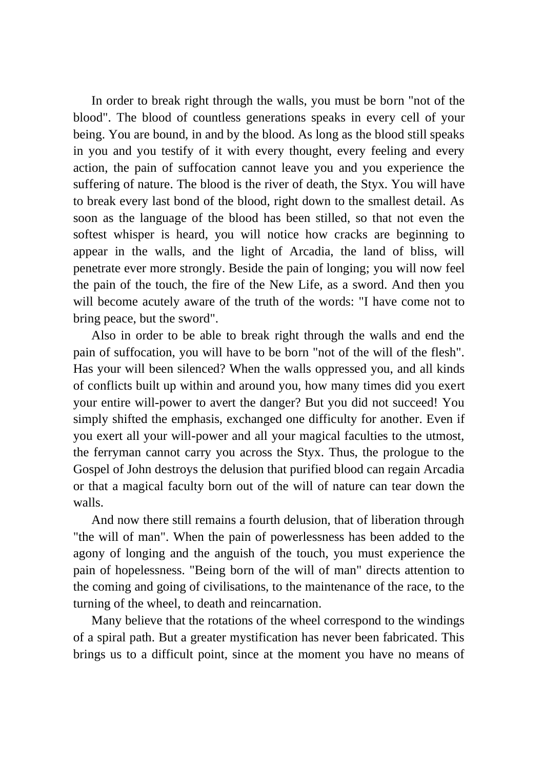In order to break right through the walls, you must be born "not of the blood". The blood of countless generations speaks in every cell of your being. You are bound, in and by the blood. As long as the blood still speaks in you and you testify of it with every thought, every feeling and every action, the pain of suffocation cannot leave you and you experience the suffering of nature. The blood is the river of death, the Styx. You will have to break every last bond of the blood, right down to the smallest detail. As soon as the language of the blood has been stilled, so that not even the softest whisper is heard, you will notice how cracks are beginning to appear in the walls, and the light of Arcadia, the land of bliss, will penetrate ever more strongly. Beside the pain of longing; you will now feel the pain of the touch, the fire of the New Life, as a sword. And then you will become acutely aware of the truth of the words: "I have come not to bring peace, but the sword".

Also in order to be able to break right through the walls and end the pain of suffocation, you will have to be born "not of the will of the flesh". Has your will been silenced? When the walls oppressed you, and all kinds of conflicts built up within and around you, how many times did you exert your entire will-power to avert the danger? But you did not succeed! You simply shifted the emphasis, exchanged one difficulty for another. Even if you exert all your will-power and all your magical faculties to the utmost, the ferryman cannot carry you across the Styx. Thus, the prologue to the Gospel of John destroys the delusion that purified blood can regain Arcadia or that a magical faculty born out of the will of nature can tear down the walls.

And now there still remains a fourth delusion, that of liberation through "the will of man". When the pain of powerlessness has been added to the agony of longing and the anguish of the touch, you must experience the pain of hopelessness. "Being born of the will of man" directs attention to the coming and going of civilisations, to the maintenance of the race, to the turning of the wheel, to death and reincarnation.

Many believe that the rotations of the wheel correspond to the windings of a spiral path. But a greater mystification has never been fabricated. This brings us to a difficult point, since at the moment you have no means of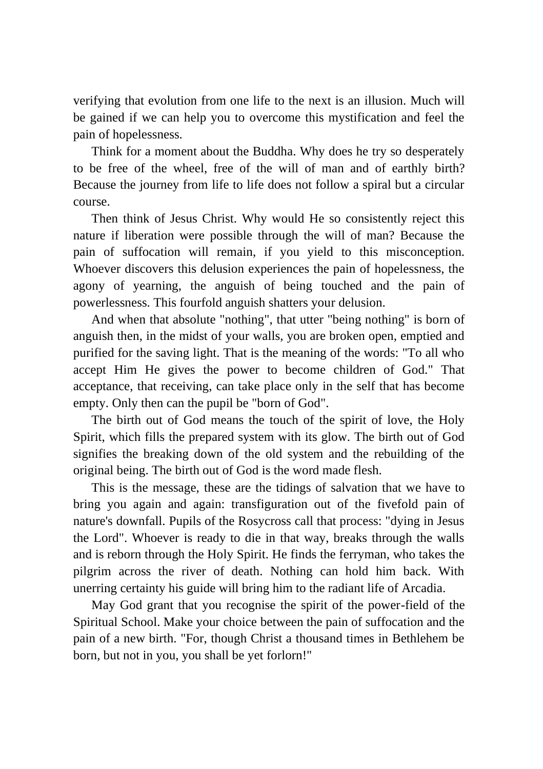verifying that evolution from one life to the next is an illusion. Much will be gained if we can help you to overcome this mystification and feel the pain of hopelessness.

Think for a moment about the Buddha. Why does he try so desperately to be free of the wheel, free of the will of man and of earthly birth? Because the journey from life to life does not follow a spiral but a circular course.

Then think of Jesus Christ. Why would He so consistently reject this nature if liberation were possible through the will of man? Because the pain of suffocation will remain, if you yield to this misconception. Whoever discovers this delusion experiences the pain of hopelessness, the agony of yearning, the anguish of being touched and the pain of powerlessness. This fourfold anguish shatters your delusion.

And when that absolute "nothing", that utter "being nothing" is born of anguish then, in the midst of your walls, you are broken open, emptied and purified for the saving light. That is the meaning of the words: "To all who accept Him He gives the power to become children of God." That acceptance, that receiving, can take place only in the self that has become empty. Only then can the pupil be "born of God".

The birth out of God means the touch of the spirit of love, the Holy Spirit, which fills the prepared system with its glow. The birth out of God signifies the breaking down of the old system and the rebuilding of the original being. The birth out of God is the word made flesh.

This is the message, these are the tidings of salvation that we have to bring you again and again: transfiguration out of the fivefold pain of nature's downfall. Pupils of the Rosycross call that process: "dying in Jesus the Lord". Whoever is ready to die in that way, breaks through the walls and is reborn through the Holy Spirit. He finds the ferryman, who takes the pilgrim across the river of death. Nothing can hold him back. With unerring certainty his guide will bring him to the radiant life of Arcadia.

May God grant that you recognise the spirit of the power-field of the Spiritual School. Make your choice between the pain of suffocation and the pain of a new birth. "For, though Christ a thousand times in Bethlehem be born, but not in you, you shall be yet forlorn!"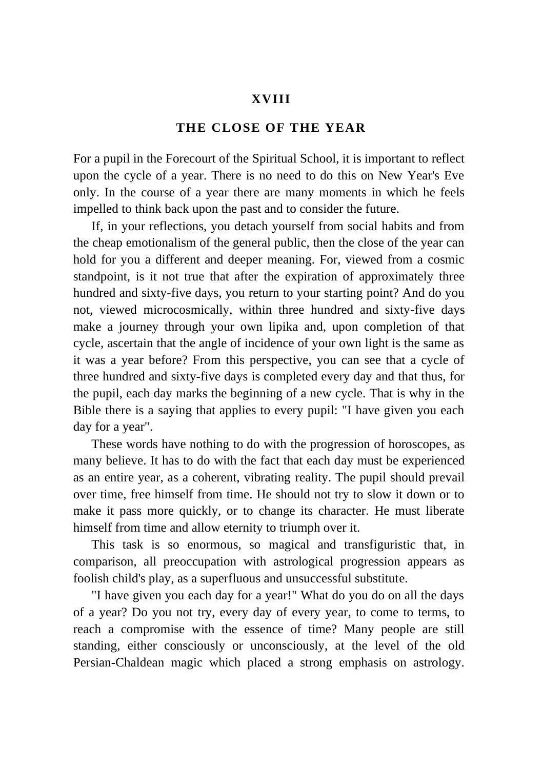## **XVIII**

## **THE CLOSE OF THE YEAR**

For a pupil in the Forecourt of the Spiritual School, it is important to reflect upon the cycle of a year. There is no need to do this on New Year's Eve only. In the course of a year there are many moments in which he feels impelled to think back upon the past and to consider the future.

If, in your reflections, you detach yourself from social habits and from the cheap emotionalism of the general public, then the close of the year can hold for you a different and deeper meaning. For, viewed from a cosmic standpoint, is it not true that after the expiration of approximately three hundred and sixty-five days, you return to your starting point? And do you not, viewed microcosmically, within three hundred and sixty-five days make a journey through your own lipika and, upon completion of that cycle, ascertain that the angle of incidence of your own light is the same as it was a year before? From this perspective, you can see that a cycle of three hundred and sixty-five days is completed every day and that thus, for the pupil, each day marks the beginning of a new cycle. That is why in the Bible there is a saying that applies to every pupil: "I have given you each day for a year".

These words have nothing to do with the progression of horoscopes, as many believe. It has to do with the fact that each day must be experienced as an entire year, as a coherent, vibrating reality. The pupil should prevail over time, free himself from time. He should not try to slow it down or to make it pass more quickly, or to change its character. He must liberate himself from time and allow eternity to triumph over it.

This task is so enormous, so magical and transfiguristic that, in comparison, all preoccupation with astrological progression appears as foolish child's play, as a superfluous and unsuccessful substitute.

"I have given you each day for a year!" What do you do on all the days of a year? Do you not try, every day of every year, to come to terms, to reach a compromise with the essence of time? Many people are still standing, either consciously or unconsciously, at the level of the old Persian-Chaldean magic which placed a strong emphasis on astrology.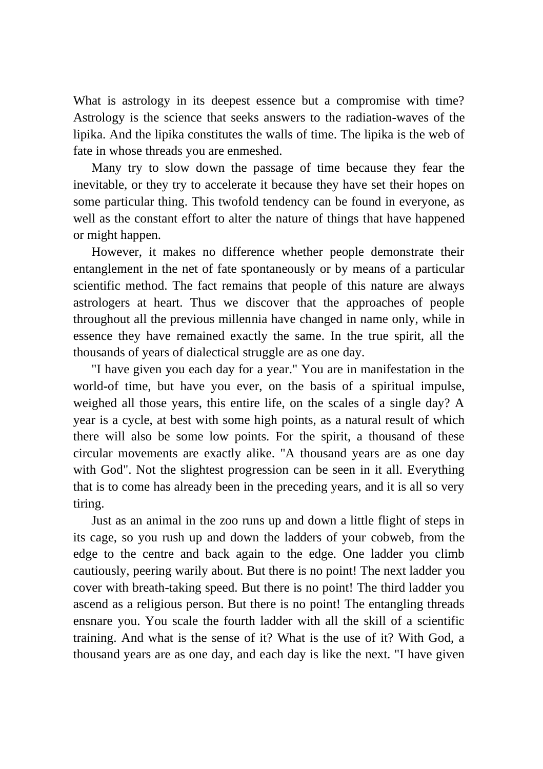What is astrology in its deepest essence but a compromise with time? Astrology is the science that seeks answers to the radiation-waves of the lipika. And the lipika constitutes the walls of time. The lipika is the web of fate in whose threads you are enmeshed.

Many try to slow down the passage of time because they fear the inevitable, or they try to accelerate it because they have set their hopes on some particular thing. This twofold tendency can be found in everyone, as well as the constant effort to alter the nature of things that have happened or might happen.

However, it makes no difference whether people demonstrate their entanglement in the net of fate spontaneously or by means of a particular scientific method. The fact remains that people of this nature are always astrologers at heart. Thus we discover that the approaches of people throughout all the previous millennia have changed in name only, while in essence they have remained exactly the same. In the true spirit, all the thousands of years of dialectical struggle are as one day.

"I have given you each day for a year." You are in manifestation in the world-of time, but have you ever, on the basis of a spiritual impulse, weighed all those years, this entire life, on the scales of a single day? A year is a cycle, at best with some high points, as a natural result of which there will also be some low points. For the spirit, a thousand of these circular movements are exactly alike. "A thousand years are as one day with God". Not the slightest progression can be seen in it all. Everything that is to come has already been in the preceding years, and it is all so very tiring.

Just as an animal in the zoo runs up and down a little flight of steps in its cage, so you rush up and down the ladders of your cobweb, from the edge to the centre and back again to the edge. One ladder you climb cautiously, peering warily about. But there is no point! The next ladder you cover with breath-taking speed. But there is no point! The third ladder you ascend as a religious person. But there is no point! The entangling threads ensnare you. You scale the fourth ladder with all the skill of a scientific training. And what is the sense of it? What is the use of it? With God, a thousand years are as one day, and each day is like the next. "I have given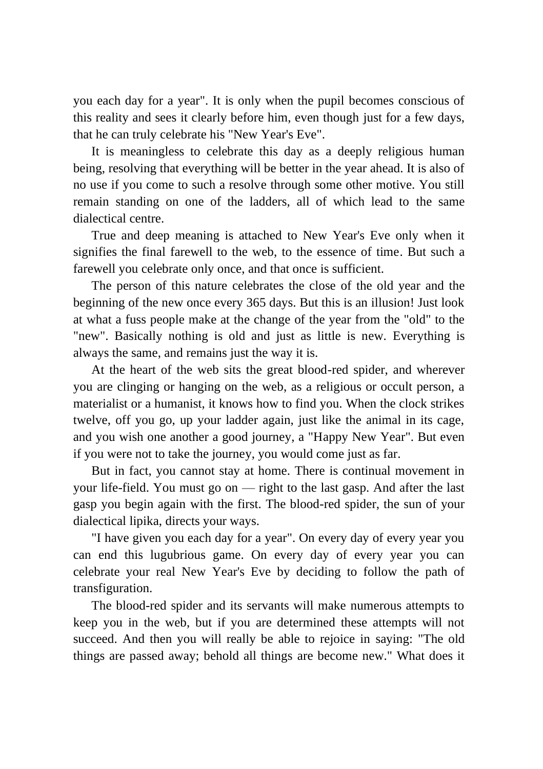you each day for a year". It is only when the pupil becomes conscious of this reality and sees it clearly before him, even though just for a few days, that he can truly celebrate his "New Year's Eve".

It is meaningless to celebrate this day as a deeply religious human being, resolving that everything will be better in the year ahead. It is also of no use if you come to such a resolve through some other motive. You still remain standing on one of the ladders, all of which lead to the same dialectical centre.

True and deep meaning is attached to New Year's Eve only when it signifies the final farewell to the web, to the essence of time. But such a farewell you celebrate only once, and that once is sufficient.

The person of this nature celebrates the close of the old year and the beginning of the new once every 365 days. But this is an illusion! Just look at what a fuss people make at the change of the year from the "old" to the "new". Basically nothing is old and just as little is new. Everything is always the same, and remains just the way it is.

At the heart of the web sits the great blood-red spider, and wherever you are clinging or hanging on the web, as a religious or occult person, a materialist or a humanist, it knows how to find you. When the clock strikes twelve, off you go, up your ladder again, just like the animal in its cage, and you wish one another a good journey, a "Happy New Year". But even if you were not to take the journey, you would come just as far.

But in fact, you cannot stay at home. There is continual movement in your life-field. You must go on — right to the last gasp. And after the last gasp you begin again with the first. The blood-red spider, the sun of your dialectical lipika, directs your ways.

"I have given you each day for a year". On every day of every year you can end this lugubrious game. On every day of every year you can celebrate your real New Year's Eve by deciding to follow the path of transfiguration.

The blood-red spider and its servants will make numerous attempts to keep you in the web, but if you are determined these attempts will not succeed. And then you will really be able to rejoice in saying: "The old things are passed away; behold all things are become new." What does it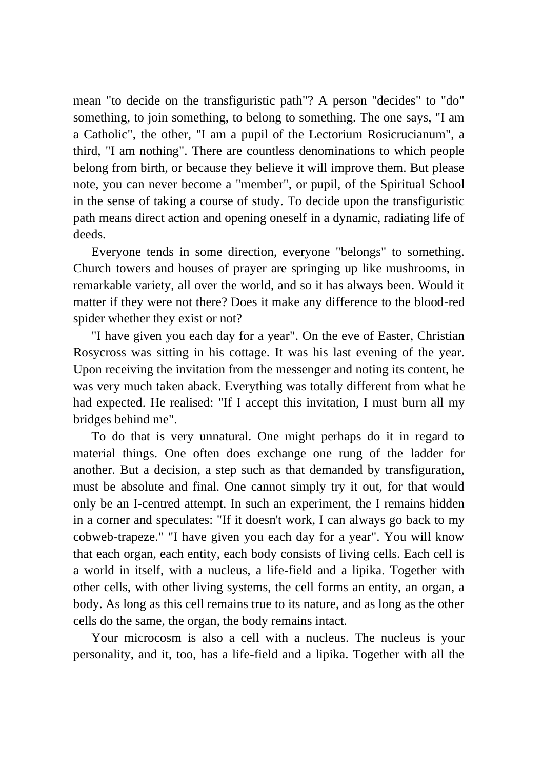mean "to decide on the transfiguristic path"? A person "decides" to "do" something, to join something, to belong to something. The one says, "I am a Catholic", the other, "I am a pupil of the Lectorium Rosicrucianum", a third, "I am nothing". There are countless denominations to which people belong from birth, or because they believe it will improve them. But please note, you can never become a "member", or pupil, of the Spiritual School in the sense of taking a course of study. To decide upon the transfiguristic path means direct action and opening oneself in a dynamic, radiating life of deeds.

Everyone tends in some direction, everyone "belongs" to something. Church towers and houses of prayer are springing up like mushrooms, in remarkable variety, all over the world, and so it has always been. Would it matter if they were not there? Does it make any difference to the blood-red spider whether they exist or not?

"I have given you each day for a year". On the eve of Easter, Christian Rosycross was sitting in his cottage. It was his last evening of the year. Upon receiving the invitation from the messenger and noting its content, he was very much taken aback. Everything was totally different from what he had expected. He realised: "If I accept this invitation, I must burn all my bridges behind me".

To do that is very unnatural. One might perhaps do it in regard to material things. One often does exchange one rung of the ladder for another. But a decision, a step such as that demanded by transfiguration, must be absolute and final. One cannot simply try it out, for that would only be an I-centred attempt. In such an experiment, the I remains hidden in a corner and speculates: "If it doesn't work, I can always go back to my cobweb-trapeze." "I have given you each day for a year". You will know that each organ, each entity, each body consists of living cells. Each cell is a world in itself, with a nucleus, a life-field and a lipika. Together with other cells, with other living systems, the cell forms an entity, an organ, a body. As long as this cell remains true to its nature, and as long as the other cells do the same, the organ, the body remains intact.

Your microcosm is also a cell with a nucleus. The nucleus is your personality, and it, too, has a life-field and a lipika. Together with all the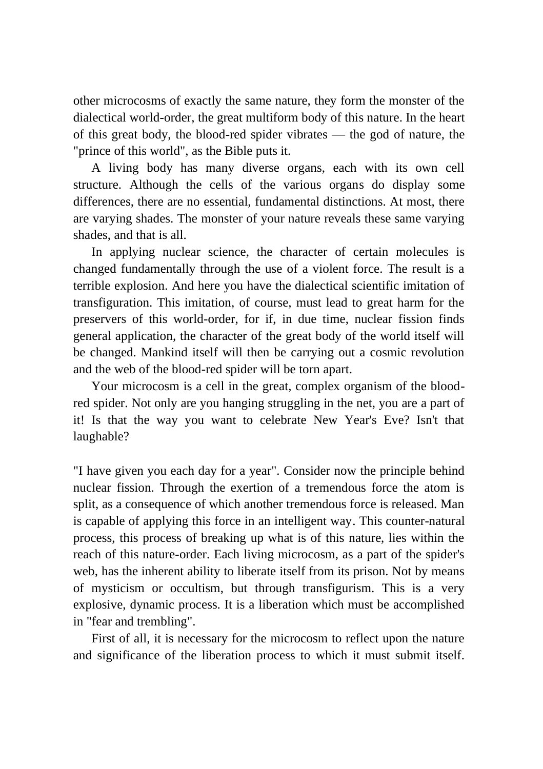other microcosms of exactly the same nature, they form the monster of the dialectical world-order, the great multiform body of this nature. In the heart of this great body, the blood-red spider vibrates — the god of nature, the "prince of this world", as the Bible puts it.

A living body has many diverse organs, each with its own cell structure. Although the cells of the various organs do display some differences, there are no essential, fundamental distinctions. At most, there are varying shades. The monster of your nature reveals these same varying shades, and that is all.

In applying nuclear science, the character of certain molecules is changed fundamentally through the use of a violent force. The result is a terrible explosion. And here you have the dialectical scientific imitation of transfiguration. This imitation, of course, must lead to great harm for the preservers of this world-order, for if, in due time, nuclear fission finds general application, the character of the great body of the world itself will be changed. Mankind itself will then be carrying out a cosmic revolution and the web of the blood-red spider will be torn apart.

Your microcosm is a cell in the great, complex organism of the bloodred spider. Not only are you hanging struggling in the net, you are a part of it! Is that the way you want to celebrate New Year's Eve? Isn't that laughable?

"I have given you each day for a year". Consider now the principle behind nuclear fission. Through the exertion of a tremendous force the atom is split, as a consequence of which another tremendous force is released. Man is capable of applying this force in an intelligent way. This counter-natural process, this process of breaking up what is of this nature, lies within the reach of this nature-order. Each living microcosm, as a part of the spider's web, has the inherent ability to liberate itself from its prison. Not by means of mysticism or occultism, but through transfigurism. This is a very explosive, dynamic process. It is a liberation which must be accomplished in "fear and trembling".

First of all, it is necessary for the microcosm to reflect upon the nature and significance of the liberation process to which it must submit itself.